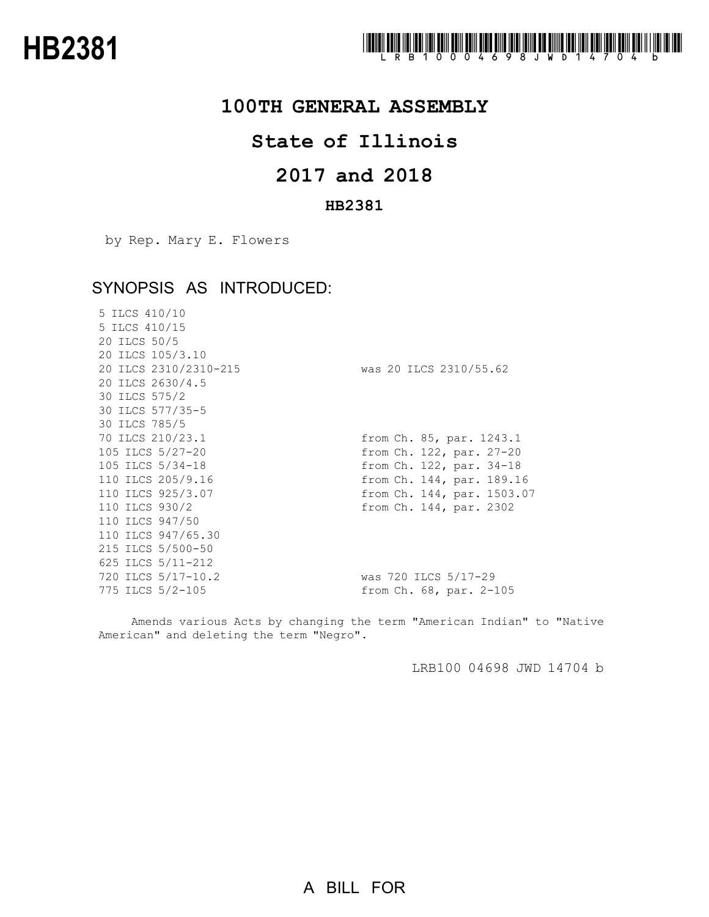

### **100TH GENERAL ASSEMBLY**

## **State of Illinois**

# **and 2018**

#### **HB2381**

by Rep. Mary E. Flowers

## SYNOPSIS AS INTRODUCED:

| 5 ILCS 410/10<br>5 ILCS 410/15<br>20 ILCS 50/5<br>20 ILCS 105/3.10 |                            |
|--------------------------------------------------------------------|----------------------------|
| 20 ILCS 2310/2310-215                                              | was 20 ILCS 2310/55.62     |
| 20 ILCS 2630/4.5                                                   |                            |
| 30 ILCS 575/2                                                      |                            |
| 30 ILCS 577/35-5                                                   |                            |
| 30 ILCS 785/5                                                      |                            |
| 70 ILCS 210/23.1                                                   | from Ch. 85, par. 1243.1   |
| 105 ILCS 5/27-20                                                   | from Ch. 122, par. 27-20   |
| 105 ILCS 5/34-18                                                   | from Ch. 122, par. 34-18   |
| 110 ILCS 205/9.16                                                  | from Ch. 144, par. 189.16  |
| 110 ILCS 925/3.07                                                  | from Ch. 144, par. 1503.07 |
| 110 ILCS 930/2                                                     | from Ch. 144, par. 2302    |
| 110 ILCS 947/50                                                    |                            |
| 110 ILCS 947/65.30                                                 |                            |
| 215 ILCS 5/500-50                                                  |                            |
| 625 ILCS 5/11-212                                                  |                            |
| 720 ILCS 5/17-10.2                                                 | was 720 ILCS 5/17-29       |
| 775 ILCS 5/2-105                                                   | from Ch. 68, par. 2-105    |

Amends various Acts by changing the term "American Indian" to "Native American" and deleting the term "Negro".

LRB100 04698 JWD 14704 b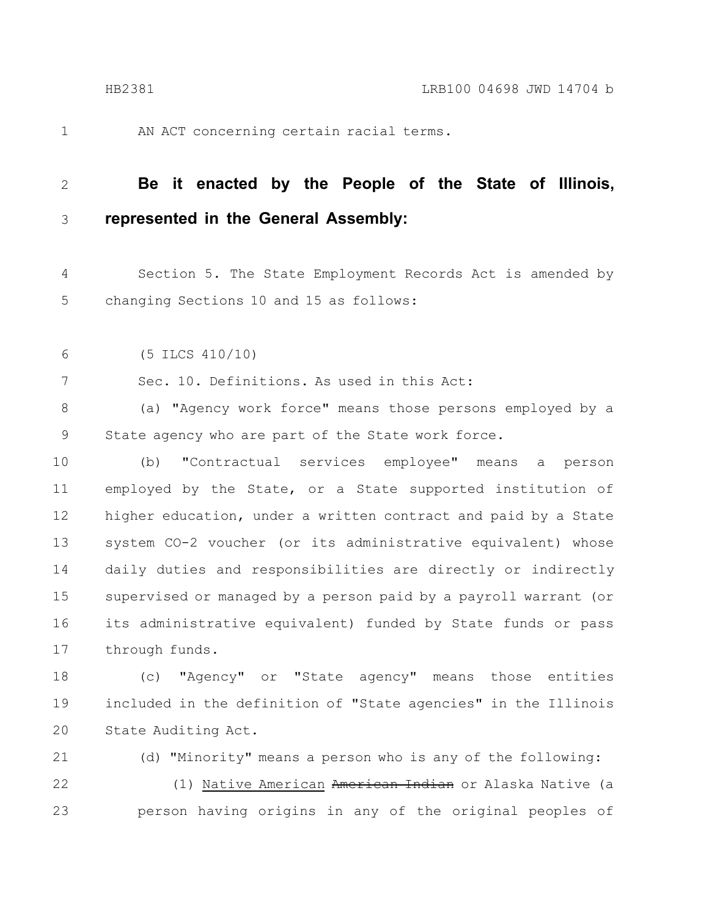AN ACT concerning certain racial terms.

#### **Be it enacted by the People of the State of Illinois, represented in the General Assembly:** 2 3

- Section 5. The State Employment Records Act is amended by changing Sections 10 and 15 as follows: 4 5
- (5 ILCS 410/10) 6

7

1

Sec. 10. Definitions. As used in this Act:

(a) "Agency work force" means those persons employed by a State agency who are part of the State work force. 8 9

(b) "Contractual services employee" means a person employed by the State, or a State supported institution of higher education, under a written contract and paid by a State system CO-2 voucher (or its administrative equivalent) whose daily duties and responsibilities are directly or indirectly supervised or managed by a person paid by a payroll warrant (or its administrative equivalent) funded by State funds or pass through funds. 10 11 12 13 14 15 16 17

(c) "Agency" or "State agency" means those entities included in the definition of "State agencies" in the Illinois State Auditing Act. 18 19 20

(d) "Minority" means a person who is any of the following: (1) Native American American Indian or Alaska Native (a person having origins in any of the original peoples of 21 22 23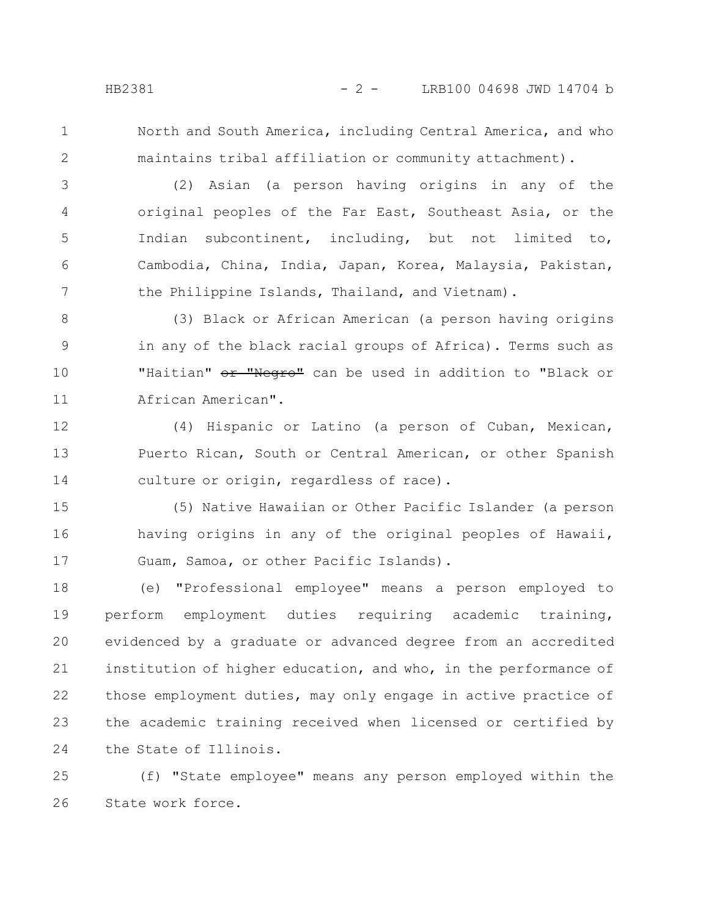1

2

North and South America, including Central America, and who maintains tribal affiliation or community attachment).

(2) Asian (a person having origins in any of the original peoples of the Far East, Southeast Asia, or the Indian subcontinent, including, but not limited to, Cambodia, China, India, Japan, Korea, Malaysia, Pakistan, the Philippine Islands, Thailand, and Vietnam). 3 4 5 6 7

(3) Black or African American (a person having origins in any of the black racial groups of Africa). Terms such as "Haitian" or "Negro" can be used in addition to "Black or African American". 8 9 10 11

(4) Hispanic or Latino (a person of Cuban, Mexican, Puerto Rican, South or Central American, or other Spanish culture or origin, regardless of race). 12 13 14

(5) Native Hawaiian or Other Pacific Islander (a person having origins in any of the original peoples of Hawaii, Guam, Samoa, or other Pacific Islands). 15 16 17

(e) "Professional employee" means a person employed to perform employment duties requiring academic training, evidenced by a graduate or advanced degree from an accredited institution of higher education, and who, in the performance of those employment duties, may only engage in active practice of the academic training received when licensed or certified by the State of Illinois. 18 19 20 21 22 23 24

(f) "State employee" means any person employed within the State work force. 25 26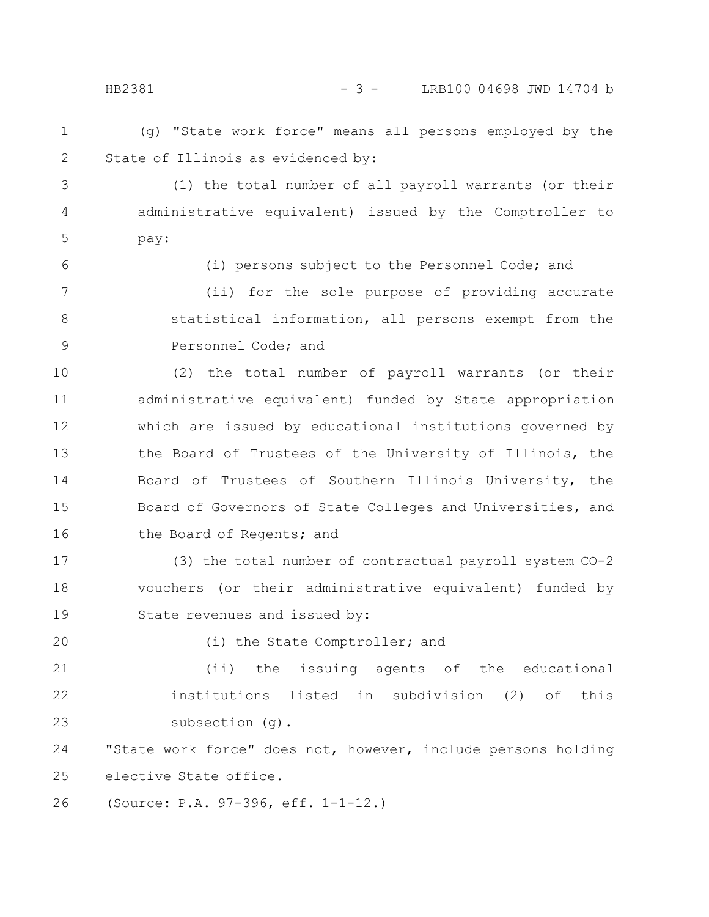(g) "State work force" means all persons employed by the HB2381 - 3 - LRB100 04698 JWD 14704 b

1 2

3

4

5

6

State of Illinois as evidenced by: (1) the total number of all payroll warrants (or their

administrative equivalent) issued by the Comptroller to pay:

(i) persons subject to the Personnel Code; and

(ii) for the sole purpose of providing accurate statistical information, all persons exempt from the Personnel Code; and 7 8 9

(2) the total number of payroll warrants (or their administrative equivalent) funded by State appropriation which are issued by educational institutions governed by the Board of Trustees of the University of Illinois, the Board of Trustees of Southern Illinois University, the Board of Governors of State Colleges and Universities, and the Board of Regents; and 10 11 12 13 14 15 16

(3) the total number of contractual payroll system CO-2 vouchers (or their administrative equivalent) funded by State revenues and issued by: 17 18 19

20

(i) the State Comptroller; and

(ii) the issuing agents of the educational institutions listed in subdivision (2) of this subsection (g). 21 22 23

"State work force" does not, however, include persons holding elective State office. 24 25

(Source: P.A. 97-396, eff. 1-1-12.) 26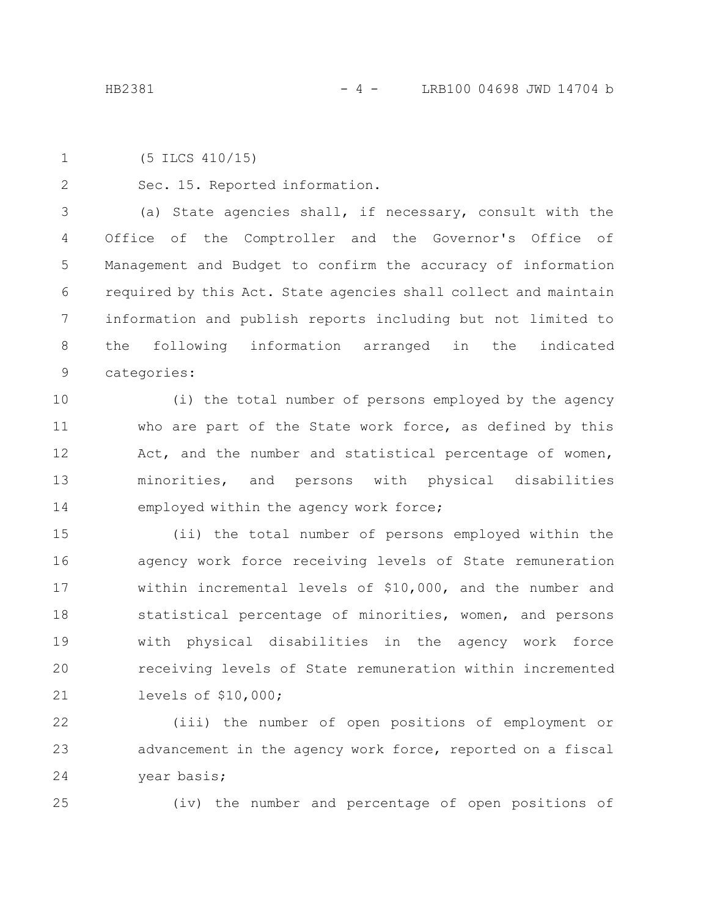2

```
(5 ILCS 410/15)
1
```
Sec. 15. Reported information.

(a) State agencies shall, if necessary, consult with the Office of the Comptroller and the Governor's Office of Management and Budget to confirm the accuracy of information required by this Act. State agencies shall collect and maintain information and publish reports including but not limited to the following information arranged in the indicated categories: 3 4 5 6 7 8 9

(i) the total number of persons employed by the agency who are part of the State work force, as defined by this Act, and the number and statistical percentage of women, minorities, and persons with physical disabilities employed within the agency work force; 10 11 12 13 14

(ii) the total number of persons employed within the agency work force receiving levels of State remuneration within incremental levels of \$10,000, and the number and statistical percentage of minorities, women, and persons with physical disabilities in the agency work force receiving levels of State remuneration within incremented levels of \$10,000; 15 16 17 18 19 20 21

(iii) the number of open positions of employment or advancement in the agency work force, reported on a fiscal year basis; 22 23 24

25

(iv) the number and percentage of open positions of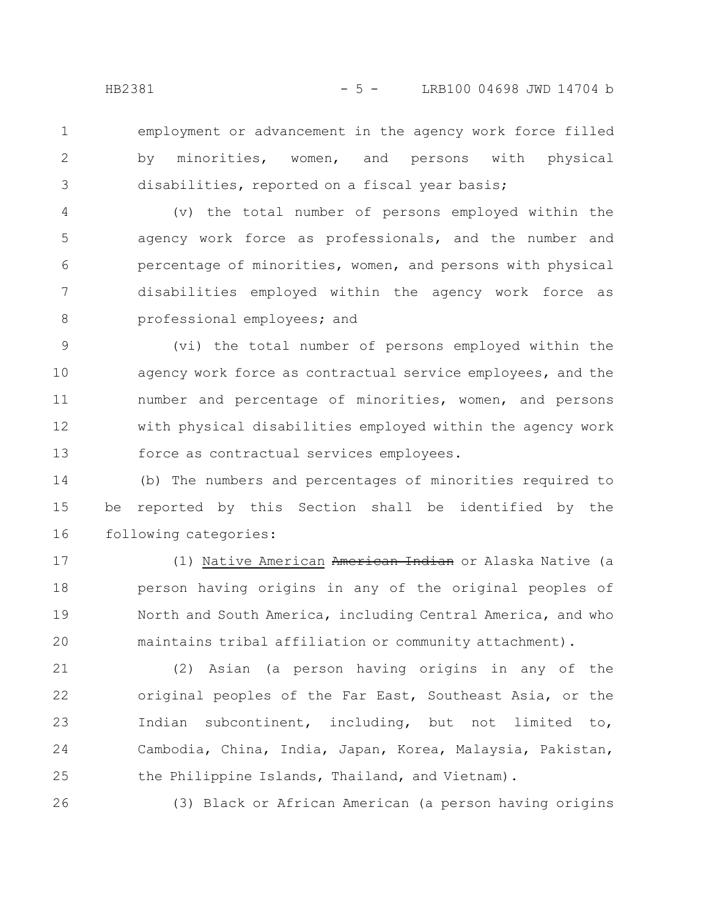1

2

3

26

employment or advancement in the agency work force filled by minorities, women, and persons with physical disabilities, reported on a fiscal year basis;

(v) the total number of persons employed within the agency work force as professionals, and the number and percentage of minorities, women, and persons with physical disabilities employed within the agency work force as professional employees; and 4 5 6 7 8

(vi) the total number of persons employed within the agency work force as contractual service employees, and the number and percentage of minorities, women, and persons with physical disabilities employed within the agency work force as contractual services employees. 9 10 11 12 13

(b) The numbers and percentages of minorities required to be reported by this Section shall be identified by the following categories: 14 15 16

(1) Native American American Indian or Alaska Native (a person having origins in any of the original peoples of North and South America, including Central America, and who maintains tribal affiliation or community attachment). 17 18 19 20

(2) Asian (a person having origins in any of the original peoples of the Far East, Southeast Asia, or the Indian subcontinent, including, but not limited to, Cambodia, China, India, Japan, Korea, Malaysia, Pakistan, the Philippine Islands, Thailand, and Vietnam). 21 22 23 24 25

(3) Black or African American (a person having origins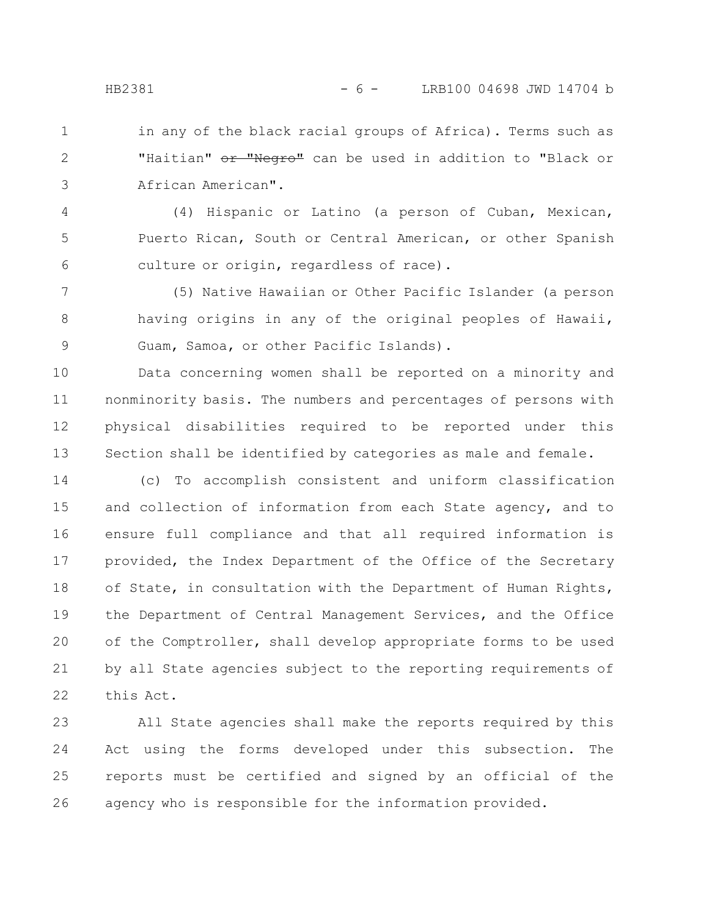in any of the black racial groups of Africa). Terms such as "Haitian" or "Negro" can be used in addition to "Black or African American". 1 2 3

(4) Hispanic or Latino (a person of Cuban, Mexican, Puerto Rican, South or Central American, or other Spanish culture or origin, regardless of race). 4 5 6

(5) Native Hawaiian or Other Pacific Islander (a person having origins in any of the original peoples of Hawaii, Guam, Samoa, or other Pacific Islands). 7 8 9

Data concerning women shall be reported on a minority and nonminority basis. The numbers and percentages of persons with physical disabilities required to be reported under this Section shall be identified by categories as male and female. 10 11 12 13

(c) To accomplish consistent and uniform classification and collection of information from each State agency, and to ensure full compliance and that all required information is provided, the Index Department of the Office of the Secretary of State, in consultation with the Department of Human Rights, the Department of Central Management Services, and the Office of the Comptroller, shall develop appropriate forms to be used by all State agencies subject to the reporting requirements of this Act. 14 15 16 17 18 19 20 21 22

All State agencies shall make the reports required by this Act using the forms developed under this subsection. The reports must be certified and signed by an official of the agency who is responsible for the information provided. 23 24 25 26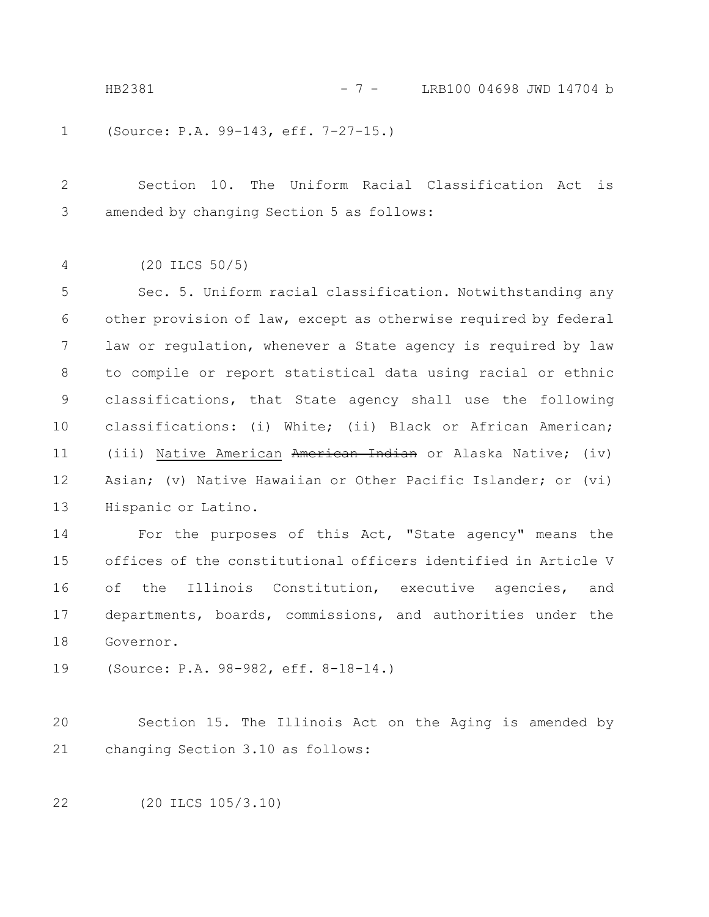HB2381 - 7 - LRB100 04698 JWD 14704 b

(Source: P.A. 99-143, eff. 7-27-15.) 1

Section 10. The Uniform Racial Classification Act is amended by changing Section 5 as follows: 2 3

(20 ILCS 50/5) 4

Sec. 5. Uniform racial classification. Notwithstanding any other provision of law, except as otherwise required by federal law or regulation, whenever a State agency is required by law to compile or report statistical data using racial or ethnic classifications, that State agency shall use the following classifications: (i) White; (ii) Black or African American; (iii) Native American American Indian or Alaska Native; (iv) Asian; (v) Native Hawaiian or Other Pacific Islander; or (vi) Hispanic or Latino. 5 6 7 8 9 10 11 12 13

For the purposes of this Act, "State agency" means the offices of the constitutional officers identified in Article V of the Illinois Constitution, executive agencies, and departments, boards, commissions, and authorities under the Governor. 14 15 16 17 18

(Source: P.A. 98-982, eff. 8-18-14.) 19

Section 15. The Illinois Act on the Aging is amended by changing Section 3.10 as follows: 20 21

(20 ILCS 105/3.10) 22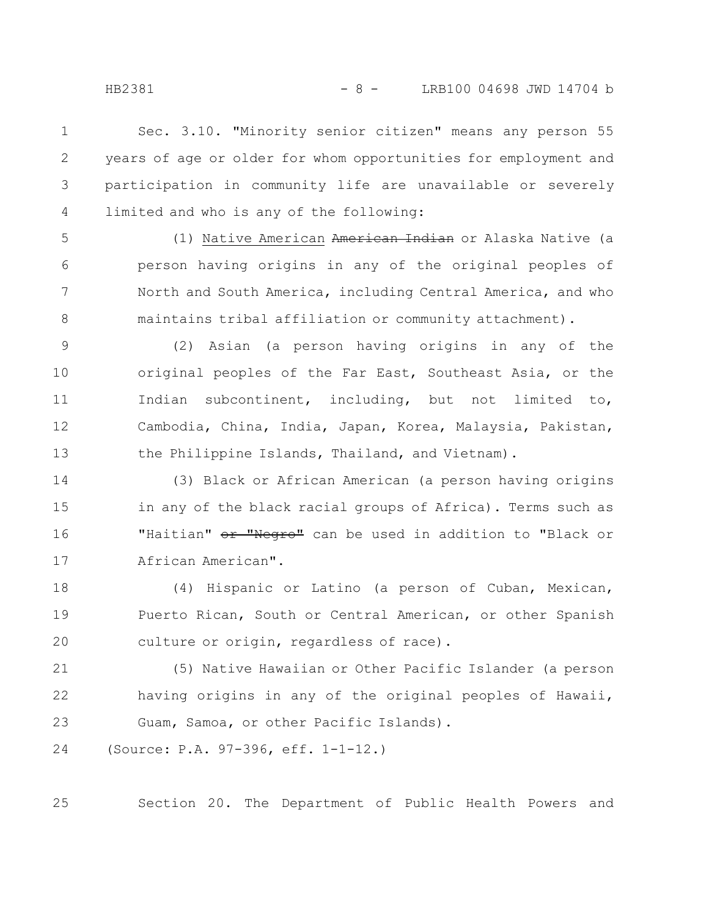HB2381 - 8 - LRB100 04698 JWD 14704 b

Sec. 3.10. "Minority senior citizen" means any person 55 years of age or older for whom opportunities for employment and participation in community life are unavailable or severely limited and who is any of the following: 1 2 3 4

5

6

7

8

(1) Native American American Indian or Alaska Native (a person having origins in any of the original peoples of North and South America, including Central America, and who maintains tribal affiliation or community attachment).

(2) Asian (a person having origins in any of the original peoples of the Far East, Southeast Asia, or the Indian subcontinent, including, but not limited to, Cambodia, China, India, Japan, Korea, Malaysia, Pakistan, the Philippine Islands, Thailand, and Vietnam). 9 10 11 12 13

(3) Black or African American (a person having origins in any of the black racial groups of Africa). Terms such as "Haitian" or "Negro" can be used in addition to "Black or African American". 14 15 16 17

(4) Hispanic or Latino (a person of Cuban, Mexican, Puerto Rican, South or Central American, or other Spanish culture or origin, regardless of race). 18 19 20

(5) Native Hawaiian or Other Pacific Islander (a person having origins in any of the original peoples of Hawaii, Guam, Samoa, or other Pacific Islands). 21 22 23

(Source: P.A. 97-396, eff. 1-1-12.) 24

Section 20. The Department of Public Health Powers and

25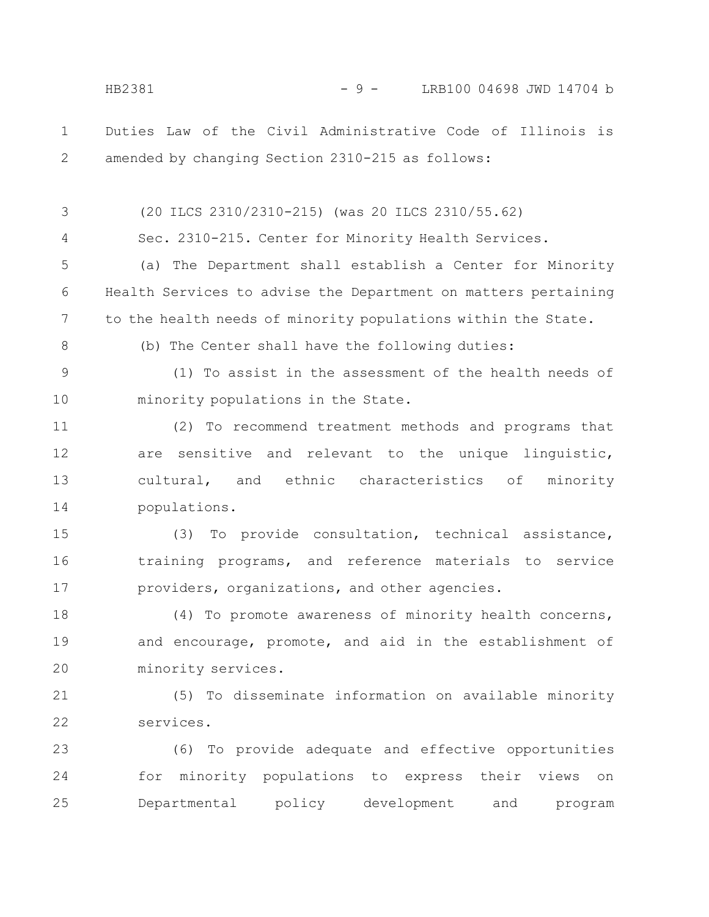Duties Law of the Civil Administrative Code of Illinois is amended by changing Section 2310-215 as follows: (20 ILCS 2310/2310-215) (was 20 ILCS 2310/55.62) Sec. 2310-215. Center for Minority Health Services. (a) The Department shall establish a Center for Minority Health Services to advise the Department on matters pertaining to the health needs of minority populations within the State. (b) The Center shall have the following duties: (1) To assist in the assessment of the health needs of minority populations in the State. (2) To recommend treatment methods and programs that are sensitive and relevant to the unique linguistic, cultural, and ethnic characteristics of minority populations. (3) To provide consultation, technical assistance, training programs, and reference materials to service providers, organizations, and other agencies. (4) To promote awareness of minority health concerns, and encourage, promote, and aid in the establishment of minority services. (5) To disseminate information on available minority services. (6) To provide adequate and effective opportunities for minority populations to express their views on Departmental policy development and program 1 2 3 4 5 6 7 8 9 10 11 12 13 14 15 16 17 18 19 20 21 22 23 24 25 HB2381 - 9 - LRB100 04698 JWD 14704 b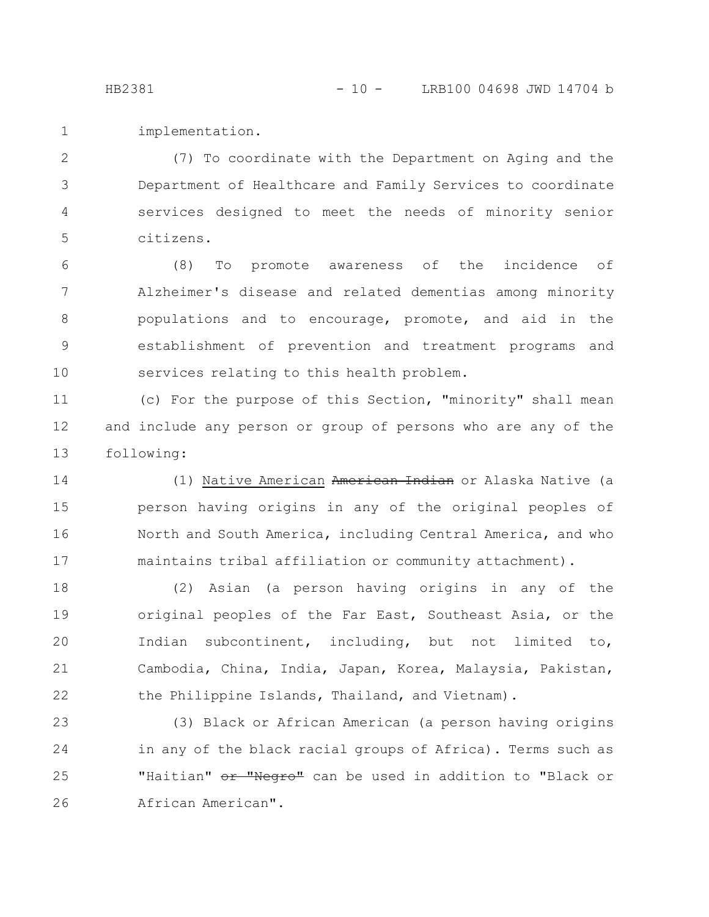implementation. 1

(7) To coordinate with the Department on Aging and the Department of Healthcare and Family Services to coordinate services designed to meet the needs of minority senior citizens. 2 3 4 5

(8) To promote awareness of the incidence of Alzheimer's disease and related dementias among minority populations and to encourage, promote, and aid in the establishment of prevention and treatment programs and services relating to this health problem. 6 7 8 9 10

(c) For the purpose of this Section, "minority" shall mean and include any person or group of persons who are any of the following: 11 12 13

(1) Native American American Indian or Alaska Native (a person having origins in any of the original peoples of North and South America, including Central America, and who maintains tribal affiliation or community attachment). 14 15 16 17

(2) Asian (a person having origins in any of the original peoples of the Far East, Southeast Asia, or the Indian subcontinent, including, but not limited to, Cambodia, China, India, Japan, Korea, Malaysia, Pakistan, the Philippine Islands, Thailand, and Vietnam). 18 19 20 21 22

(3) Black or African American (a person having origins in any of the black racial groups of Africa). Terms such as "Haitian" or "Negro" can be used in addition to "Black or African American". 23 24 25 26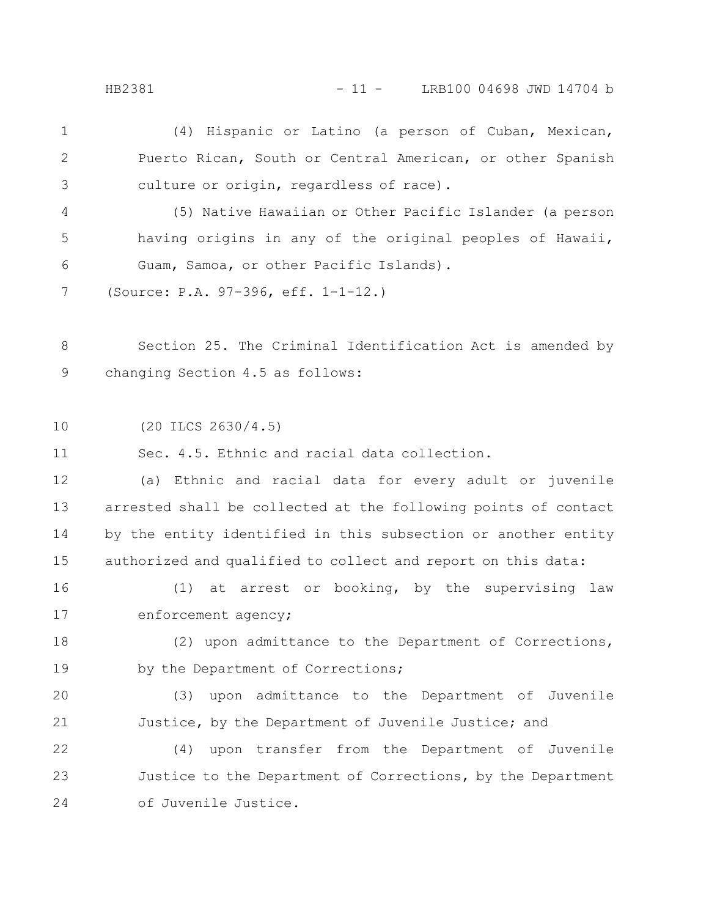HB2381 - 11 - LRB100 04698 JWD 14704 b

(4) Hispanic or Latino (a person of Cuban, Mexican, Puerto Rican, South or Central American, or other Spanish culture or origin, regardless of race). 1 2 3

(5) Native Hawaiian or Other Pacific Islander (a person having origins in any of the original peoples of Hawaii, Guam, Samoa, or other Pacific Islands). 4 5 6

(Source: P.A. 97-396, eff. 1-1-12.) 7

Section 25. The Criminal Identification Act is amended by changing Section 4.5 as follows: 8 9

(20 ILCS 2630/4.5) 10

Sec. 4.5. Ethnic and racial data collection. 11

(a) Ethnic and racial data for every adult or juvenile arrested shall be collected at the following points of contact by the entity identified in this subsection or another entity authorized and qualified to collect and report on this data: 12 13 14 15

(1) at arrest or booking, by the supervising law enforcement agency; 16 17

(2) upon admittance to the Department of Corrections, by the Department of Corrections; 18 19

(3) upon admittance to the Department of Juvenile Justice, by the Department of Juvenile Justice; and 20 21

(4) upon transfer from the Department of Juvenile Justice to the Department of Corrections, by the Department of Juvenile Justice. 22 23 24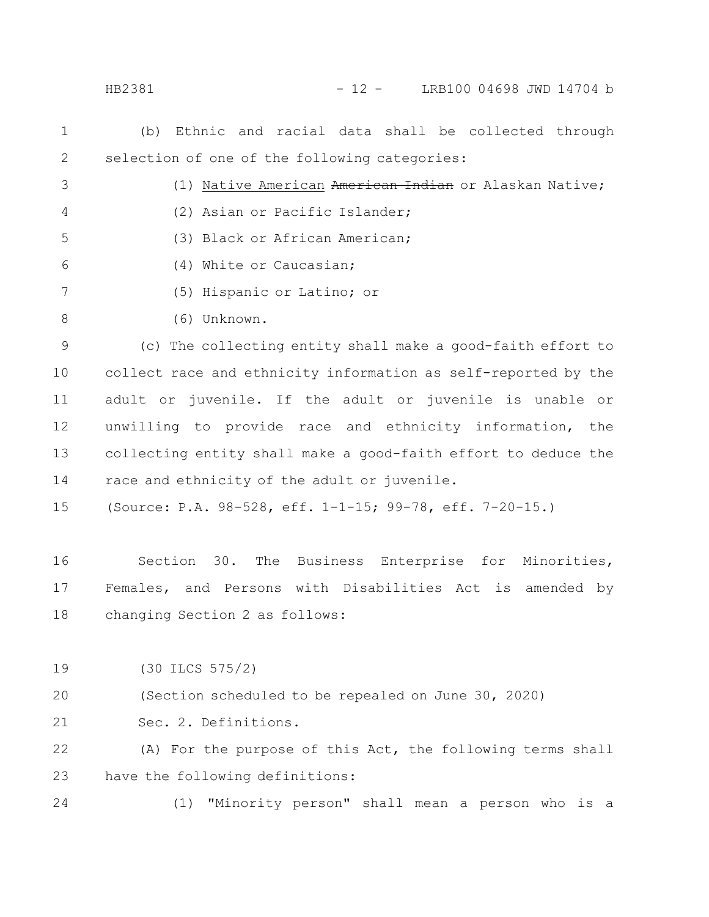HB2381 - 12 - LRB100 04698 JWD 14704 b

- (b) Ethnic and racial data shall be collected through selection of one of the following categories: 1 2
- (1) Native American American Indian or Alaskan Native; (2) Asian or Pacific Islander; (3) Black or African American; 3 4 5
- (4) White or Caucasian; 6
- (5) Hispanic or Latino; or 7
- (6) Unknown. 8

(c) The collecting entity shall make a good-faith effort to collect race and ethnicity information as self-reported by the adult or juvenile. If the adult or juvenile is unable or unwilling to provide race and ethnicity information, the collecting entity shall make a good-faith effort to deduce the race and ethnicity of the adult or juvenile. 9 10 11 12 13 14

(Source: P.A. 98-528, eff. 1-1-15; 99-78, eff. 7-20-15.) 15

Section 30. The Business Enterprise for Minorities, Females, and Persons with Disabilities Act is amended by changing Section 2 as follows: 16 17 18

(30 ILCS 575/2) 19

(Section scheduled to be repealed on June 30, 2020) 20

Sec. 2. Definitions. 21

(A) For the purpose of this Act, the following terms shall have the following definitions: 22 23

24

(1) "Minority person" shall mean a person who is a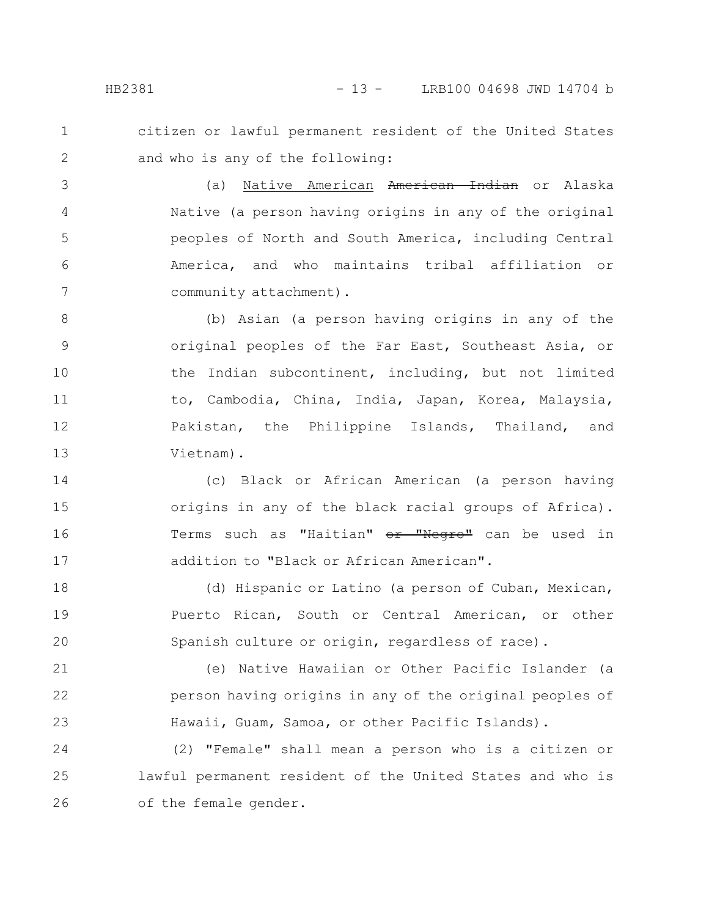HB2381 - 13 - LRB100 04698 JWD 14704 b

citizen or lawful permanent resident of the United States and who is any of the following:

(a) Native American American Indian or Alaska Native (a person having origins in any of the original peoples of North and South America, including Central America, and who maintains tribal affiliation or community attachment). 3 4 5 6 7

(b) Asian (a person having origins in any of the original peoples of the Far East, Southeast Asia, or the Indian subcontinent, including, but not limited to, Cambodia, China, India, Japan, Korea, Malaysia, Pakistan, the Philippine Islands, Thailand, and Vietnam). 8 9 10 11 12 13

(c) Black or African American (a person having origins in any of the black racial groups of Africa). Terms such as "Haitian" or "Negro" can be used in addition to "Black or African American". 14 15 16 17

(d) Hispanic or Latino (a person of Cuban, Mexican, Puerto Rican, South or Central American, or other Spanish culture or origin, regardless of race). 18 19 20

(e) Native Hawaiian or Other Pacific Islander (a person having origins in any of the original peoples of Hawaii, Guam, Samoa, or other Pacific Islands). 21 22 23

(2) "Female" shall mean a person who is a citizen or lawful permanent resident of the United States and who is of the female gender. 24 25 26

1

2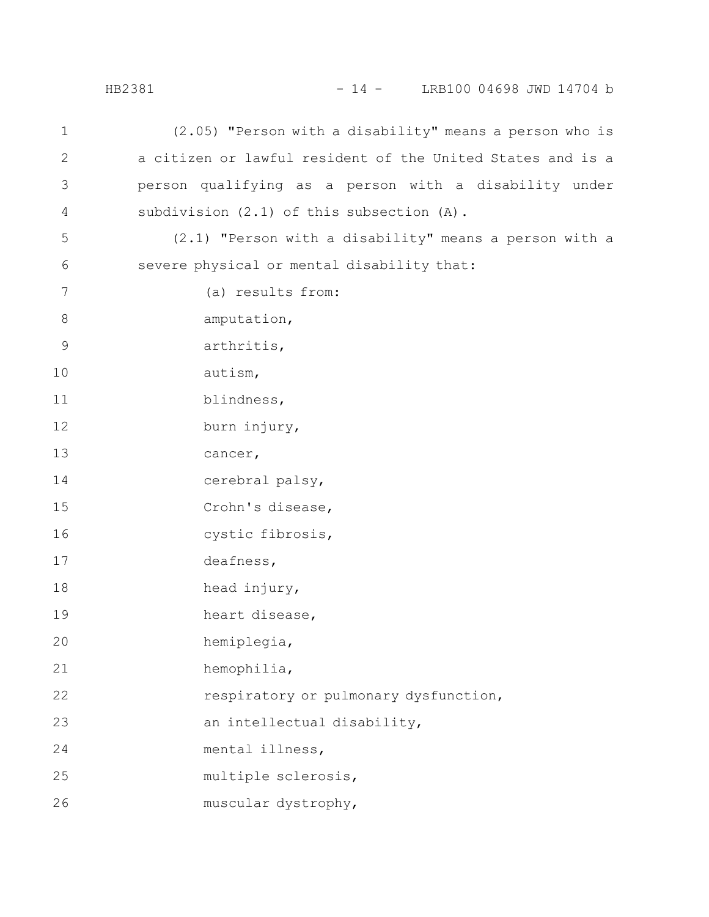### HB2381 - 14 - LRB100 04698 JWD 14704 b

| 1             | (2.05) "Person with a disability" means a person who is    |
|---------------|------------------------------------------------------------|
| $\mathbf{2}$  | a citizen or lawful resident of the United States and is a |
| $\mathcal{S}$ | person qualifying as a person with a disability under      |
| 4             | subdivision (2.1) of this subsection (A).                  |
| 5             | (2.1) "Person with a disability" means a person with a     |
| 6             | severe physical or mental disability that:                 |
| 7             | (a) results from:                                          |
| $8\,$         | amputation,                                                |
| $\mathsf 9$   | arthritis,                                                 |
| 10            | autism,                                                    |
| 11            | blindness,                                                 |
| 12            | burn injury,                                               |
| 13            | cancer,                                                    |
| 14            | cerebral palsy,                                            |
| 15            | Crohn's disease,                                           |
| 16            | cystic fibrosis,                                           |
| 17            | deafness,                                                  |
| 18            | head injury,                                               |
| 19            | heart disease,                                             |
| 20            | hemiplegia,                                                |
| 21            | hemophilia,                                                |
| 22            | respiratory or pulmonary dysfunction,                      |
| 23            | an intellectual disability,                                |
| 24            | mental illness,                                            |
| 25            | multiple sclerosis,                                        |
| 26            | muscular dystrophy,                                        |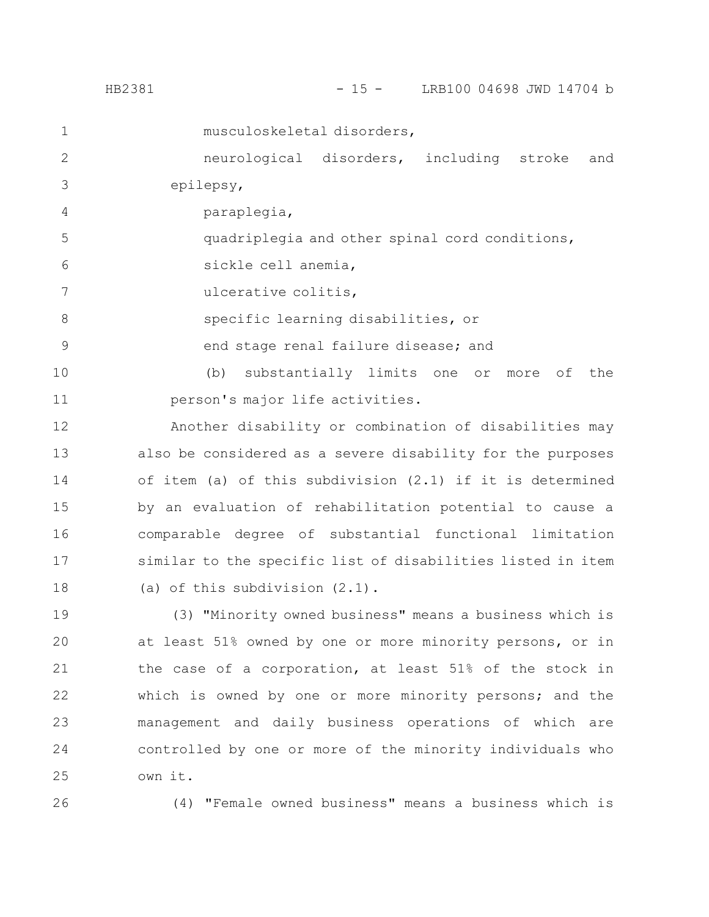| HB2381 | LRB100 04698 JWD 14704 b |
|--------|--------------------------|
|        |                          |

| $\mathbf 1$   | musculoskeletal disorders,                                  |
|---------------|-------------------------------------------------------------|
| $\mathbf{2}$  | neurological disorders, including stroke<br>and             |
| 3             | epilepsy,                                                   |
| 4             | paraplegia,                                                 |
| 5             | quadriplegia and other spinal cord conditions,              |
| 6             | sickle cell anemia,                                         |
| 7             | ulcerative colitis,                                         |
| $8\,$         | specific learning disabilities, or                          |
| $\mathcal{G}$ | end stage renal failure disease; and                        |
| 10            | substantially limits one<br>(b)<br>the<br>or<br>more<br>оf  |
| 11            | person's major life activities.                             |
| 12            | Another disability or combination of disabilities may       |
| 13            | also be considered as a severe disability for the purposes  |
| 14            | of item (a) of this subdivision $(2.1)$ if it is determined |
| 15            | by an evaluation of rehabilitation potential to cause a     |
| 16            | comparable degree of substantial functional limitation      |
| 17            | similar to the specific list of disabilities listed in item |
| 18            | (a) of this subdivision $(2.1)$ .                           |
| 19            | (3) "Minority owned business" means a business which is     |
| 20            | at least 51% owned by one or more minority persons, or in   |

the case of a corporation, at least 51% of the stock in which is owned by one or more minority persons; and the management and daily business operations of which are controlled by one or more of the minority individuals who own it. 21 22 23 24 25

26

(4) "Female owned business" means a business which is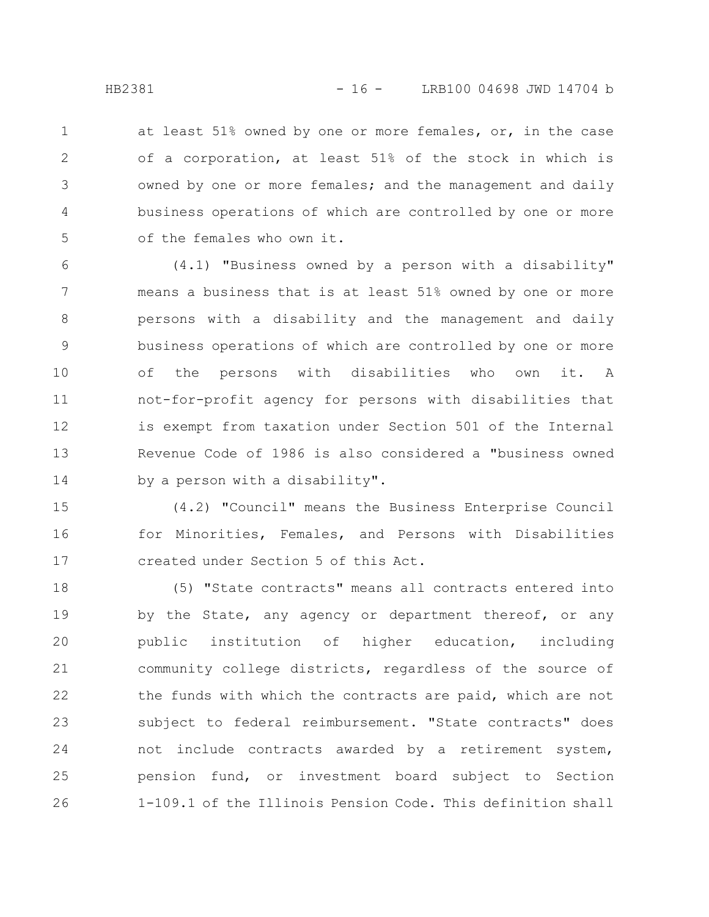at least 51% owned by one or more females, or, in the case of a corporation, at least 51% of the stock in which is owned by one or more females; and the management and daily business operations of which are controlled by one or more of the females who own it. 1 2 3 4 5

(4.1) "Business owned by a person with a disability" means a business that is at least 51% owned by one or more persons with a disability and the management and daily business operations of which are controlled by one or more of the persons with disabilities who own it. A not-for-profit agency for persons with disabilities that is exempt from taxation under Section 501 of the Internal Revenue Code of 1986 is also considered a "business owned by a person with a disability". 6 7 8 9 10 11 12 13 14

(4.2) "Council" means the Business Enterprise Council for Minorities, Females, and Persons with Disabilities created under Section 5 of this Act. 15 16 17

(5) "State contracts" means all contracts entered into by the State, any agency or department thereof, or any public institution of higher education, including community college districts, regardless of the source of the funds with which the contracts are paid, which are not subject to federal reimbursement. "State contracts" does not include contracts awarded by a retirement system, pension fund, or investment board subject to Section 1-109.1 of the Illinois Pension Code. This definition shall 18 19 20 21 22 23 24 25 26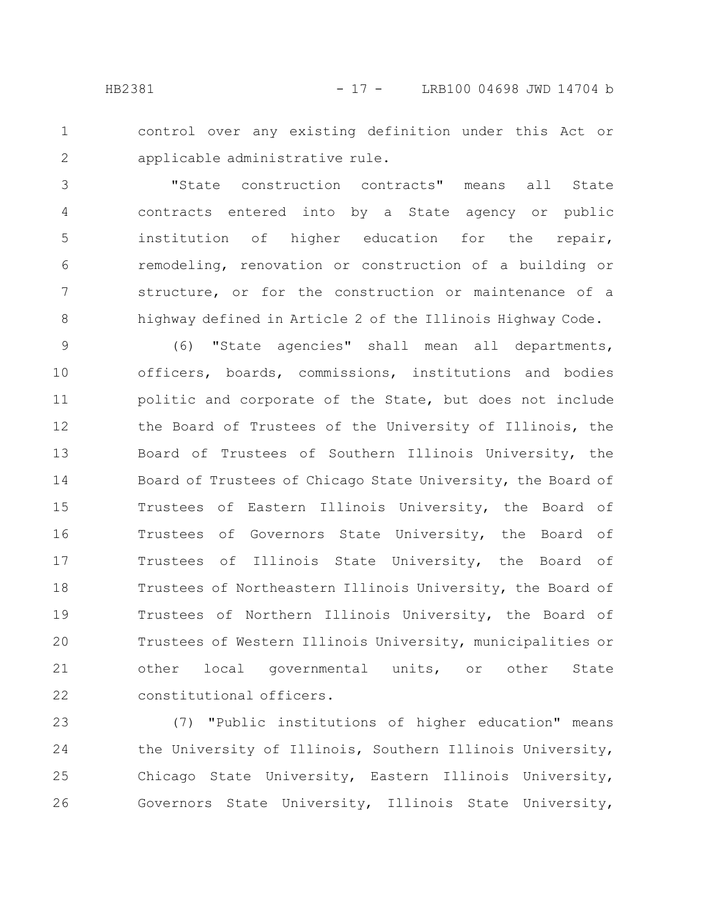control over any existing definition under this Act or applicable administrative rule. 1 2

"State construction contracts" means all State contracts entered into by a State agency or public institution of higher education for the repair, remodeling, renovation or construction of a building or structure, or for the construction or maintenance of a highway defined in Article 2 of the Illinois Highway Code. 3 4 5 6 7 8

(6) "State agencies" shall mean all departments, officers, boards, commissions, institutions and bodies politic and corporate of the State, but does not include the Board of Trustees of the University of Illinois, the Board of Trustees of Southern Illinois University, the Board of Trustees of Chicago State University, the Board of Trustees of Eastern Illinois University, the Board of Trustees of Governors State University, the Board of Trustees of Illinois State University, the Board of Trustees of Northeastern Illinois University, the Board of Trustees of Northern Illinois University, the Board of Trustees of Western Illinois University, municipalities or other local governmental units, or other State constitutional officers. 9 10 11 12 13 14 15 16 17 18 19 20 21 22

(7) "Public institutions of higher education" means the University of Illinois, Southern Illinois University, Chicago State University, Eastern Illinois University, Governors State University, Illinois State University, 23 24 25 26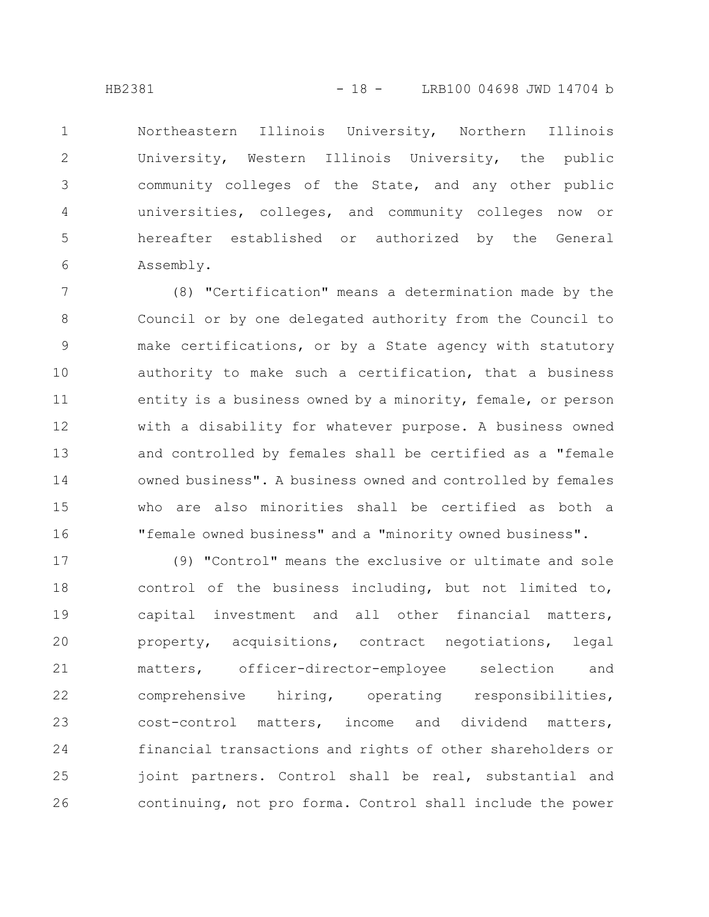1

2

3

4

5

6

Northeastern Illinois University, Northern Illinois University, Western Illinois University, the public community colleges of the State, and any other public universities, colleges, and community colleges now or hereafter established or authorized by the General Assembly.

(8) "Certification" means a determination made by the Council or by one delegated authority from the Council to make certifications, or by a State agency with statutory authority to make such a certification, that a business entity is a business owned by a minority, female, or person with a disability for whatever purpose. A business owned and controlled by females shall be certified as a "female owned business". A business owned and controlled by females who are also minorities shall be certified as both a "female owned business" and a "minority owned business". 7 8 9 10 11 12 13 14 15 16

(9) "Control" means the exclusive or ultimate and sole control of the business including, but not limited to, capital investment and all other financial matters, property, acquisitions, contract negotiations, legal matters, officer-director-employee selection and comprehensive hiring, operating responsibilities, cost-control matters, income and dividend matters, financial transactions and rights of other shareholders or joint partners. Control shall be real, substantial and continuing, not pro forma. Control shall include the power 17 18 19 20 21 22 23 24 25 26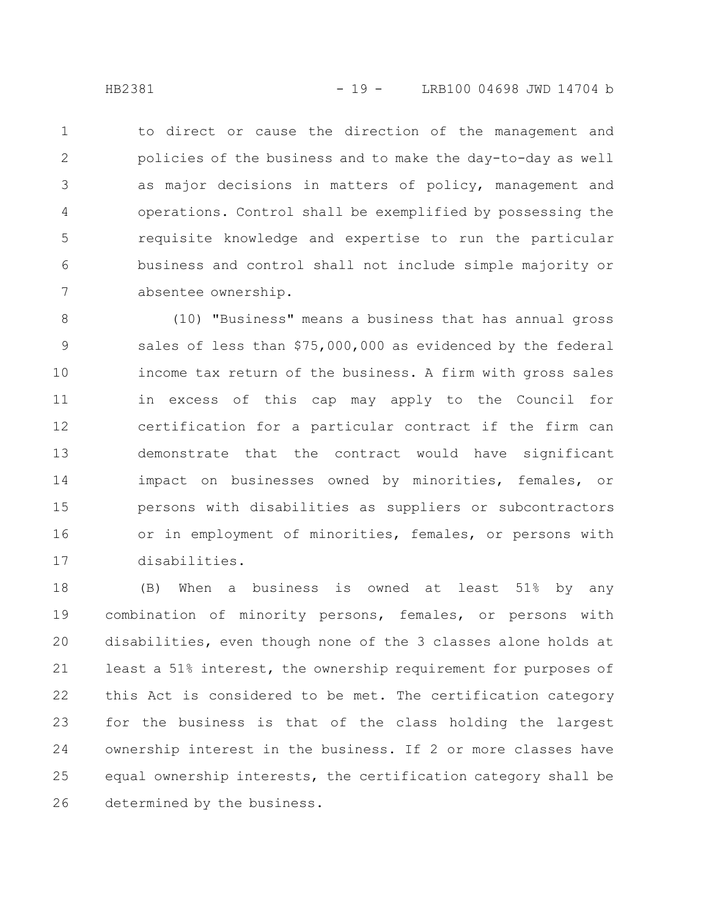to direct or cause the direction of the management and policies of the business and to make the day-to-day as well as major decisions in matters of policy, management and operations. Control shall be exemplified by possessing the requisite knowledge and expertise to run the particular business and control shall not include simple majority or absentee ownership. 1 2 3 4 5 6 7

(10) "Business" means a business that has annual gross sales of less than \$75,000,000 as evidenced by the federal income tax return of the business. A firm with gross sales in excess of this cap may apply to the Council for certification for a particular contract if the firm can demonstrate that the contract would have significant impact on businesses owned by minorities, females, or persons with disabilities as suppliers or subcontractors or in employment of minorities, females, or persons with disabilities. 8 9 10 11 12 13 14 15 16 17

(B) When a business is owned at least 51% by any combination of minority persons, females, or persons with disabilities, even though none of the 3 classes alone holds at least a 51% interest, the ownership requirement for purposes of this Act is considered to be met. The certification category for the business is that of the class holding the largest ownership interest in the business. If 2 or more classes have equal ownership interests, the certification category shall be determined by the business. 18 19 20 21 22 23 24 25 26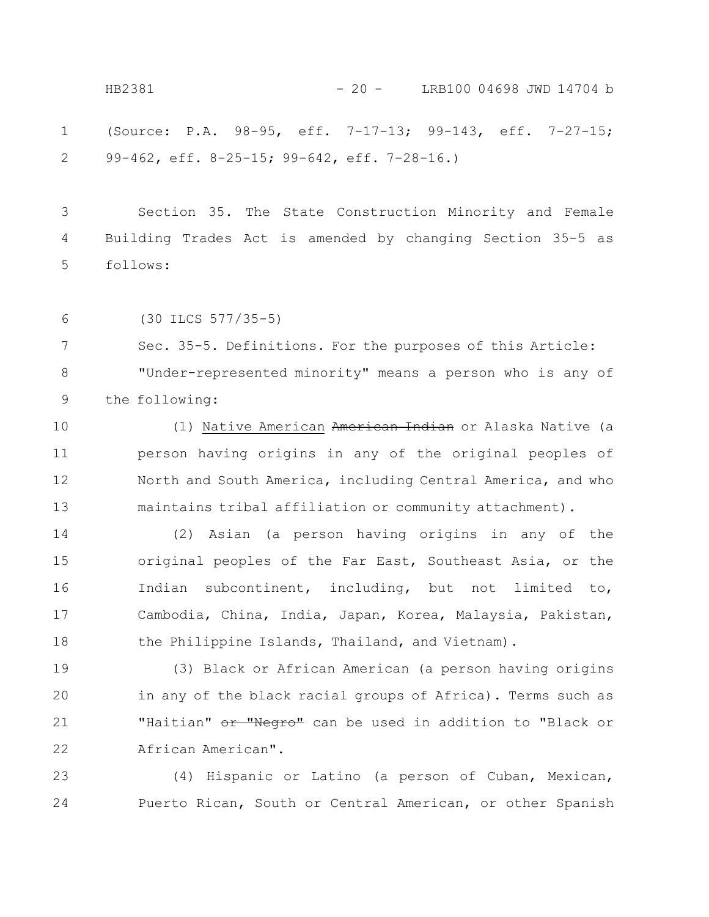(Source: P.A. 98-95, eff. 7-17-13; 99-143, eff. 7-27-15; 99-462, eff. 8-25-15; 99-642, eff. 7-28-16.) 1 2 HB2381 - 20 - LRB100 04698 JWD 14704 b

Section 35. The State Construction Minority and Female Building Trades Act is amended by changing Section 35-5 as follows: 3 4 5

(30 ILCS 577/35-5) 6

Sec. 35-5. Definitions. For the purposes of this Article: "Under-represented minority" means a person who is any of the following: 7 8 9

(1) Native American American Indian or Alaska Native (a person having origins in any of the original peoples of North and South America, including Central America, and who maintains tribal affiliation or community attachment). 10 11 12 13

(2) Asian (a person having origins in any of the original peoples of the Far East, Southeast Asia, or the Indian subcontinent, including, but not limited to, Cambodia, China, India, Japan, Korea, Malaysia, Pakistan, the Philippine Islands, Thailand, and Vietnam). 14 15 16 17 18

(3) Black or African American (a person having origins in any of the black racial groups of Africa). Terms such as "Haitian" or "Negro" can be used in addition to "Black or African American". 19 20 21 22

(4) Hispanic or Latino (a person of Cuban, Mexican, Puerto Rican, South or Central American, or other Spanish 23 24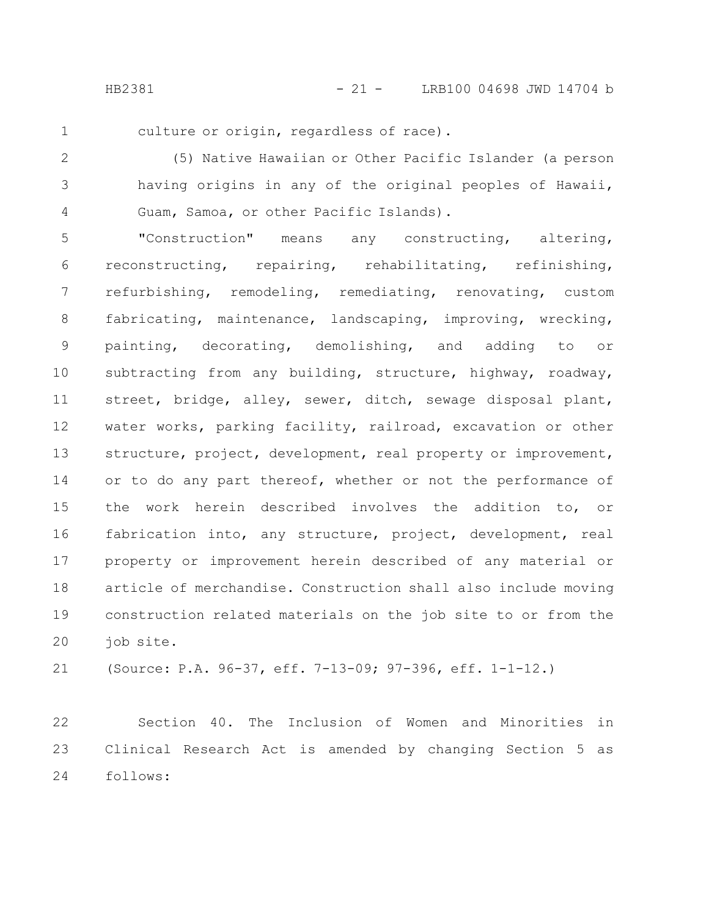HB2381 - 21 - LRB100 04698 JWD 14704 b

1

culture or origin, regardless of race).

(5) Native Hawaiian or Other Pacific Islander (a person having origins in any of the original peoples of Hawaii, Guam, Samoa, or other Pacific Islands). 2 3 4

"Construction" means any constructing, altering, reconstructing, repairing, rehabilitating, refinishing, refurbishing, remodeling, remediating, renovating, custom fabricating, maintenance, landscaping, improving, wrecking, painting, decorating, demolishing, and adding to or subtracting from any building, structure, highway, roadway, street, bridge, alley, sewer, ditch, sewage disposal plant, water works, parking facility, railroad, excavation or other structure, project, development, real property or improvement, or to do any part thereof, whether or not the performance of the work herein described involves the addition to, or fabrication into, any structure, project, development, real property or improvement herein described of any material or article of merchandise. Construction shall also include moving construction related materials on the job site to or from the job site. 5 6 7 8 9 10 11 12 13 14 15 16 17 18 19 20

(Source: P.A. 96-37, eff. 7-13-09; 97-396, eff. 1-1-12.) 21

Section 40. The Inclusion of Women and Minorities in Clinical Research Act is amended by changing Section 5 as follows: 22 23 24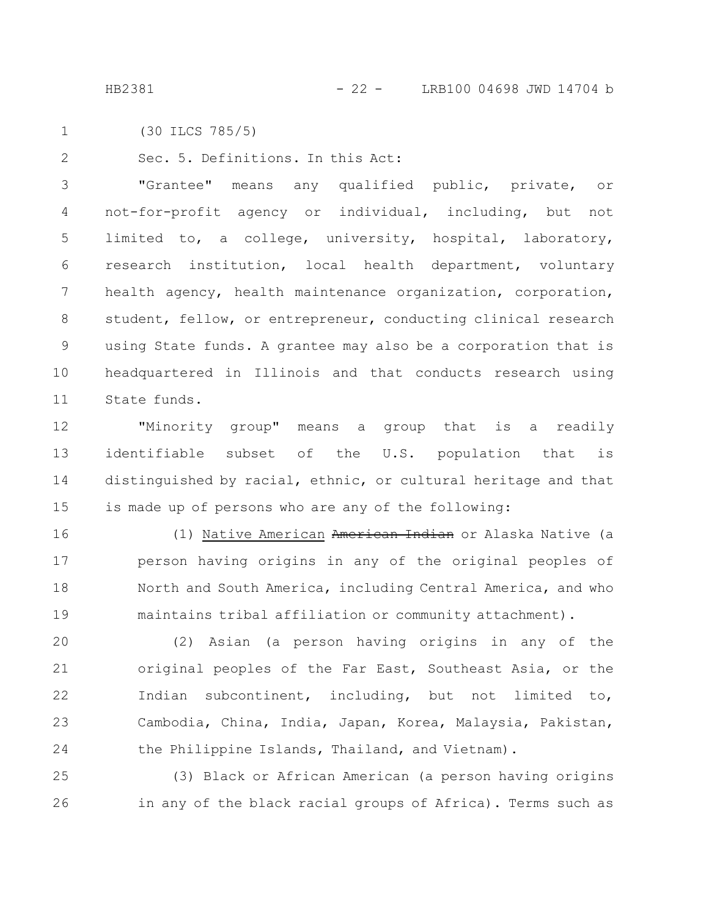(30 ILCS 785/5) 1

Sec. 5. Definitions. In this Act: 2

"Grantee" means any qualified public, private, or not-for-profit agency or individual, including, but not limited to, a college, university, hospital, laboratory, research institution, local health department, voluntary health agency, health maintenance organization, corporation, student, fellow, or entrepreneur, conducting clinical research using State funds. A grantee may also be a corporation that is headquartered in Illinois and that conducts research using State funds. 3 4 5 6 7 8 9 10 11

"Minority group" means a group that is a readily identifiable subset of the U.S. population that is distinguished by racial, ethnic, or cultural heritage and that is made up of persons who are any of the following: 12 13 14 15

(1) Native American American Indian or Alaska Native (a person having origins in any of the original peoples of North and South America, including Central America, and who maintains tribal affiliation or community attachment). 16 17 18 19

(2) Asian (a person having origins in any of the original peoples of the Far East, Southeast Asia, or the Indian subcontinent, including, but not limited to, Cambodia, China, India, Japan, Korea, Malaysia, Pakistan, the Philippine Islands, Thailand, and Vietnam). 20 21 22 23 24

(3) Black or African American (a person having origins in any of the black racial groups of Africa). Terms such as 25 26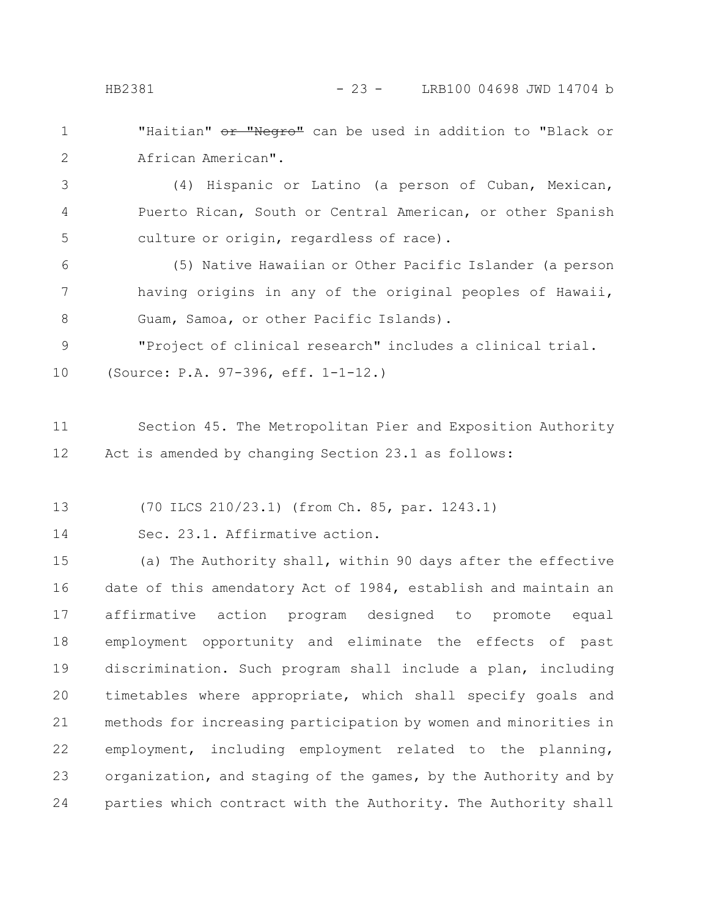"Haitian" or "Negro" can be used in addition to "Black or African American". 1 2

(4) Hispanic or Latino (a person of Cuban, Mexican, Puerto Rican, South or Central American, or other Spanish culture or origin, regardless of race). 3 4 5

(5) Native Hawaiian or Other Pacific Islander (a person having origins in any of the original peoples of Hawaii, Guam, Samoa, or other Pacific Islands). 6 7 8

"Project of clinical research" includes a clinical trial. (Source: P.A. 97-396, eff. 1-1-12.) 9 10

Section 45. The Metropolitan Pier and Exposition Authority Act is amended by changing Section 23.1 as follows: 11 12

(70 ILCS 210/23.1) (from Ch. 85, par. 1243.1) 13

Sec. 23.1. Affirmative action. 14

(a) The Authority shall, within 90 days after the effective date of this amendatory Act of 1984, establish and maintain an affirmative action program designed to promote equal employment opportunity and eliminate the effects of past discrimination. Such program shall include a plan, including timetables where appropriate, which shall specify goals and methods for increasing participation by women and minorities in employment, including employment related to the planning, organization, and staging of the games, by the Authority and by parties which contract with the Authority. The Authority shall 15 16 17 18 19 20 21 22 23 24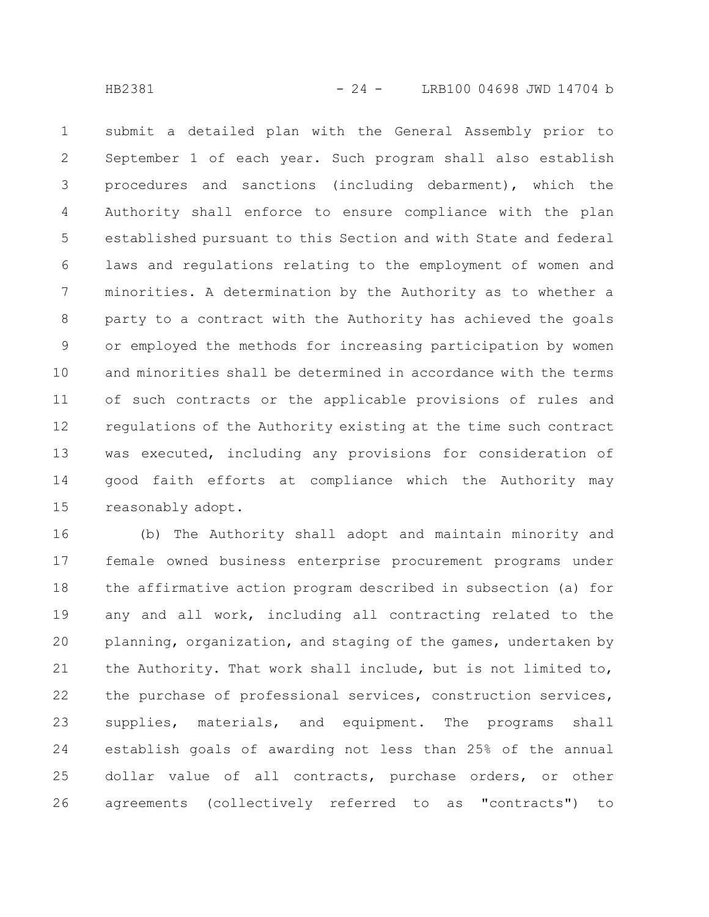submit a detailed plan with the General Assembly prior to September 1 of each year. Such program shall also establish procedures and sanctions (including debarment), which the Authority shall enforce to ensure compliance with the plan established pursuant to this Section and with State and federal laws and regulations relating to the employment of women and minorities. A determination by the Authority as to whether a party to a contract with the Authority has achieved the goals or employed the methods for increasing participation by women and minorities shall be determined in accordance with the terms of such contracts or the applicable provisions of rules and regulations of the Authority existing at the time such contract was executed, including any provisions for consideration of good faith efforts at compliance which the Authority may reasonably adopt. 1 2 3 4 5 6 7 8 9 10 11 12 13 14 15

(b) The Authority shall adopt and maintain minority and female owned business enterprise procurement programs under the affirmative action program described in subsection (a) for any and all work, including all contracting related to the planning, organization, and staging of the games, undertaken by the Authority. That work shall include, but is not limited to, the purchase of professional services, construction services, supplies, materials, and equipment. The programs shall establish goals of awarding not less than 25% of the annual dollar value of all contracts, purchase orders, or other agreements (collectively referred to as "contracts") to 16 17 18 19 20 21 22 23 24 25 26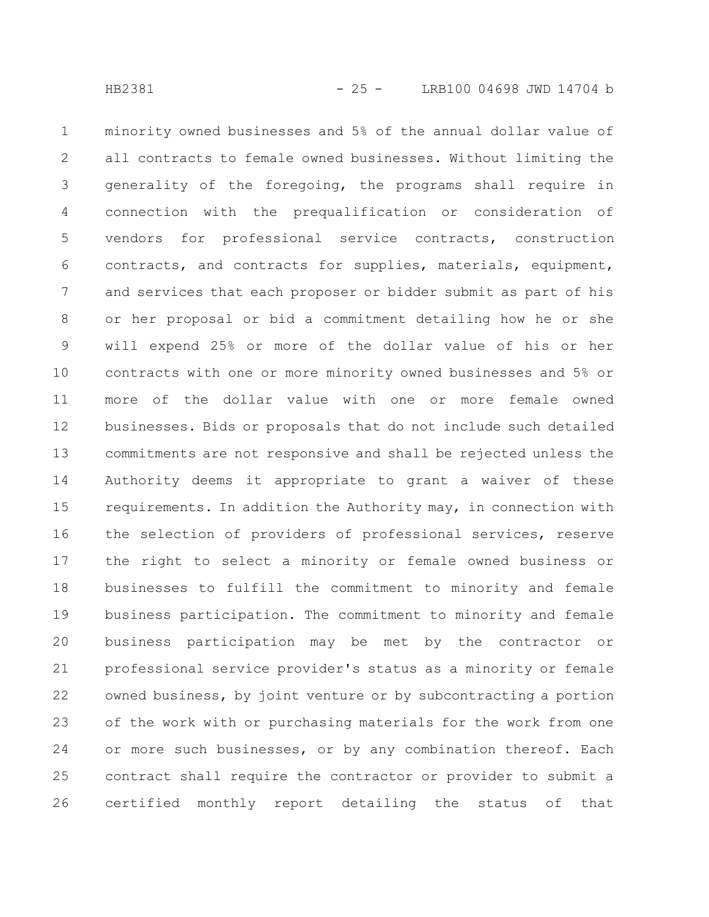minority owned businesses and 5% of the annual dollar value of all contracts to female owned businesses. Without limiting the generality of the foregoing, the programs shall require in connection with the prequalification or consideration of vendors for professional service contracts, construction contracts, and contracts for supplies, materials, equipment, and services that each proposer or bidder submit as part of his or her proposal or bid a commitment detailing how he or she will expend 25% or more of the dollar value of his or her contracts with one or more minority owned businesses and 5% or more of the dollar value with one or more female owned businesses. Bids or proposals that do not include such detailed commitments are not responsive and shall be rejected unless the Authority deems it appropriate to grant a waiver of these requirements. In addition the Authority may, in connection with the selection of providers of professional services, reserve the right to select a minority or female owned business or businesses to fulfill the commitment to minority and female business participation. The commitment to minority and female business participation may be met by the contractor or professional service provider's status as a minority or female owned business, by joint venture or by subcontracting a portion of the work with or purchasing materials for the work from one or more such businesses, or by any combination thereof. Each contract shall require the contractor or provider to submit a 1 2 3 4 5 6 7 8 9 10 11 12 13 14 15 16 17 18 19 20 21 22 23 24 25

certified monthly report detailing the status of that

26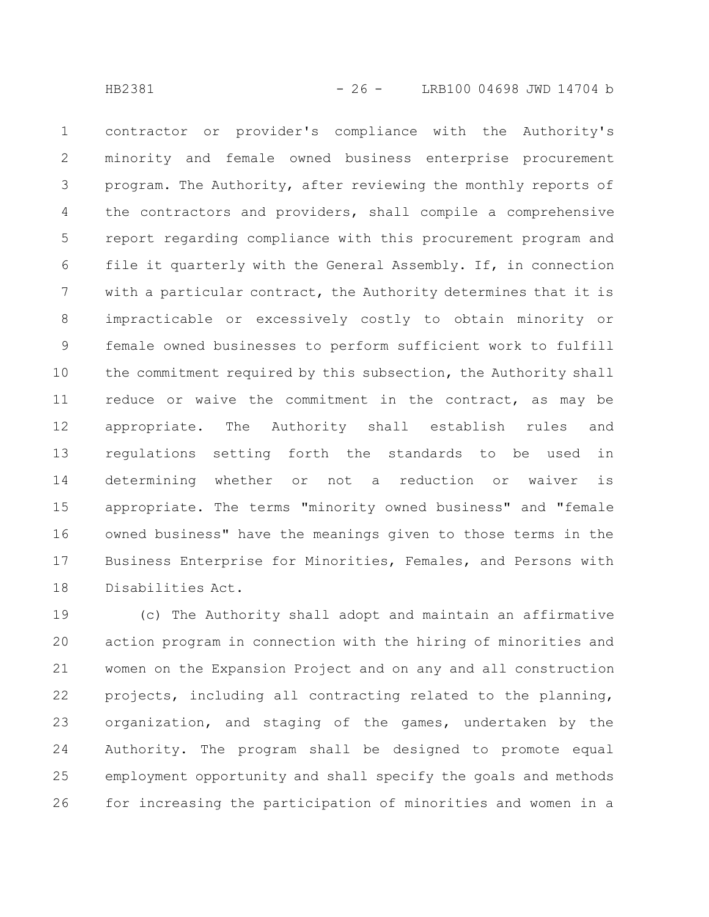contractor or provider's compliance with the Authority's minority and female owned business enterprise procurement program. The Authority, after reviewing the monthly reports of the contractors and providers, shall compile a comprehensive report regarding compliance with this procurement program and file it quarterly with the General Assembly. If, in connection with a particular contract, the Authority determines that it is impracticable or excessively costly to obtain minority or female owned businesses to perform sufficient work to fulfill the commitment required by this subsection, the Authority shall reduce or waive the commitment in the contract, as may be appropriate. The Authority shall establish rules and regulations setting forth the standards to be used in determining whether or not a reduction or waiver is appropriate. The terms "minority owned business" and "female owned business" have the meanings given to those terms in the Business Enterprise for Minorities, Females, and Persons with Disabilities Act. 1 2 3 4 5 6 7 8 9 10 11 12 13 14 15 16 17 18

(c) The Authority shall adopt and maintain an affirmative action program in connection with the hiring of minorities and women on the Expansion Project and on any and all construction projects, including all contracting related to the planning, organization, and staging of the games, undertaken by the Authority. The program shall be designed to promote equal employment opportunity and shall specify the goals and methods for increasing the participation of minorities and women in a 19 20 21 22 23 24 25 26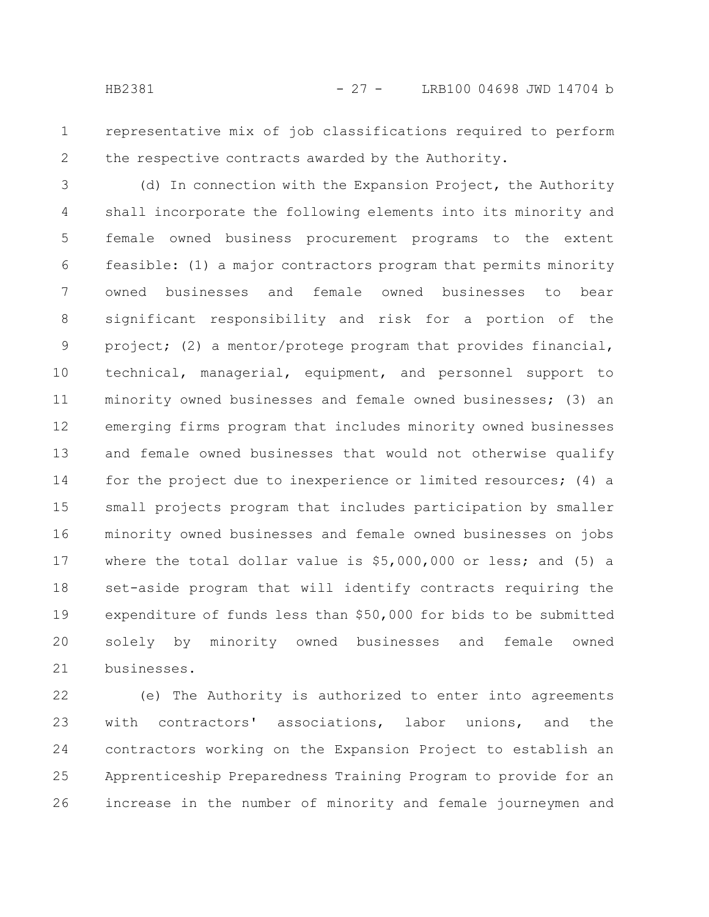representative mix of job classifications required to perform the respective contracts awarded by the Authority. 1 2

(d) In connection with the Expansion Project, the Authority shall incorporate the following elements into its minority and female owned business procurement programs to the extent feasible: (1) a major contractors program that permits minority owned businesses and female owned businesses to bear significant responsibility and risk for a portion of the project; (2) a mentor/protege program that provides financial, technical, managerial, equipment, and personnel support to minority owned businesses and female owned businesses; (3) an emerging firms program that includes minority owned businesses and female owned businesses that would not otherwise qualify for the project due to inexperience or limited resources; (4) a small projects program that includes participation by smaller minority owned businesses and female owned businesses on jobs where the total dollar value is \$5,000,000 or less; and (5) a set-aside program that will identify contracts requiring the expenditure of funds less than \$50,000 for bids to be submitted solely by minority owned businesses and female owned businesses. 3 4 5 6 7 8 9 10 11 12 13 14 15 16 17 18 19 20 21

(e) The Authority is authorized to enter into agreements with contractors' associations, labor unions, and the contractors working on the Expansion Project to establish an Apprenticeship Preparedness Training Program to provide for an increase in the number of minority and female journeymen and 22 23 24 25 26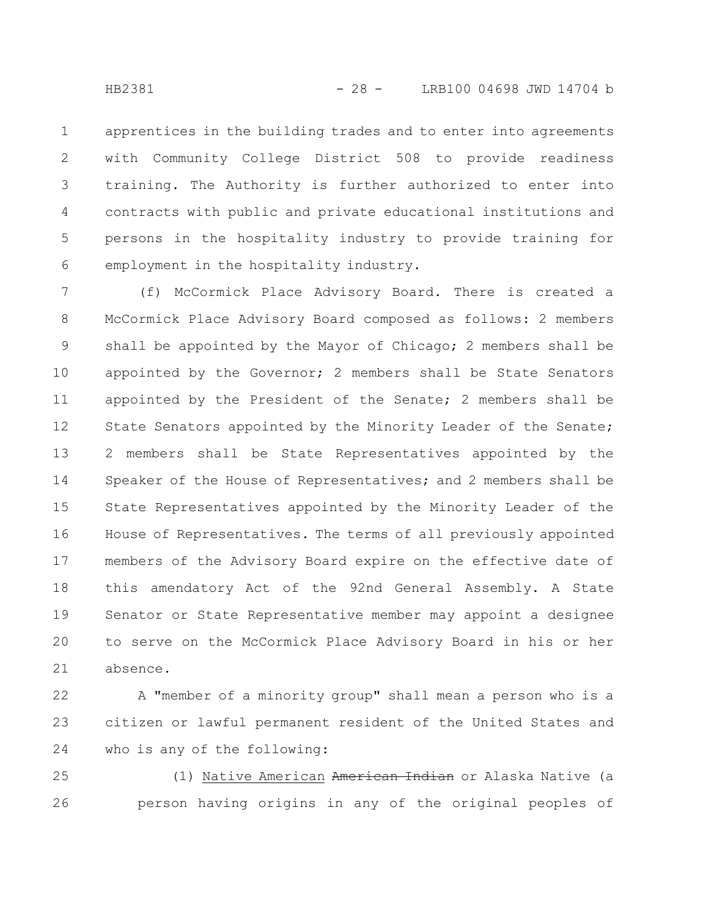apprentices in the building trades and to enter into agreements with Community College District 508 to provide readiness training. The Authority is further authorized to enter into contracts with public and private educational institutions and persons in the hospitality industry to provide training for employment in the hospitality industry. 1 2 3 4 5 6

(f) McCormick Place Advisory Board. There is created a McCormick Place Advisory Board composed as follows: 2 members shall be appointed by the Mayor of Chicago; 2 members shall be appointed by the Governor; 2 members shall be State Senators appointed by the President of the Senate; 2 members shall be State Senators appointed by the Minority Leader of the Senate; 2 members shall be State Representatives appointed by the Speaker of the House of Representatives; and 2 members shall be State Representatives appointed by the Minority Leader of the House of Representatives. The terms of all previously appointed members of the Advisory Board expire on the effective date of this amendatory Act of the 92nd General Assembly. A State Senator or State Representative member may appoint a designee to serve on the McCormick Place Advisory Board in his or her absence. 7 8 9 10 11 12 13 14 15 16 17 18 19 20 21

A "member of a minority group" shall mean a person who is a citizen or lawful permanent resident of the United States and who is any of the following: 22 23 24

(1) Native American American Indian or Alaska Native (a person having origins in any of the original peoples of 25 26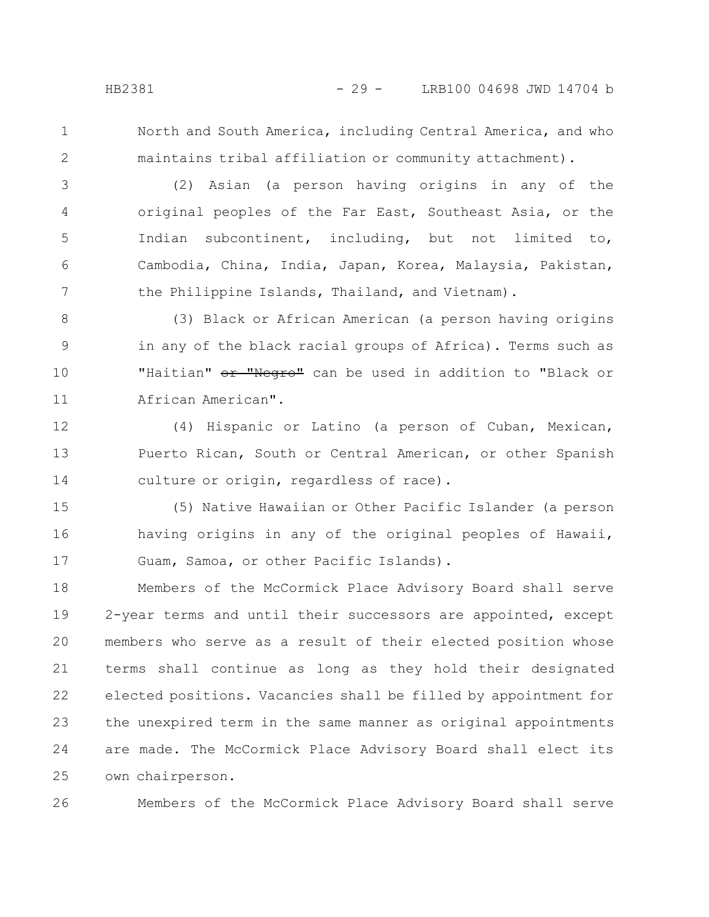1

2

26

North and South America, including Central America, and who maintains tribal affiliation or community attachment).

(2) Asian (a person having origins in any of the original peoples of the Far East, Southeast Asia, or the Indian subcontinent, including, but not limited to, Cambodia, China, India, Japan, Korea, Malaysia, Pakistan, the Philippine Islands, Thailand, and Vietnam). 3 4 5 6 7

(3) Black or African American (a person having origins in any of the black racial groups of Africa). Terms such as "Haitian" or "Negro" can be used in addition to "Black or African American". 8 9 10 11

(4) Hispanic or Latino (a person of Cuban, Mexican, Puerto Rican, South or Central American, or other Spanish culture or origin, regardless of race). 12 13 14

(5) Native Hawaiian or Other Pacific Islander (a person having origins in any of the original peoples of Hawaii, Guam, Samoa, or other Pacific Islands). 15 16 17

Members of the McCormick Place Advisory Board shall serve 2-year terms and until their successors are appointed, except members who serve as a result of their elected position whose terms shall continue as long as they hold their designated elected positions. Vacancies shall be filled by appointment for the unexpired term in the same manner as original appointments are made. The McCormick Place Advisory Board shall elect its own chairperson. 18 19 20 21 22 23 24 25

Members of the McCormick Place Advisory Board shall serve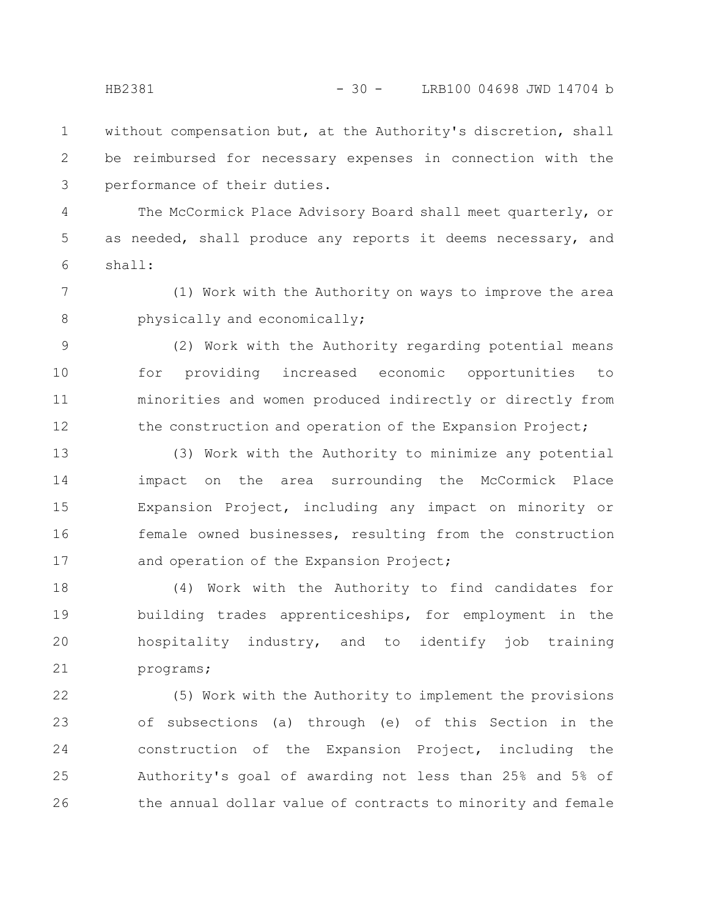without compensation but, at the Authority's discretion, shall be reimbursed for necessary expenses in connection with the performance of their duties. 1 2 3

The McCormick Place Advisory Board shall meet quarterly, or as needed, shall produce any reports it deems necessary, and shall: 4 5 6

(1) Work with the Authority on ways to improve the area physically and economically; 7 8

(2) Work with the Authority regarding potential means for providing increased economic opportunities to minorities and women produced indirectly or directly from the construction and operation of the Expansion Project; 9 10 11 12

(3) Work with the Authority to minimize any potential impact on the area surrounding the McCormick Place Expansion Project, including any impact on minority or female owned businesses, resulting from the construction and operation of the Expansion Project; 13 14 15 16 17

(4) Work with the Authority to find candidates for building trades apprenticeships, for employment in the hospitality industry, and to identify job training programs; 18 19 20 21

(5) Work with the Authority to implement the provisions of subsections (a) through (e) of this Section in the construction of the Expansion Project, including the Authority's goal of awarding not less than 25% and 5% of the annual dollar value of contracts to minority and female 22 23 24 25 26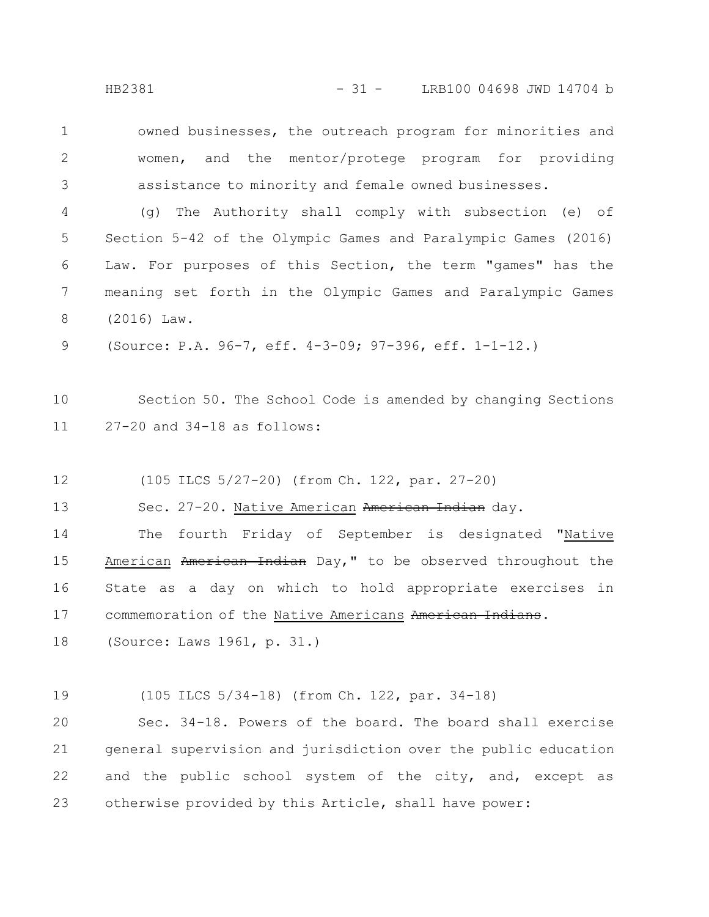owned businesses, the outreach program for minorities and women, and the mentor/protege program for providing assistance to minority and female owned businesses. 1 2 3

(g) The Authority shall comply with subsection (e) of Section 5-42 of the Olympic Games and Paralympic Games (2016) Law. For purposes of this Section, the term "games" has the meaning set forth in the Olympic Games and Paralympic Games (2016) Law. 4 5 6 7 8

(Source: P.A. 96-7, eff. 4-3-09; 97-396, eff. 1-1-12.) 9

Section 50. The School Code is amended by changing Sections 27-20 and 34-18 as follows: 10 11

(105 ILCS 5/27-20) (from Ch. 122, par. 27-20) 12

Sec. 27-20. Native American American Indian day. 13

The fourth Friday of September is designated "Native American American Indian Day," to be observed throughout the State as a day on which to hold appropriate exercises in commemoration of the Native Americans American Indians. 14 15 16 17

(Source: Laws 1961, p. 31.) 18

(105 ILCS 5/34-18) (from Ch. 122, par. 34-18) 19

Sec. 34-18. Powers of the board. The board shall exercise general supervision and jurisdiction over the public education and the public school system of the city, and, except as otherwise provided by this Article, shall have power: 20 21 22 23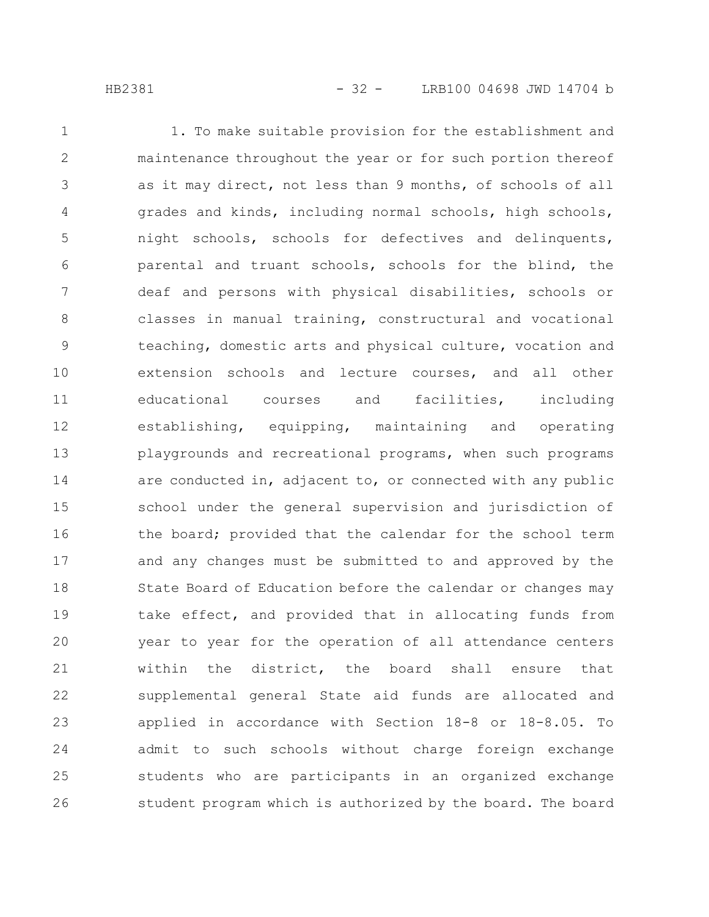1. To make suitable provision for the establishment and maintenance throughout the year or for such portion thereof as it may direct, not less than 9 months, of schools of all grades and kinds, including normal schools, high schools, night schools, schools for defectives and delinquents, parental and truant schools, schools for the blind, the deaf and persons with physical disabilities, schools or classes in manual training, constructural and vocational teaching, domestic arts and physical culture, vocation and extension schools and lecture courses, and all other educational courses and facilities, including establishing, equipping, maintaining and operating playgrounds and recreational programs, when such programs are conducted in, adjacent to, or connected with any public school under the general supervision and jurisdiction of the board; provided that the calendar for the school term and any changes must be submitted to and approved by the State Board of Education before the calendar or changes may take effect, and provided that in allocating funds from year to year for the operation of all attendance centers within the district, the board shall ensure that supplemental general State aid funds are allocated and applied in accordance with Section 18-8 or 18-8.05. To admit to such schools without charge foreign exchange students who are participants in an organized exchange student program which is authorized by the board. The board 1 2 3 4 5 6 7 8 9 10 11 12 13 14 15 16 17 18 19 20 21 22 23 24 25 26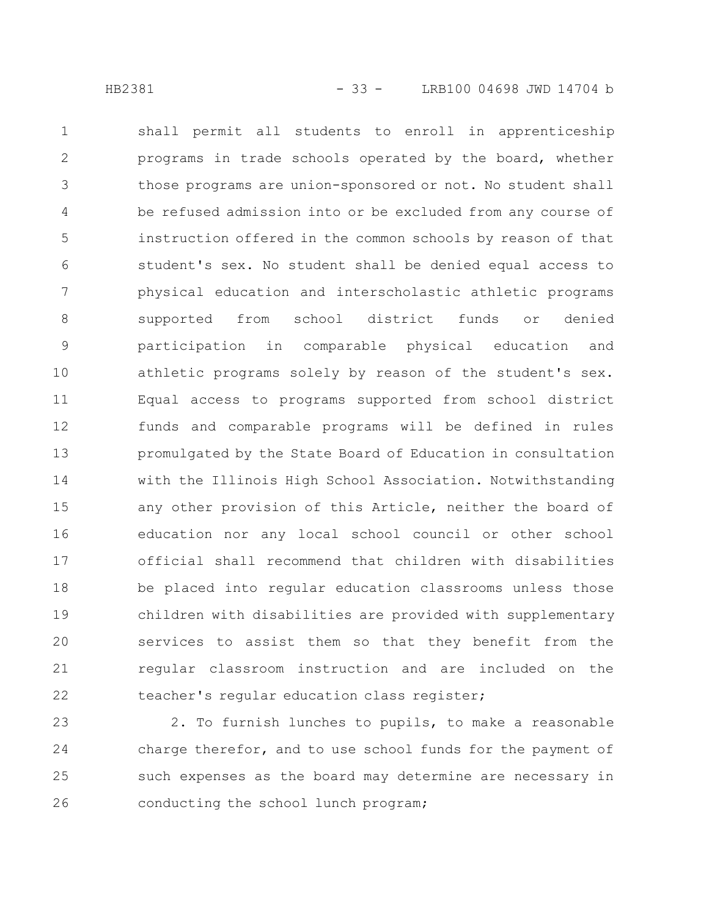shall permit all students to enroll in apprenticeship programs in trade schools operated by the board, whether those programs are union-sponsored or not. No student shall be refused admission into or be excluded from any course of instruction offered in the common schools by reason of that student's sex. No student shall be denied equal access to physical education and interscholastic athletic programs supported from school district funds or denied participation in comparable physical education and athletic programs solely by reason of the student's sex. Equal access to programs supported from school district funds and comparable programs will be defined in rules promulgated by the State Board of Education in consultation with the Illinois High School Association. Notwithstanding any other provision of this Article, neither the board of education nor any local school council or other school official shall recommend that children with disabilities be placed into regular education classrooms unless those children with disabilities are provided with supplementary services to assist them so that they benefit from the regular classroom instruction and are included on the teacher's regular education class register; 1 2 3 4 5 6 7 8 9 10 11 12 13 14 15 16 17 18 19 20 21 22

2. To furnish lunches to pupils, to make a reasonable charge therefor, and to use school funds for the payment of such expenses as the board may determine are necessary in conducting the school lunch program; 23 24 25 26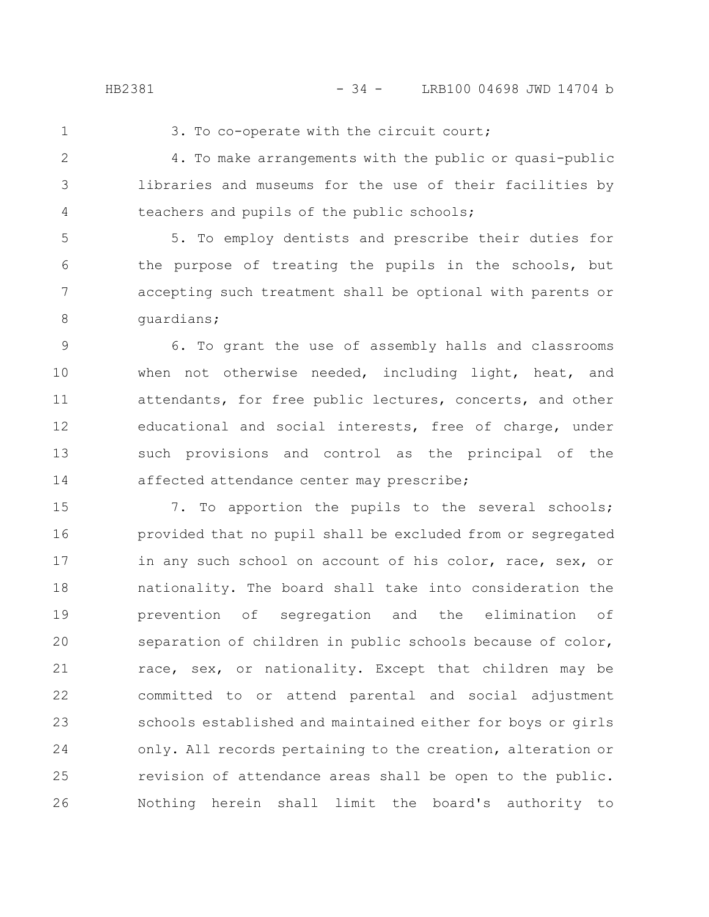1

#### 3. To co-operate with the circuit court;

4. To make arrangements with the public or quasi-public libraries and museums for the use of their facilities by teachers and pupils of the public schools; 2 3 4

5. To employ dentists and prescribe their duties for the purpose of treating the pupils in the schools, but accepting such treatment shall be optional with parents or guardians; 5 6 7 8

6. To grant the use of assembly halls and classrooms when not otherwise needed, including light, heat, and attendants, for free public lectures, concerts, and other educational and social interests, free of charge, under such provisions and control as the principal of the affected attendance center may prescribe; 9 10 11 12 13 14

7. To apportion the pupils to the several schools; provided that no pupil shall be excluded from or segregated in any such school on account of his color, race, sex, or nationality. The board shall take into consideration the prevention of segregation and the elimination of separation of children in public schools because of color, race, sex, or nationality. Except that children may be committed to or attend parental and social adjustment schools established and maintained either for boys or girls only. All records pertaining to the creation, alteration or revision of attendance areas shall be open to the public. Nothing herein shall limit the board's authority to 15 16 17 18 19 20 21 22 23 24 25 26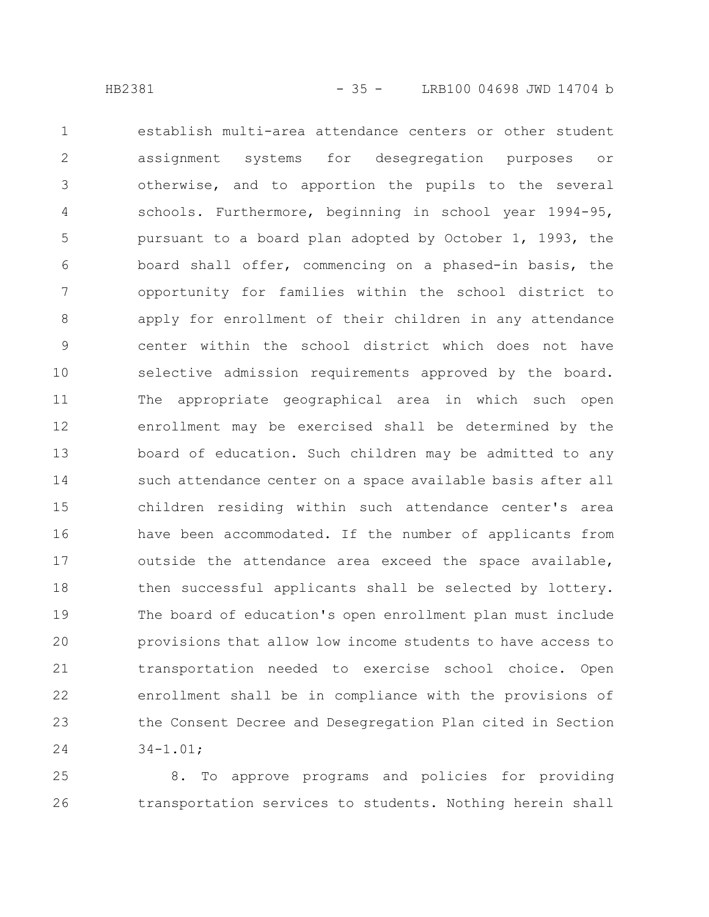establish multi-area attendance centers or other student assignment systems for desegregation purposes or otherwise, and to apportion the pupils to the several schools. Furthermore, beginning in school year 1994-95, pursuant to a board plan adopted by October 1, 1993, the board shall offer, commencing on a phased-in basis, the opportunity for families within the school district to apply for enrollment of their children in any attendance center within the school district which does not have selective admission requirements approved by the board. The appropriate geographical area in which such open enrollment may be exercised shall be determined by the board of education. Such children may be admitted to any such attendance center on a space available basis after all children residing within such attendance center's area have been accommodated. If the number of applicants from outside the attendance area exceed the space available, then successful applicants shall be selected by lottery. The board of education's open enrollment plan must include provisions that allow low income students to have access to transportation needed to exercise school choice. Open enrollment shall be in compliance with the provisions of the Consent Decree and Desegregation Plan cited in Section 34-1.01; 1 2 3 4 5 6 7 8 9 10 11 12 13 14 15 16 17 18 19 20 21 22 23 24

8. To approve programs and policies for providing transportation services to students. Nothing herein shall 25 26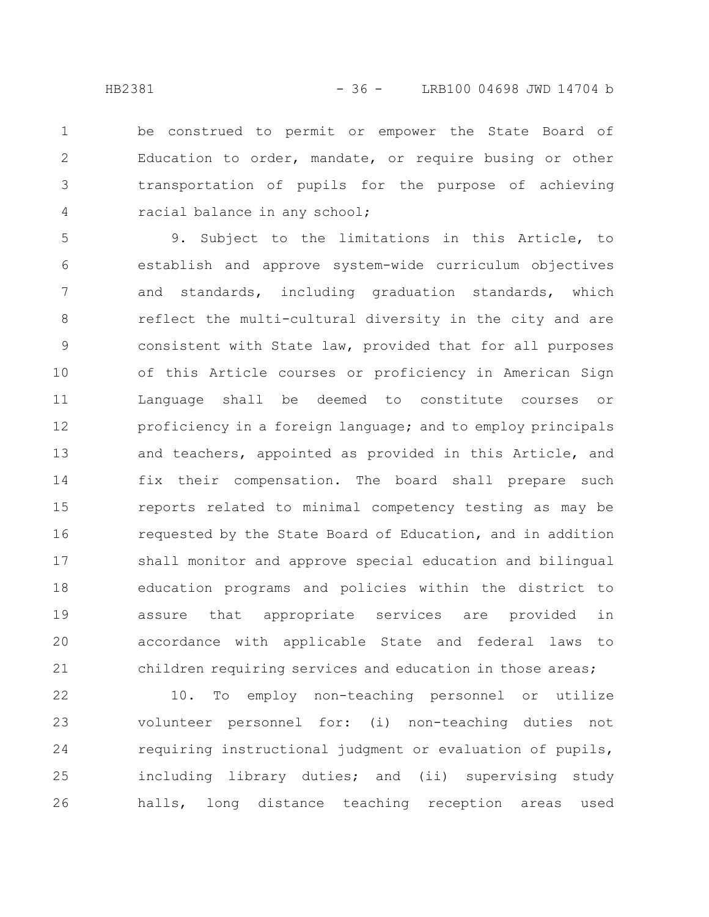be construed to permit or empower the State Board of Education to order, mandate, or require busing or other transportation of pupils for the purpose of achieving racial balance in any school; 1 2 3 4

9. Subject to the limitations in this Article, to establish and approve system-wide curriculum objectives and standards, including graduation standards, which reflect the multi-cultural diversity in the city and are consistent with State law, provided that for all purposes of this Article courses or proficiency in American Sign Language shall be deemed to constitute courses or proficiency in a foreign language; and to employ principals and teachers, appointed as provided in this Article, and fix their compensation. The board shall prepare such reports related to minimal competency testing as may be requested by the State Board of Education, and in addition shall monitor and approve special education and bilingual education programs and policies within the district to assure that appropriate services are provided in accordance with applicable State and federal laws to children requiring services and education in those areas; 5 6 7 8 9 10 11 12 13 14 15 16 17 18 19 20 21

10. To employ non-teaching personnel or utilize volunteer personnel for: (i) non-teaching duties not requiring instructional judgment or evaluation of pupils, including library duties; and (ii) supervising study halls, long distance teaching reception areas used 22 23 24 25 26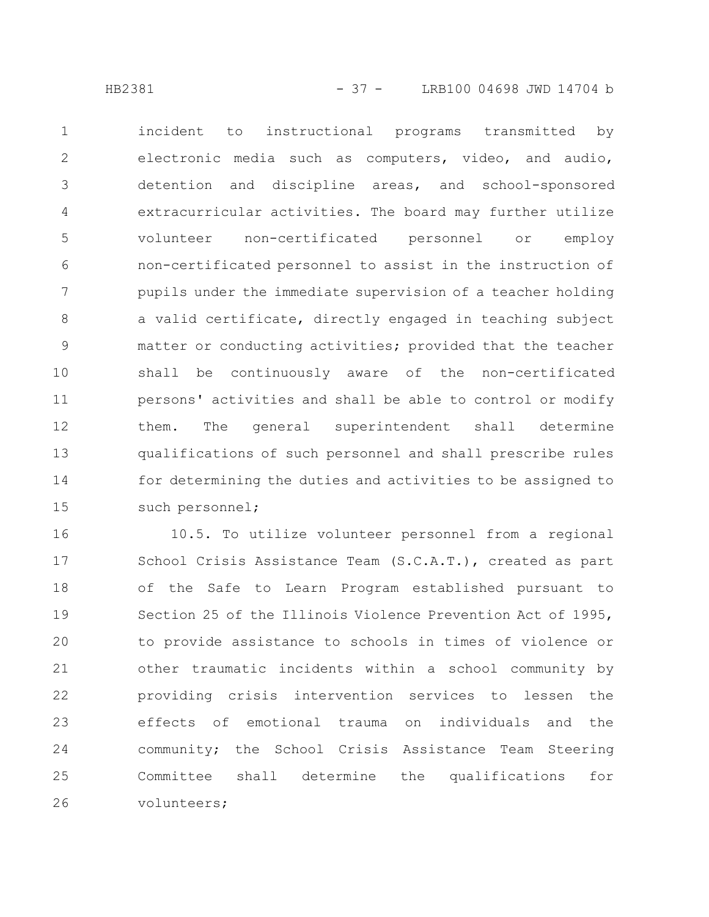incident to instructional programs transmitted by electronic media such as computers, video, and audio, detention and discipline areas, and school-sponsored extracurricular activities. The board may further utilize volunteer non-certificated personnel or employ non-certificated personnel to assist in the instruction of pupils under the immediate supervision of a teacher holding a valid certificate, directly engaged in teaching subject matter or conducting activities; provided that the teacher shall be continuously aware of the non-certificated persons' activities and shall be able to control or modify them. The general superintendent shall determine qualifications of such personnel and shall prescribe rules for determining the duties and activities to be assigned to such personnel; 1 2 3 4 5 6 7 8 9 10 11 12 13 14 15

10.5. To utilize volunteer personnel from a regional School Crisis Assistance Team (S.C.A.T.), created as part of the Safe to Learn Program established pursuant to Section 25 of the Illinois Violence Prevention Act of 1995, to provide assistance to schools in times of violence or other traumatic incidents within a school community by providing crisis intervention services to lessen the effects of emotional trauma on individuals and the community; the School Crisis Assistance Team Steering Committee shall determine the qualifications for volunteers; 16 17 18 19 20 21 22 23 24 25 26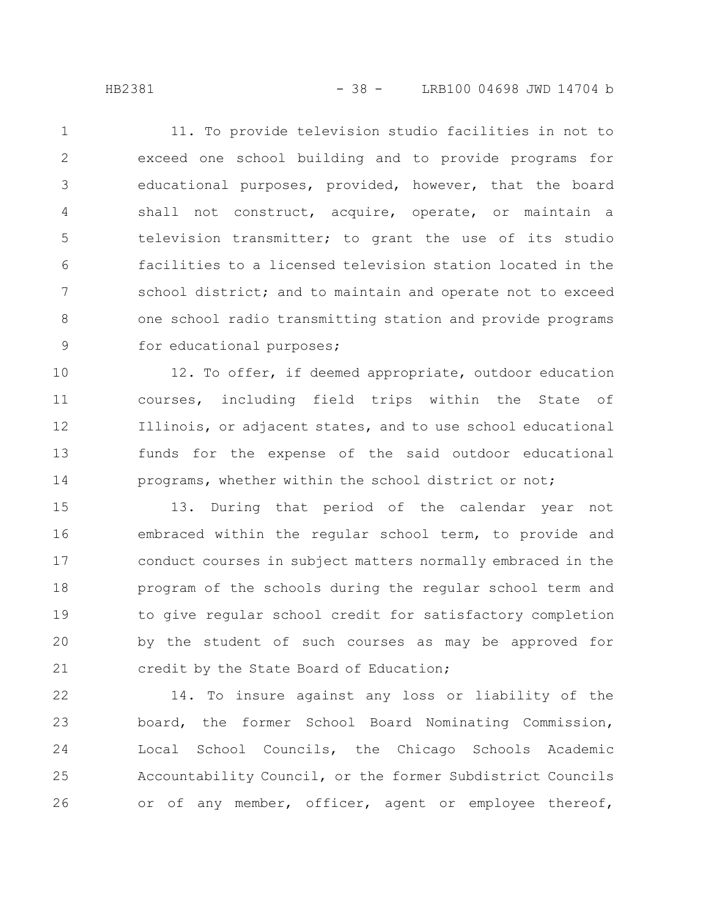11. To provide television studio facilities in not to exceed one school building and to provide programs for educational purposes, provided, however, that the board shall not construct, acquire, operate, or maintain a television transmitter; to grant the use of its studio facilities to a licensed television station located in the school district; and to maintain and operate not to exceed one school radio transmitting station and provide programs for educational purposes; 1 2 3 4 5 6 7 8 9

12. To offer, if deemed appropriate, outdoor education courses, including field trips within the State of Illinois, or adjacent states, and to use school educational funds for the expense of the said outdoor educational programs, whether within the school district or not; 10 11 12 13 14

13. During that period of the calendar year not embraced within the regular school term, to provide and conduct courses in subject matters normally embraced in the program of the schools during the regular school term and to give regular school credit for satisfactory completion by the student of such courses as may be approved for credit by the State Board of Education; 15 16 17 18 19 20 21

14. To insure against any loss or liability of the board, the former School Board Nominating Commission, Local School Councils, the Chicago Schools Academic Accountability Council, or the former Subdistrict Councils or of any member, officer, agent or employee thereof, 22 23 24 25 26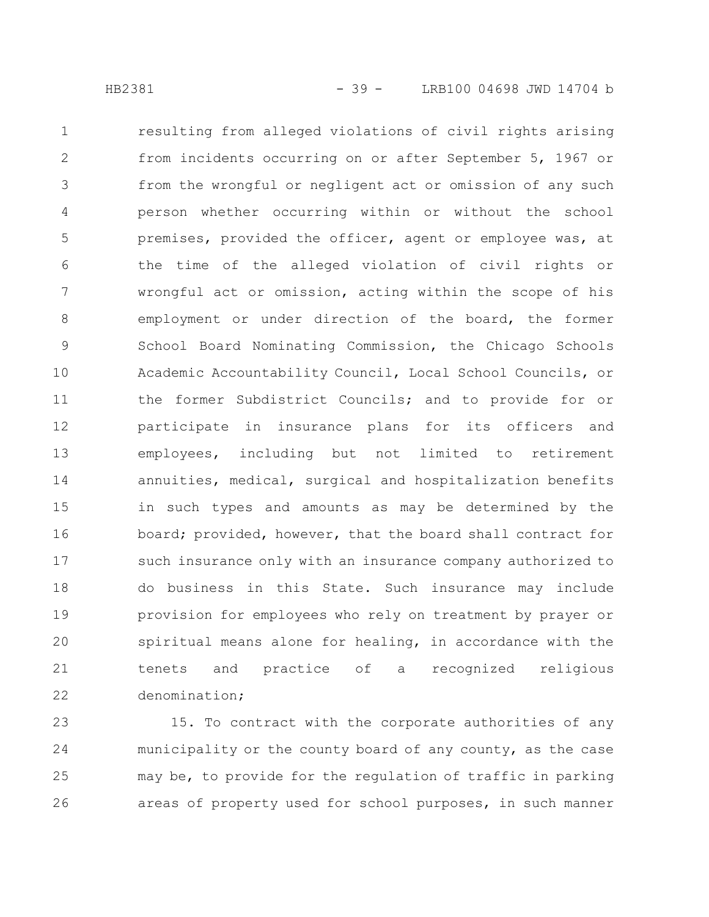resulting from alleged violations of civil rights arising from incidents occurring on or after September 5, 1967 or from the wrongful or negligent act or omission of any such person whether occurring within or without the school premises, provided the officer, agent or employee was, at the time of the alleged violation of civil rights or wrongful act or omission, acting within the scope of his employment or under direction of the board, the former School Board Nominating Commission, the Chicago Schools Academic Accountability Council, Local School Councils, or the former Subdistrict Councils; and to provide for or participate in insurance plans for its officers and employees, including but not limited to retirement annuities, medical, surgical and hospitalization benefits in such types and amounts as may be determined by the board; provided, however, that the board shall contract for such insurance only with an insurance company authorized to do business in this State. Such insurance may include provision for employees who rely on treatment by prayer or spiritual means alone for healing, in accordance with the tenets and practice of a recognized religious denomination; 1 2 3 4 5 6 7 8 9 10 11 12 13 14 15 16 17 18 19 20 21 22

15. To contract with the corporate authorities of any municipality or the county board of any county, as the case may be, to provide for the regulation of traffic in parking areas of property used for school purposes, in such manner 23 24 25 26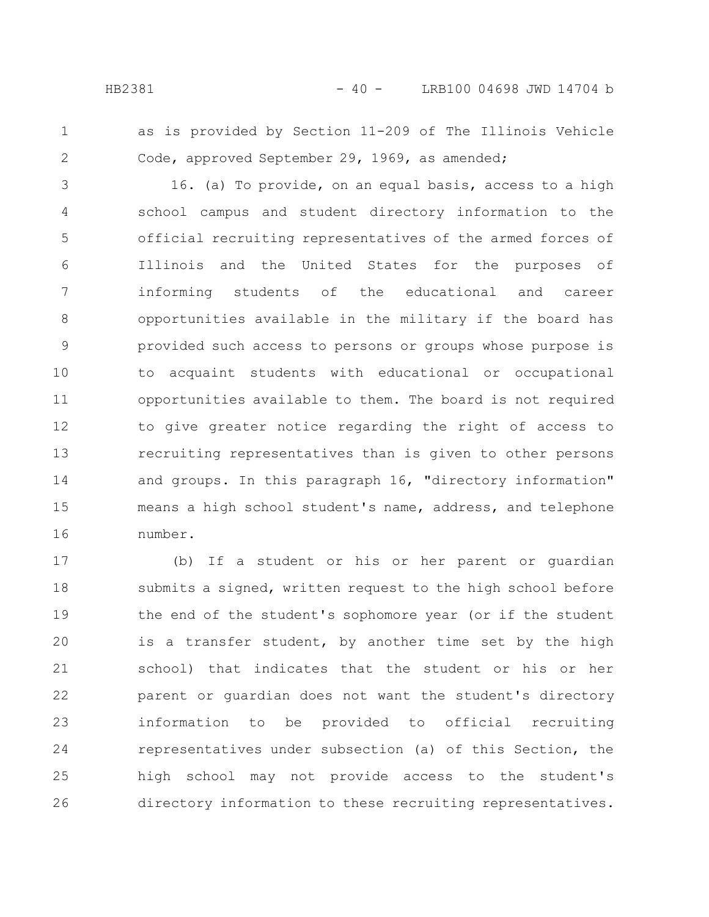- 
- 1 2

as is provided by Section 11-209 of The Illinois Vehicle Code, approved September 29, 1969, as amended;

16. (a) To provide, on an equal basis, access to a high school campus and student directory information to the official recruiting representatives of the armed forces of Illinois and the United States for the purposes of informing students of the educational and career opportunities available in the military if the board has provided such access to persons or groups whose purpose is to acquaint students with educational or occupational opportunities available to them. The board is not required to give greater notice regarding the right of access to recruiting representatives than is given to other persons and groups. In this paragraph 16, "directory information" means a high school student's name, address, and telephone number. 3 4 5 6 7 8 9 10 11 12 13 14 15 16

(b) If a student or his or her parent or guardian submits a signed, written request to the high school before the end of the student's sophomore year (or if the student is a transfer student, by another time set by the high school) that indicates that the student or his or her parent or guardian does not want the student's directory information to be provided to official recruiting representatives under subsection (a) of this Section, the high school may not provide access to the student's directory information to these recruiting representatives. 17 18 19 20 21 22 23 24 25 26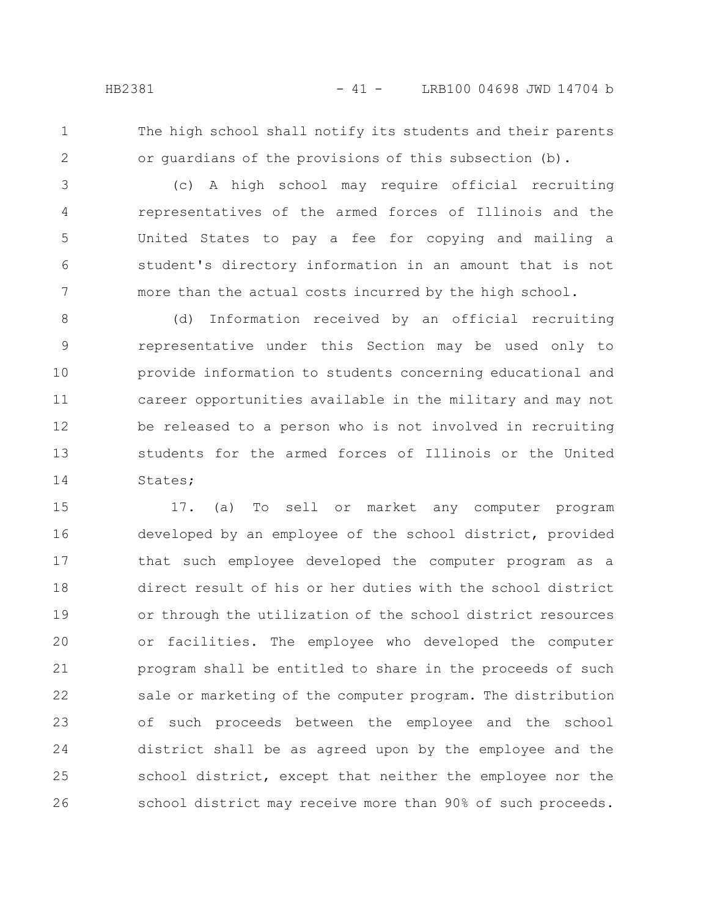1 2 The high school shall notify its students and their parents or guardians of the provisions of this subsection (b).

(c) A high school may require official recruiting representatives of the armed forces of Illinois and the United States to pay a fee for copying and mailing a student's directory information in an amount that is not more than the actual costs incurred by the high school. 3 4 5 6 7

(d) Information received by an official recruiting representative under this Section may be used only to provide information to students concerning educational and career opportunities available in the military and may not be released to a person who is not involved in recruiting students for the armed forces of Illinois or the United States; 8 9 10 11 12 13 14

17. (a) To sell or market any computer program developed by an employee of the school district, provided that such employee developed the computer program as a direct result of his or her duties with the school district or through the utilization of the school district resources or facilities. The employee who developed the computer program shall be entitled to share in the proceeds of such sale or marketing of the computer program. The distribution of such proceeds between the employee and the school district shall be as agreed upon by the employee and the school district, except that neither the employee nor the school district may receive more than 90% of such proceeds. 15 16 17 18 19 20 21 22 23 24 25 26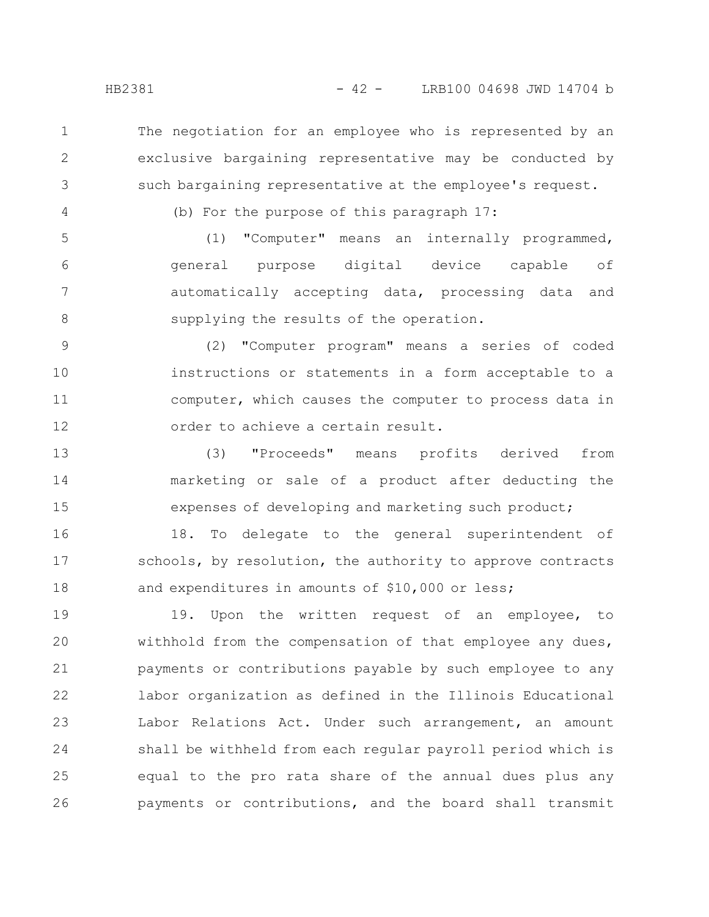The negotiation for an employee who is represented by an exclusive bargaining representative may be conducted by such bargaining representative at the employee's request.

4

1

2

3

(b) For the purpose of this paragraph 17:

(1) "Computer" means an internally programmed, general purpose digital device capable of automatically accepting data, processing data and supplying the results of the operation. 5 6 7 8

(2) "Computer program" means a series of coded instructions or statements in a form acceptable to a computer, which causes the computer to process data in order to achieve a certain result. 9 10 11 12

(3) "Proceeds" means profits derived from marketing or sale of a product after deducting the expenses of developing and marketing such product; 13 14 15

18. To delegate to the general superintendent of schools, by resolution, the authority to approve contracts and expenditures in amounts of \$10,000 or less; 16 17 18

19. Upon the written request of an employee, to withhold from the compensation of that employee any dues, payments or contributions payable by such employee to any labor organization as defined in the Illinois Educational Labor Relations Act. Under such arrangement, an amount shall be withheld from each regular payroll period which is equal to the pro rata share of the annual dues plus any payments or contributions, and the board shall transmit 19 20 21 22 23 24 25 26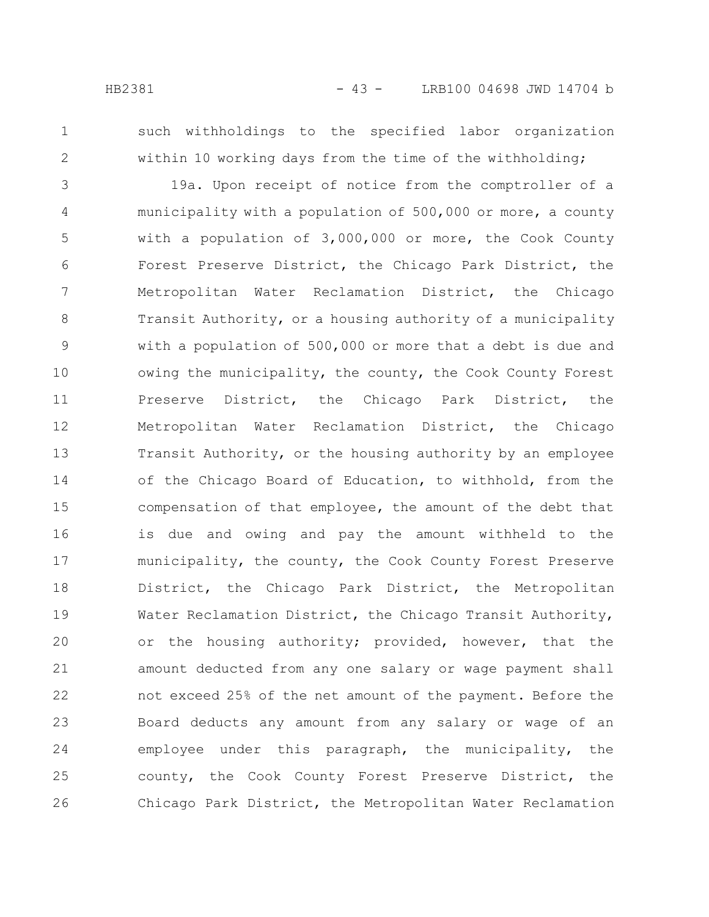- 
- 1 2

such withholdings to the specified labor organization within 10 working days from the time of the withholding;

19a. Upon receipt of notice from the comptroller of a municipality with a population of 500,000 or more, a county with a population of 3,000,000 or more, the Cook County Forest Preserve District, the Chicago Park District, the Metropolitan Water Reclamation District, the Chicago Transit Authority, or a housing authority of a municipality with a population of 500,000 or more that a debt is due and owing the municipality, the county, the Cook County Forest Preserve District, the Chicago Park District, the Metropolitan Water Reclamation District, the Chicago Transit Authority, or the housing authority by an employee of the Chicago Board of Education, to withhold, from the compensation of that employee, the amount of the debt that is due and owing and pay the amount withheld to the municipality, the county, the Cook County Forest Preserve District, the Chicago Park District, the Metropolitan Water Reclamation District, the Chicago Transit Authority, or the housing authority; provided, however, that the amount deducted from any one salary or wage payment shall not exceed 25% of the net amount of the payment. Before the Board deducts any amount from any salary or wage of an employee under this paragraph, the municipality, the county, the Cook County Forest Preserve District, the Chicago Park District, the Metropolitan Water Reclamation 3 4 5 6 7 8 9 10 11 12 13 14 15 16 17 18 19 20 21 22 23 24 25 26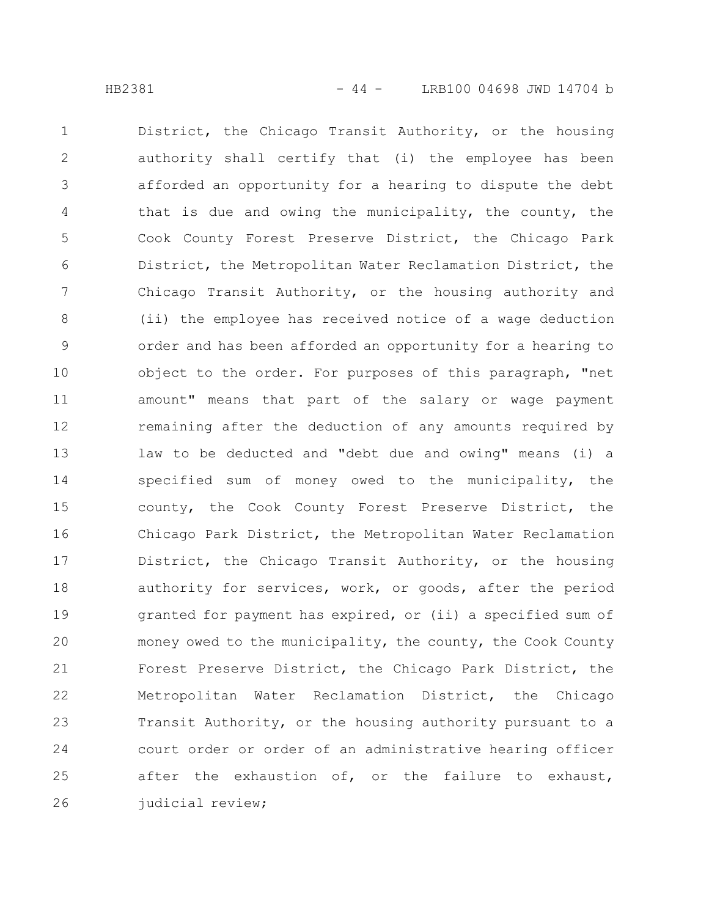District, the Chicago Transit Authority, or the housing authority shall certify that (i) the employee has been afforded an opportunity for a hearing to dispute the debt that is due and owing the municipality, the county, the Cook County Forest Preserve District, the Chicago Park District, the Metropolitan Water Reclamation District, the Chicago Transit Authority, or the housing authority and (ii) the employee has received notice of a wage deduction order and has been afforded an opportunity for a hearing to object to the order. For purposes of this paragraph, "net amount" means that part of the salary or wage payment remaining after the deduction of any amounts required by law to be deducted and "debt due and owing" means (i) a specified sum of money owed to the municipality, the county, the Cook County Forest Preserve District, the Chicago Park District, the Metropolitan Water Reclamation District, the Chicago Transit Authority, or the housing authority for services, work, or goods, after the period granted for payment has expired, or (ii) a specified sum of money owed to the municipality, the county, the Cook County Forest Preserve District, the Chicago Park District, the Metropolitan Water Reclamation District, the Chicago Transit Authority, or the housing authority pursuant to a court order or order of an administrative hearing officer after the exhaustion of, or the failure to exhaust, judicial review; 1 2 3 4 5 6 7 8 9 10 11 12 13 14 15 16 17 18 19 20 21 22 23 24 25 26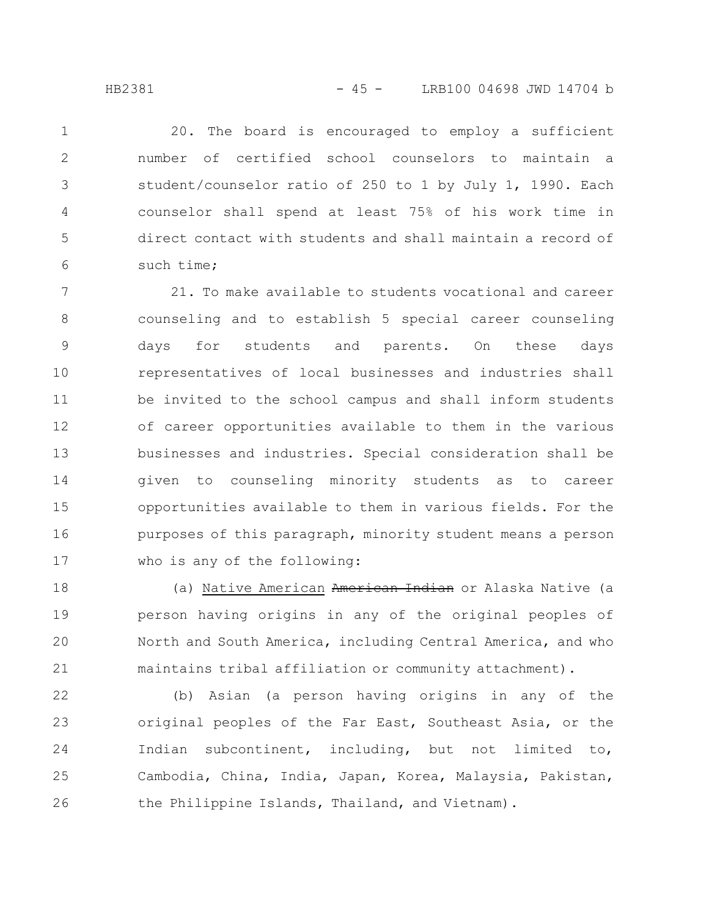20. The board is encouraged to employ a sufficient number of certified school counselors to maintain a student/counselor ratio of 250 to 1 by July 1, 1990. Each counselor shall spend at least 75% of his work time in direct contact with students and shall maintain a record of such time; 1 2 3 4 5 6

21. To make available to students vocational and career counseling and to establish 5 special career counseling days for students and parents. On these days representatives of local businesses and industries shall be invited to the school campus and shall inform students of career opportunities available to them in the various businesses and industries. Special consideration shall be given to counseling minority students as to career opportunities available to them in various fields. For the purposes of this paragraph, minority student means a person who is any of the following: 7 8 9 10 11 12 13 14 15 16 17

(a) Native American American Indian or Alaska Native (a person having origins in any of the original peoples of North and South America, including Central America, and who maintains tribal affiliation or community attachment). 18 19 20 21

(b) Asian (a person having origins in any of the original peoples of the Far East, Southeast Asia, or the Indian subcontinent, including, but not limited to, Cambodia, China, India, Japan, Korea, Malaysia, Pakistan, the Philippine Islands, Thailand, and Vietnam). 22 23 24 25 26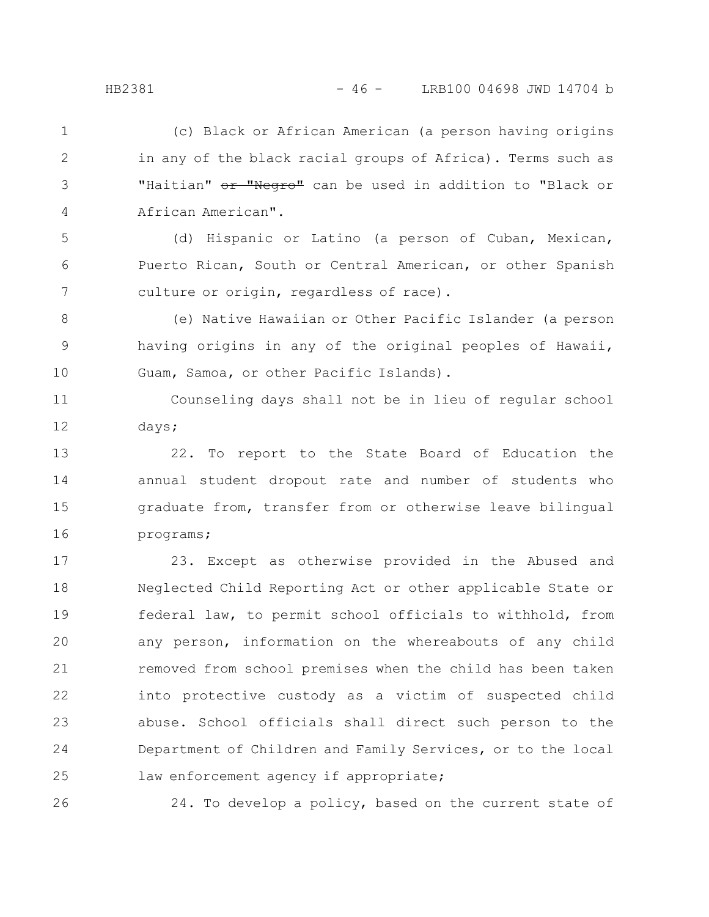(c) Black or African American (a person having origins in any of the black racial groups of Africa). Terms such as "Haitian" or "Negro" can be used in addition to "Black or African American". 1 2 3 4

(d) Hispanic or Latino (a person of Cuban, Mexican, Puerto Rican, South or Central American, or other Spanish culture or origin, regardless of race). 5 6 7

(e) Native Hawaiian or Other Pacific Islander (a person having origins in any of the original peoples of Hawaii, Guam, Samoa, or other Pacific Islands). 8 9 10

Counseling days shall not be in lieu of regular school days; 11 12

22. To report to the State Board of Education the annual student dropout rate and number of students who graduate from, transfer from or otherwise leave bilingual programs; 13 14 15 16

23. Except as otherwise provided in the Abused and Neglected Child Reporting Act or other applicable State or federal law, to permit school officials to withhold, from any person, information on the whereabouts of any child removed from school premises when the child has been taken into protective custody as a victim of suspected child abuse. School officials shall direct such person to the Department of Children and Family Services, or to the local law enforcement agency if appropriate; 17 18 19 20 21 22 23 24 25

26

24. To develop a policy, based on the current state of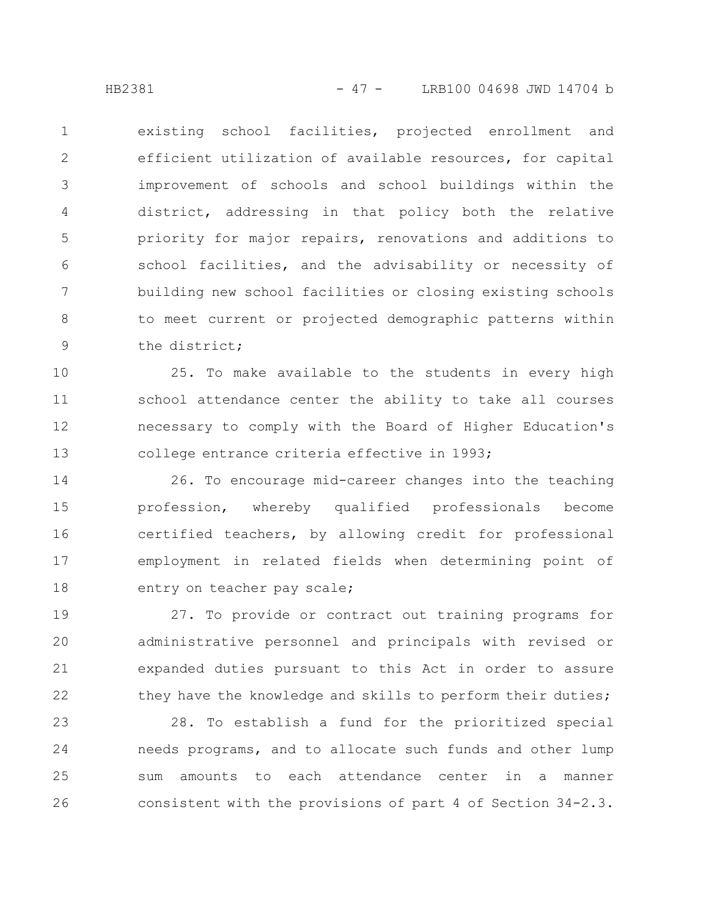existing school facilities, projected enrollment and efficient utilization of available resources, for capital improvement of schools and school buildings within the district, addressing in that policy both the relative priority for major repairs, renovations and additions to school facilities, and the advisability or necessity of building new school facilities or closing existing schools to meet current or projected demographic patterns within the district; 1 2 3 4 5 6 7 8 9

25. To make available to the students in every high school attendance center the ability to take all courses necessary to comply with the Board of Higher Education's college entrance criteria effective in 1993; 10 11 12 13

26. To encourage mid-career changes into the teaching profession, whereby qualified professionals become certified teachers, by allowing credit for professional employment in related fields when determining point of entry on teacher pay scale; 14 15 16 17 18

27. To provide or contract out training programs for administrative personnel and principals with revised or expanded duties pursuant to this Act in order to assure they have the knowledge and skills to perform their duties; 19 20 21 22

28. To establish a fund for the prioritized special needs programs, and to allocate such funds and other lump sum amounts to each attendance center in a manner consistent with the provisions of part 4 of Section 34-2.3. 23 24 25 26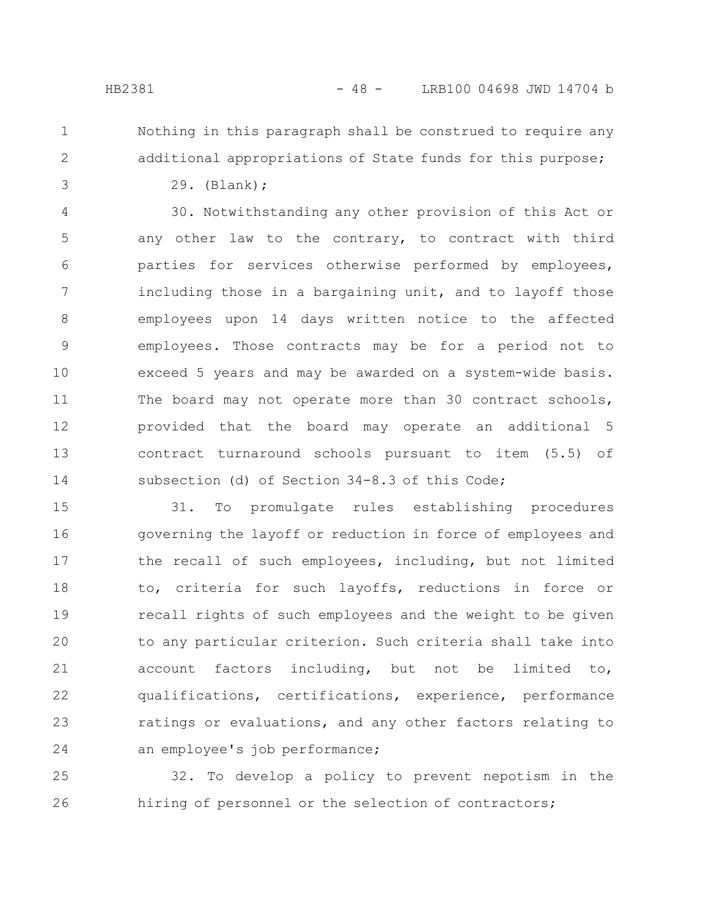- 
- 1 2

3

Nothing in this paragraph shall be construed to require any additional appropriations of State funds for this purpose;

29. (Blank);

30. Notwithstanding any other provision of this Act or any other law to the contrary, to contract with third parties for services otherwise performed by employees, including those in a bargaining unit, and to layoff those employees upon 14 days written notice to the affected employees. Those contracts may be for a period not to exceed 5 years and may be awarded on a system-wide basis. The board may not operate more than 30 contract schools, provided that the board may operate an additional 5 contract turnaround schools pursuant to item (5.5) of subsection (d) of Section 34-8.3 of this Code; 4 5 6 7 8 9 10 11 12 13 14

31. To promulgate rules establishing procedures governing the layoff or reduction in force of employees and the recall of such employees, including, but not limited to, criteria for such layoffs, reductions in force or recall rights of such employees and the weight to be given to any particular criterion. Such criteria shall take into account factors including, but not be limited to, qualifications, certifications, experience, performance ratings or evaluations, and any other factors relating to an employee's job performance; 15 16 17 18 19 20 21 22 23 24

32. To develop a policy to prevent nepotism in the hiring of personnel or the selection of contractors; 25 26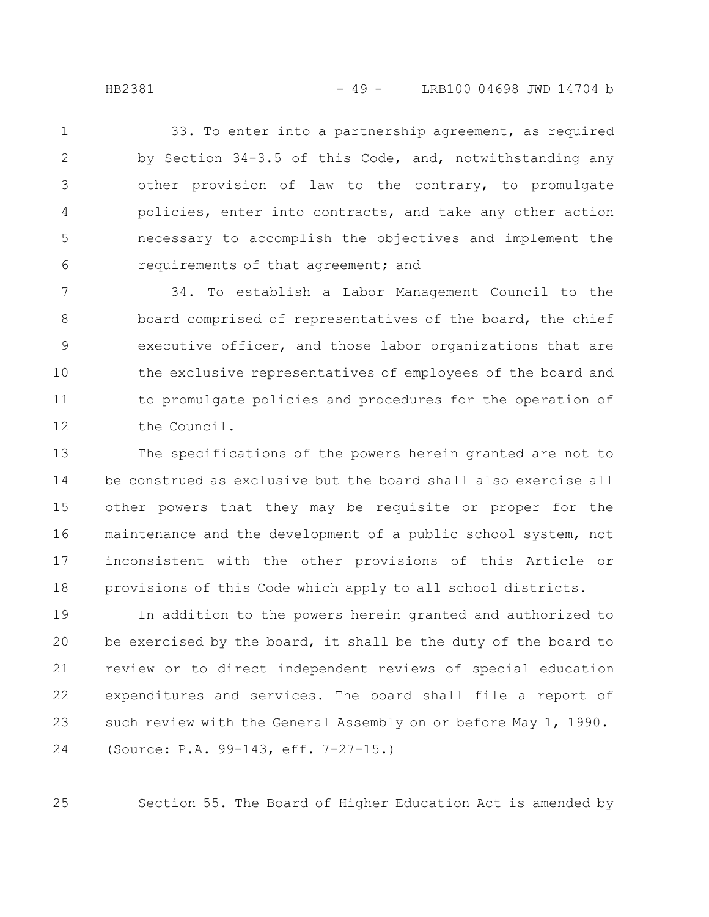HB2381 - 49 - LRB100 04698 JWD 14704 b

33. To enter into a partnership agreement, as required by Section 34-3.5 of this Code, and, notwithstanding any other provision of law to the contrary, to promulgate policies, enter into contracts, and take any other action necessary to accomplish the objectives and implement the requirements of that agreement; and 1 2 3 4 5 6

34. To establish a Labor Management Council to the board comprised of representatives of the board, the chief executive officer, and those labor organizations that are the exclusive representatives of employees of the board and to promulgate policies and procedures for the operation of the Council. 7 8 9 10 11 12

The specifications of the powers herein granted are not to be construed as exclusive but the board shall also exercise all other powers that they may be requisite or proper for the maintenance and the development of a public school system, not inconsistent with the other provisions of this Article or provisions of this Code which apply to all school districts. 13 14 15 16 17 18

In addition to the powers herein granted and authorized to be exercised by the board, it shall be the duty of the board to review or to direct independent reviews of special education expenditures and services. The board shall file a report of such review with the General Assembly on or before May 1, 1990. (Source: P.A. 99-143, eff. 7-27-15.) 19 20 21 22 23 24

Section 55. The Board of Higher Education Act is amended by

25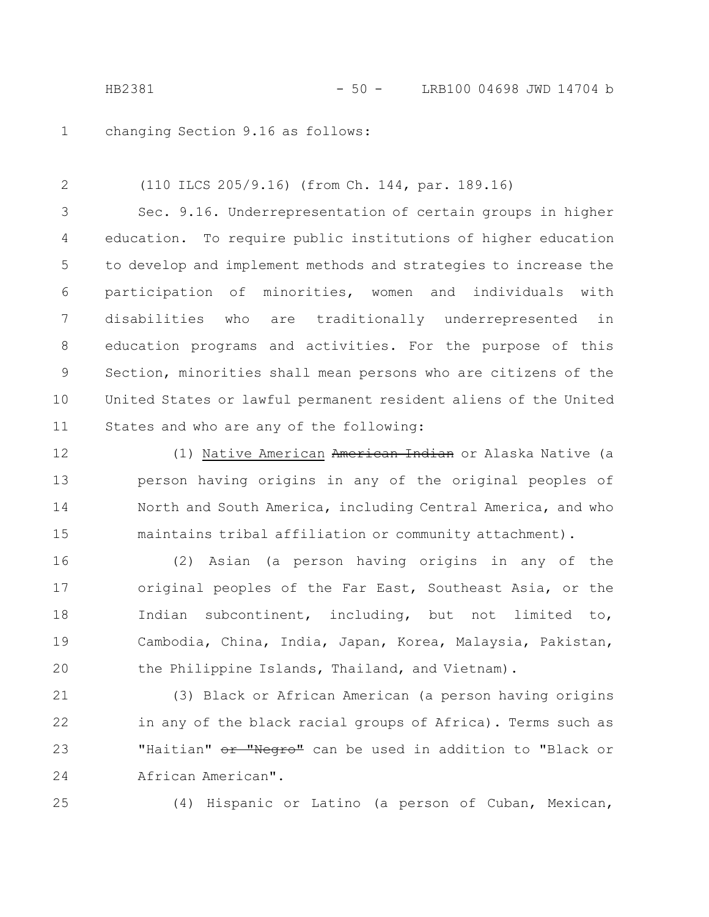changing Section 9.16 as follows: 1

(110 ILCS 205/9.16) (from Ch. 144, par. 189.16) Sec. 9.16. Underrepresentation of certain groups in higher education. To require public institutions of higher education to develop and implement methods and strategies to increase the participation of minorities, women and individuals with disabilities who are traditionally underrepresented in education programs and activities. For the purpose of this Section, minorities shall mean persons who are citizens of the United States or lawful permanent resident aliens of the United States and who are any of the following: 2 3 4 5 6 7 8 9 10 11

(1) Native American American Indian or Alaska Native (a person having origins in any of the original peoples of North and South America, including Central America, and who maintains tribal affiliation or community attachment). 12 13 14 15

(2) Asian (a person having origins in any of the original peoples of the Far East, Southeast Asia, or the Indian subcontinent, including, but not limited to, Cambodia, China, India, Japan, Korea, Malaysia, Pakistan, the Philippine Islands, Thailand, and Vietnam). 16 17 18 19 20

(3) Black or African American (a person having origins in any of the black racial groups of Africa). Terms such as "Haitian" or "Negro" can be used in addition to "Black or African American". 21 22 23 24

25

(4) Hispanic or Latino (a person of Cuban, Mexican,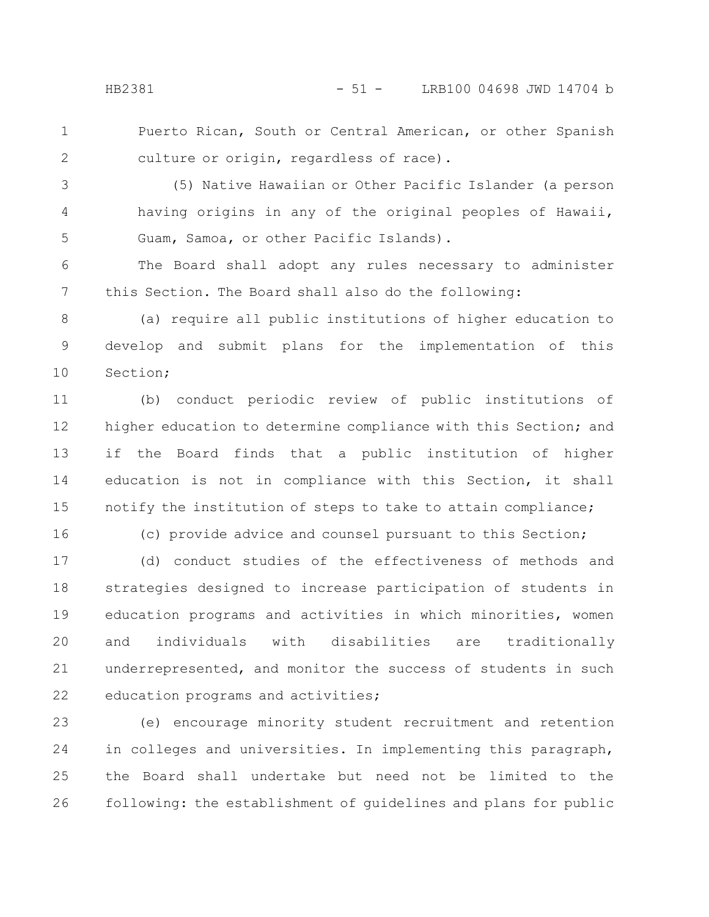Puerto Rican, South or Central American, or other Spanish culture or origin, regardless of race). 1 2

(5) Native Hawaiian or Other Pacific Islander (a person having origins in any of the original peoples of Hawaii, Guam, Samoa, or other Pacific Islands). 3 4 5

The Board shall adopt any rules necessary to administer this Section. The Board shall also do the following: 6 7

(a) require all public institutions of higher education to develop and submit plans for the implementation of this Section; 8 9 10

(b) conduct periodic review of public institutions of higher education to determine compliance with this Section; and if the Board finds that a public institution of higher education is not in compliance with this Section, it shall notify the institution of steps to take to attain compliance; 11 12 13 14 15

16

(c) provide advice and counsel pursuant to this Section;

(d) conduct studies of the effectiveness of methods and strategies designed to increase participation of students in education programs and activities in which minorities, women and individuals with disabilities are traditionally underrepresented, and monitor the success of students in such education programs and activities; 17 18 19 20 21 22

(e) encourage minority student recruitment and retention in colleges and universities. In implementing this paragraph, the Board shall undertake but need not be limited to the following: the establishment of guidelines and plans for public 23 24 25 26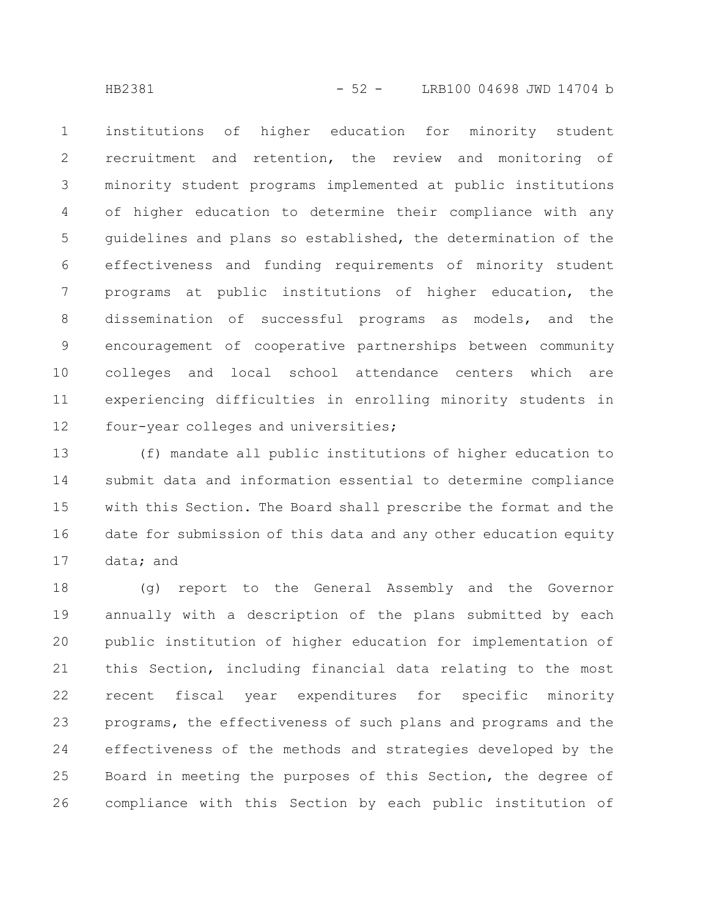HB2381 - 52 - LRB100 04698 JWD 14704 b

institutions of higher education for minority student recruitment and retention, the review and monitoring of minority student programs implemented at public institutions of higher education to determine their compliance with any guidelines and plans so established, the determination of the effectiveness and funding requirements of minority student programs at public institutions of higher education, the dissemination of successful programs as models, and the encouragement of cooperative partnerships between community colleges and local school attendance centers which are experiencing difficulties in enrolling minority students in four-year colleges and universities; 1 2 3 4 5 6 7 8 9 10 11 12

(f) mandate all public institutions of higher education to submit data and information essential to determine compliance with this Section. The Board shall prescribe the format and the date for submission of this data and any other education equity data; and 13 14 15 16 17

(g) report to the General Assembly and the Governor annually with a description of the plans submitted by each public institution of higher education for implementation of this Section, including financial data relating to the most recent fiscal year expenditures for specific minority programs, the effectiveness of such plans and programs and the effectiveness of the methods and strategies developed by the Board in meeting the purposes of this Section, the degree of compliance with this Section by each public institution of 18 19 20 21 22 23 24 25 26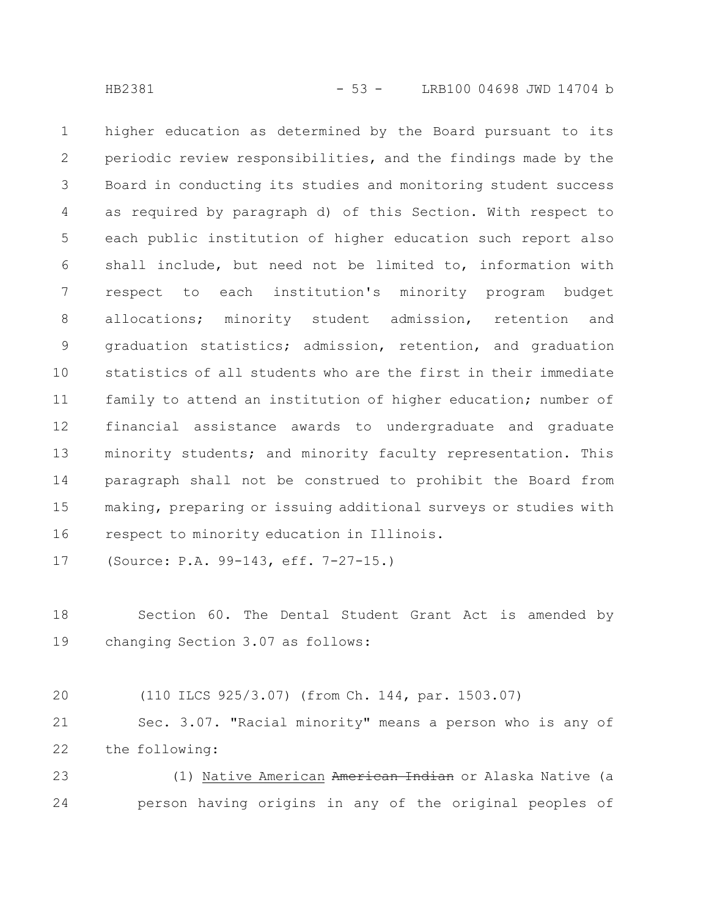higher education as determined by the Board pursuant to its periodic review responsibilities, and the findings made by the Board in conducting its studies and monitoring student success as required by paragraph d) of this Section. With respect to each public institution of higher education such report also shall include, but need not be limited to, information with respect to each institution's minority program budget allocations; minority student admission, retention and graduation statistics; admission, retention, and graduation statistics of all students who are the first in their immediate family to attend an institution of higher education; number of financial assistance awards to undergraduate and graduate minority students; and minority faculty representation. This paragraph shall not be construed to prohibit the Board from making, preparing or issuing additional surveys or studies with respect to minority education in Illinois. 1 2 3 4 5 6 7 8 9 10 11 12 13 14 15 16

(Source: P.A. 99-143, eff. 7-27-15.) 17

Section 60. The Dental Student Grant Act is amended by changing Section 3.07 as follows: 18 19

(110 ILCS 925/3.07) (from Ch. 144, par. 1503.07) 20

Sec. 3.07. "Racial minority" means a person who is any of the following: 21 22

(1) Native American American Indian or Alaska Native (a person having origins in any of the original peoples of 23 24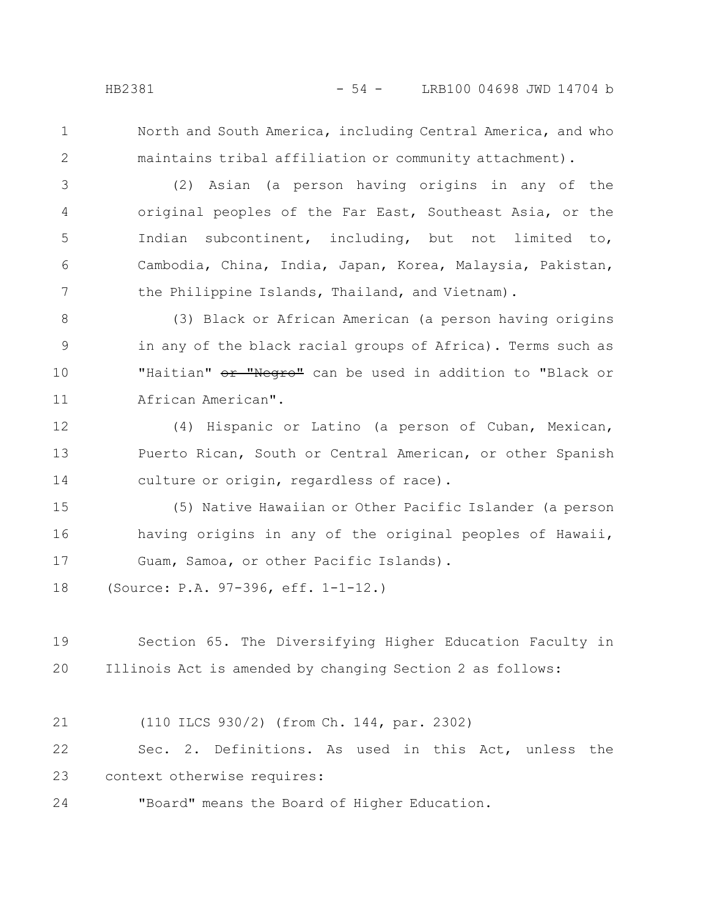1

2

North and South America, including Central America, and who maintains tribal affiliation or community attachment).

(2) Asian (a person having origins in any of the original peoples of the Far East, Southeast Asia, or the Indian subcontinent, including, but not limited to, Cambodia, China, India, Japan, Korea, Malaysia, Pakistan, the Philippine Islands, Thailand, and Vietnam). 3 4 5 6 7

(3) Black or African American (a person having origins in any of the black racial groups of Africa). Terms such as "Haitian" or "Negro" can be used in addition to "Black or African American". 8 9 10 11

(4) Hispanic or Latino (a person of Cuban, Mexican, Puerto Rican, South or Central American, or other Spanish culture or origin, regardless of race). 12 13 14

(5) Native Hawaiian or Other Pacific Islander (a person having origins in any of the original peoples of Hawaii, Guam, Samoa, or other Pacific Islands). 15 16 17

(Source: P.A. 97-396, eff. 1-1-12.) 18

Section 65. The Diversifying Higher Education Faculty in Illinois Act is amended by changing Section 2 as follows: 19 20

(110 ILCS 930/2) (from Ch. 144, par. 2302) 21

Sec. 2. Definitions. As used in this Act, unless the context otherwise requires: 22 23

"Board" means the Board of Higher Education. 24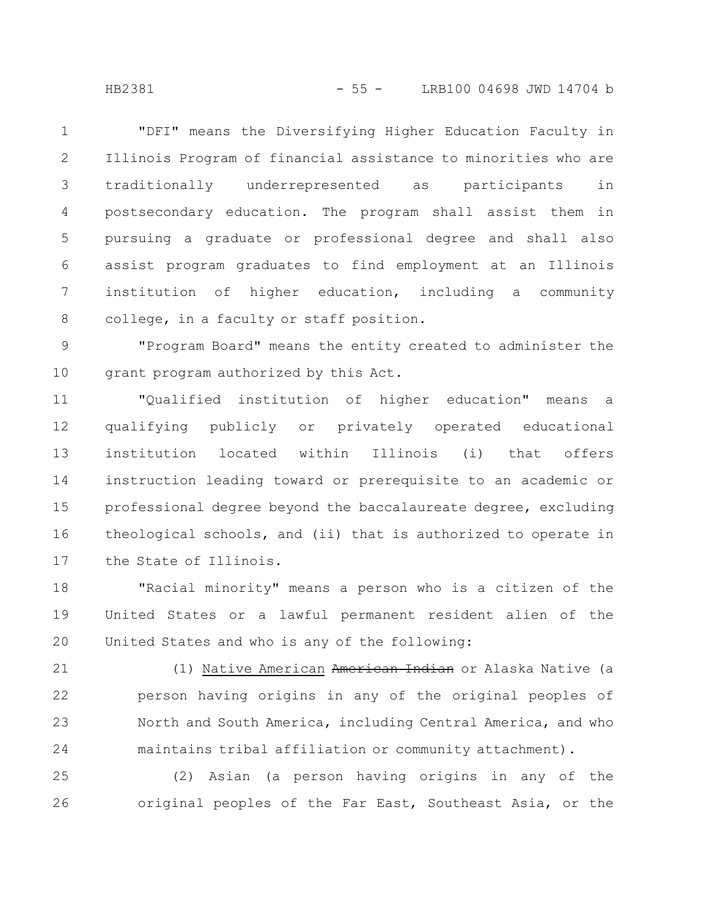"DFI" means the Diversifying Higher Education Faculty in Illinois Program of financial assistance to minorities who are traditionally underrepresented as participants in postsecondary education. The program shall assist them in pursuing a graduate or professional degree and shall also assist program graduates to find employment at an Illinois institution of higher education, including a community college, in a faculty or staff position. 1 2 3 4 5 6 7 8

"Program Board" means the entity created to administer the grant program authorized by this Act. 9 10

"Qualified institution of higher education" means a qualifying publicly or privately operated educational institution located within Illinois (i) that offers instruction leading toward or prerequisite to an academic or professional degree beyond the baccalaureate degree, excluding theological schools, and (ii) that is authorized to operate in the State of Illinois. 11 12 13 14 15 16 17

"Racial minority" means a person who is a citizen of the United States or a lawful permanent resident alien of the United States and who is any of the following: 18 19 20

(1) Native American American Indian or Alaska Native (a person having origins in any of the original peoples of North and South America, including Central America, and who maintains tribal affiliation or community attachment). 21 22 23 24

(2) Asian (a person having origins in any of the original peoples of the Far East, Southeast Asia, or the 25 26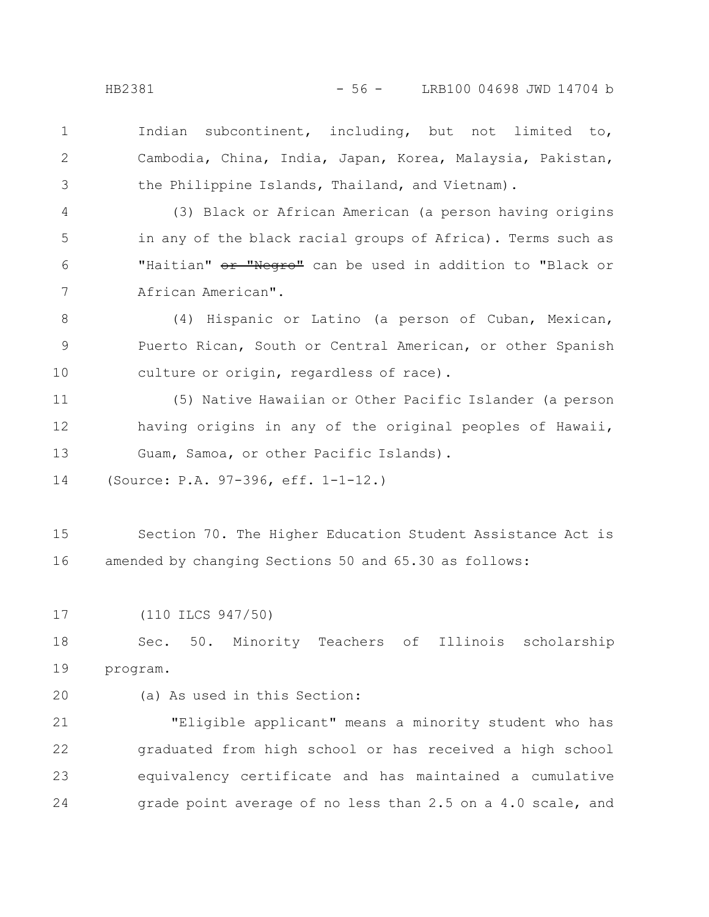1

2

3

Indian subcontinent, including, but not limited to, Cambodia, China, India, Japan, Korea, Malaysia, Pakistan, the Philippine Islands, Thailand, and Vietnam).

(3) Black or African American (a person having origins in any of the black racial groups of Africa). Terms such as "Haitian" or "Negro" can be used in addition to "Black or African American". 4 5 6 7

(4) Hispanic or Latino (a person of Cuban, Mexican, Puerto Rican, South or Central American, or other Spanish culture or origin, regardless of race). 8 9 10

(5) Native Hawaiian or Other Pacific Islander (a person having origins in any of the original peoples of Hawaii, Guam, Samoa, or other Pacific Islands). 11 12 13

(Source: P.A. 97-396, eff. 1-1-12.) 14

Section 70. The Higher Education Student Assistance Act is amended by changing Sections 50 and 65.30 as follows: 15 16

(110 ILCS 947/50) 17

Sec. 50. Minority Teachers of Illinois scholarship program. 18 19

20

(a) As used in this Section:

"Eligible applicant" means a minority student who has graduated from high school or has received a high school equivalency certificate and has maintained a cumulative grade point average of no less than 2.5 on a 4.0 scale, and 21 22 23 24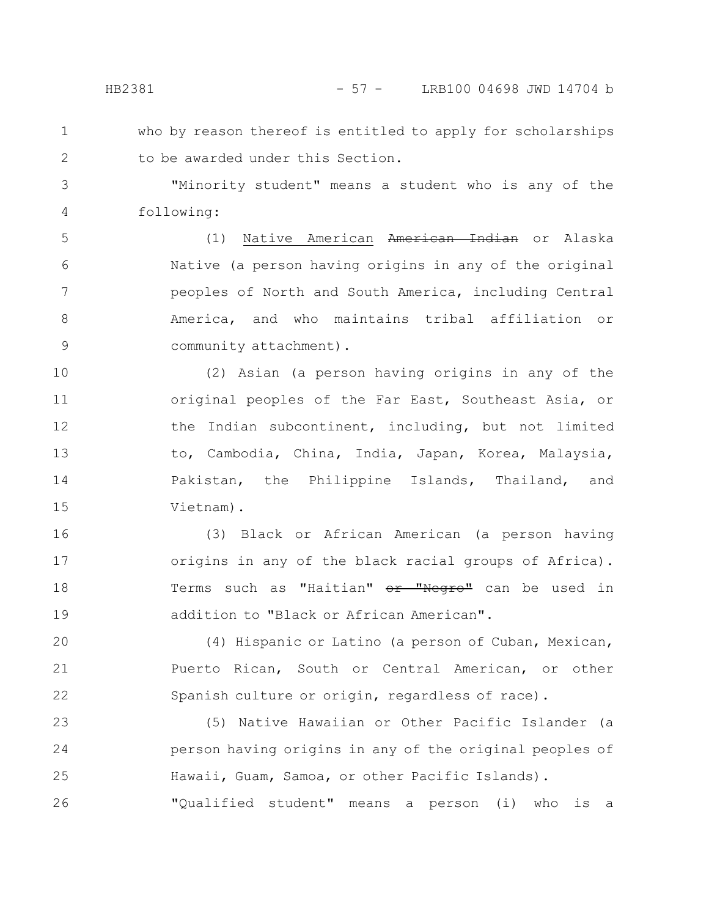who by reason thereof is entitled to apply for scholarships to be awarded under this Section. 1 2

"Minority student" means a student who is any of the following: 3 4

(1) Native American American Indian or Alaska Native (a person having origins in any of the original peoples of North and South America, including Central America, and who maintains tribal affiliation or community attachment). 5 6 7 8 9

(2) Asian (a person having origins in any of the original peoples of the Far East, Southeast Asia, or the Indian subcontinent, including, but not limited to, Cambodia, China, India, Japan, Korea, Malaysia, Pakistan, the Philippine Islands, Thailand, and Vietnam). 10 11 12 13 14 15

(3) Black or African American (a person having origins in any of the black racial groups of Africa). Terms such as "Haitian" or "Negro" can be used in addition to "Black or African American". 16 17 18 19

(4) Hispanic or Latino (a person of Cuban, Mexican, Puerto Rican, South or Central American, or other Spanish culture or origin, regardless of race). 20 21 22

(5) Native Hawaiian or Other Pacific Islander (a person having origins in any of the original peoples of Hawaii, Guam, Samoa, or other Pacific Islands). 23 24 25

"Qualified student" means a person (i) who is a 26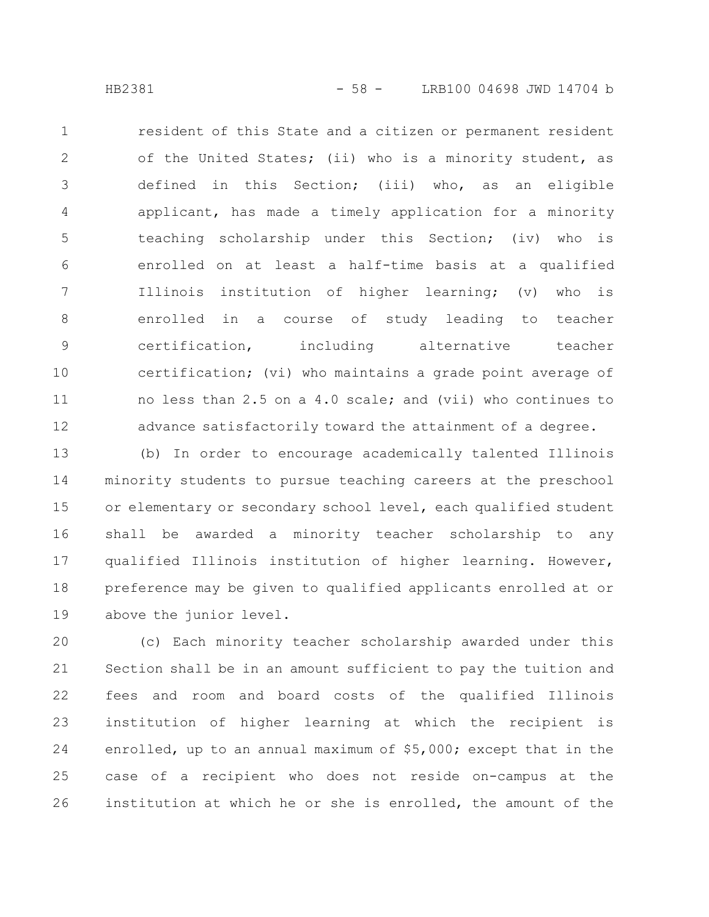resident of this State and a citizen or permanent resident of the United States; (ii) who is a minority student, as defined in this Section; (iii) who, as an eligible applicant, has made a timely application for a minority teaching scholarship under this Section; (iv) who is enrolled on at least a half-time basis at a qualified Illinois institution of higher learning; (v) who is enrolled in a course of study leading to teacher certification, including alternative teacher certification; (vi) who maintains a grade point average of no less than 2.5 on a 4.0 scale; and (vii) who continues to advance satisfactorily toward the attainment of a degree. 1 2 3 4 5 6 7 8 9 10 11 12

(b) In order to encourage academically talented Illinois minority students to pursue teaching careers at the preschool or elementary or secondary school level, each qualified student shall be awarded a minority teacher scholarship to any qualified Illinois institution of higher learning. However, preference may be given to qualified applicants enrolled at or above the junior level. 13 14 15 16 17 18 19

(c) Each minority teacher scholarship awarded under this Section shall be in an amount sufficient to pay the tuition and fees and room and board costs of the qualified Illinois institution of higher learning at which the recipient is enrolled, up to an annual maximum of \$5,000; except that in the case of a recipient who does not reside on-campus at the institution at which he or she is enrolled, the amount of the 20 21 22 23 24 25 26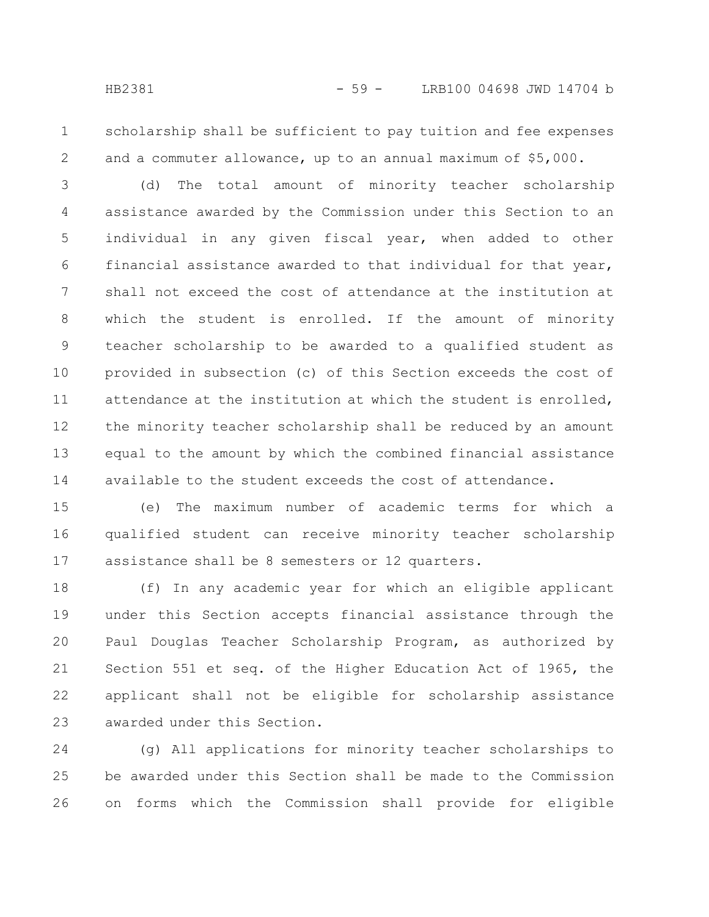1

2

scholarship shall be sufficient to pay tuition and fee expenses and a commuter allowance, up to an annual maximum of \$5,000.

(d) The total amount of minority teacher scholarship assistance awarded by the Commission under this Section to an individual in any given fiscal year, when added to other financial assistance awarded to that individual for that year, shall not exceed the cost of attendance at the institution at which the student is enrolled. If the amount of minority teacher scholarship to be awarded to a qualified student as provided in subsection (c) of this Section exceeds the cost of attendance at the institution at which the student is enrolled, the minority teacher scholarship shall be reduced by an amount equal to the amount by which the combined financial assistance available to the student exceeds the cost of attendance. 3 4 5 6 7 8 9 10 11 12 13 14

(e) The maximum number of academic terms for which a qualified student can receive minority teacher scholarship assistance shall be 8 semesters or 12 quarters. 15 16 17

(f) In any academic year for which an eligible applicant under this Section accepts financial assistance through the Paul Douglas Teacher Scholarship Program, as authorized by Section 551 et seq. of the Higher Education Act of 1965, the applicant shall not be eligible for scholarship assistance awarded under this Section. 18 19 20 21 22 23

(g) All applications for minority teacher scholarships to be awarded under this Section shall be made to the Commission on forms which the Commission shall provide for eligible 24 25 26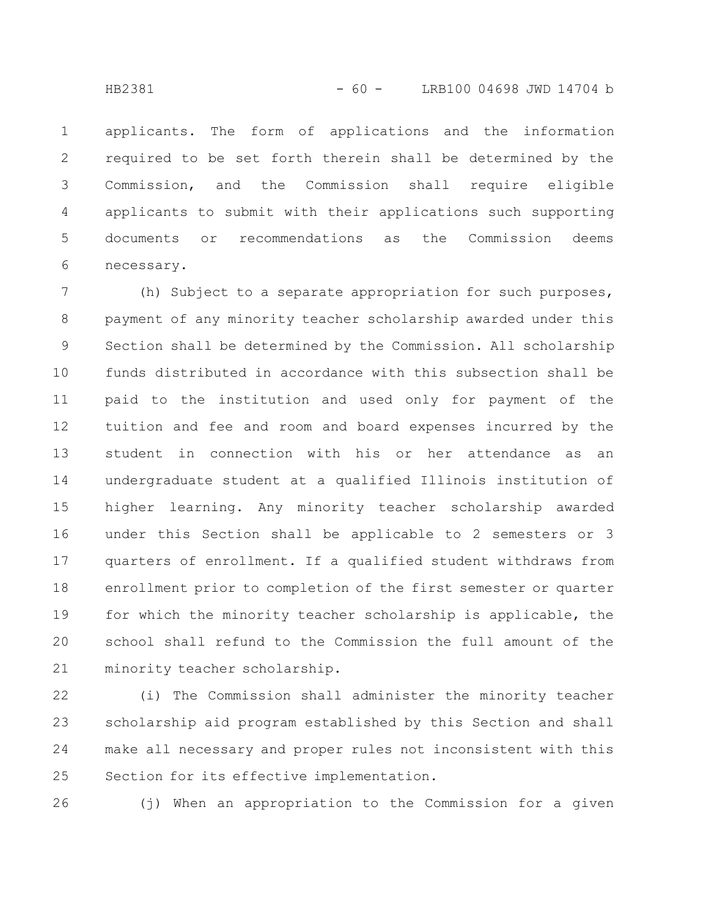applicants. The form of applications and the information required to be set forth therein shall be determined by the Commission, and the Commission shall require eligible applicants to submit with their applications such supporting documents or recommendations as the Commission deems necessary. 1 2 3 4 5 6

(h) Subject to a separate appropriation for such purposes, payment of any minority teacher scholarship awarded under this Section shall be determined by the Commission. All scholarship funds distributed in accordance with this subsection shall be paid to the institution and used only for payment of the tuition and fee and room and board expenses incurred by the student in connection with his or her attendance as an undergraduate student at a qualified Illinois institution of higher learning. Any minority teacher scholarship awarded under this Section shall be applicable to 2 semesters or 3 quarters of enrollment. If a qualified student withdraws from enrollment prior to completion of the first semester or quarter for which the minority teacher scholarship is applicable, the school shall refund to the Commission the full amount of the minority teacher scholarship. 7 8 9 10 11 12 13 14 15 16 17 18 19 20 21

(i) The Commission shall administer the minority teacher scholarship aid program established by this Section and shall make all necessary and proper rules not inconsistent with this Section for its effective implementation. 22 23 24 25

26

(j) When an appropriation to the Commission for a given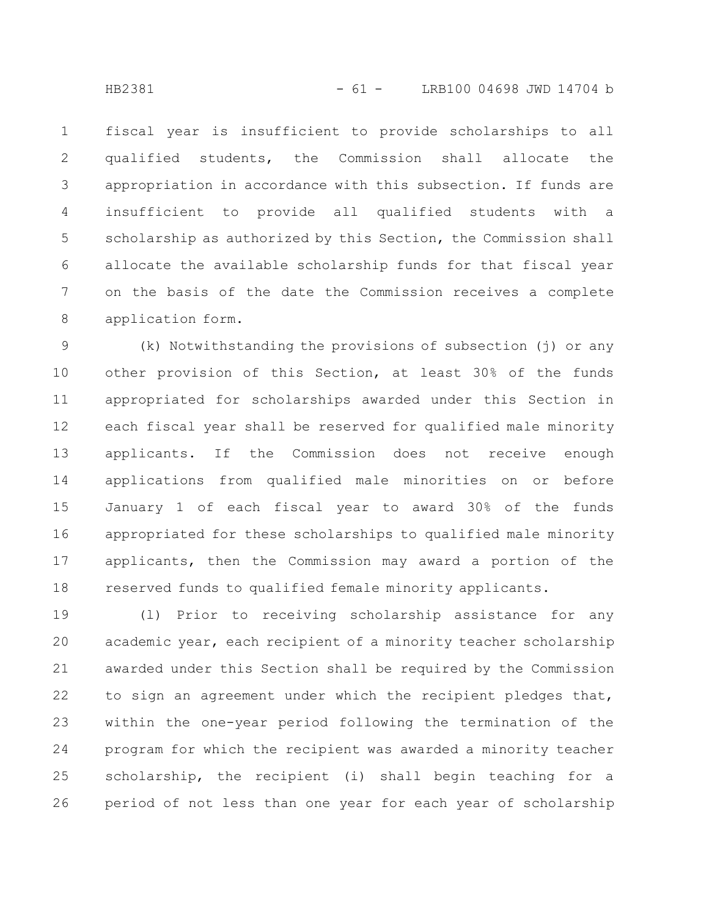fiscal year is insufficient to provide scholarships to all qualified students, the Commission shall allocate the appropriation in accordance with this subsection. If funds are insufficient to provide all qualified students with a scholarship as authorized by this Section, the Commission shall allocate the available scholarship funds for that fiscal year on the basis of the date the Commission receives a complete application form. 1 2 3 4 5 6 7 8

(k) Notwithstanding the provisions of subsection (j) or any other provision of this Section, at least 30% of the funds appropriated for scholarships awarded under this Section in each fiscal year shall be reserved for qualified male minority applicants. If the Commission does not receive enough applications from qualified male minorities on or before January 1 of each fiscal year to award 30% of the funds appropriated for these scholarships to qualified male minority applicants, then the Commission may award a portion of the reserved funds to qualified female minority applicants. 9 10 11 12 13 14 15 16 17 18

(l) Prior to receiving scholarship assistance for any academic year, each recipient of a minority teacher scholarship awarded under this Section shall be required by the Commission to sign an agreement under which the recipient pledges that, within the one-year period following the termination of the program for which the recipient was awarded a minority teacher scholarship, the recipient (i) shall begin teaching for a period of not less than one year for each year of scholarship 19 20 21 22 23 24 25 26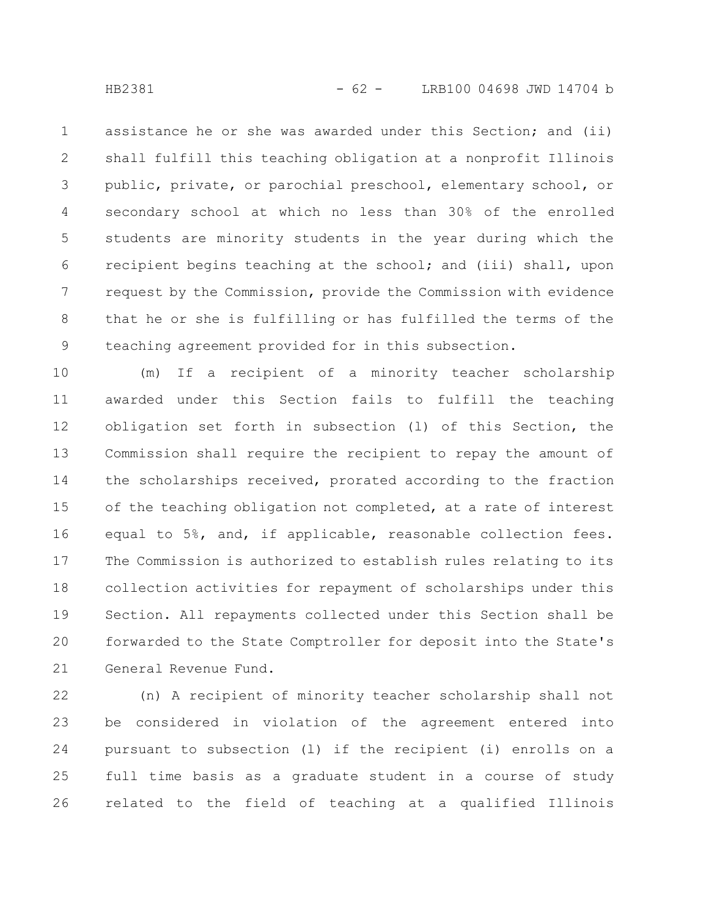assistance he or she was awarded under this Section; and (ii) shall fulfill this teaching obligation at a nonprofit Illinois public, private, or parochial preschool, elementary school, or secondary school at which no less than 30% of the enrolled students are minority students in the year during which the recipient begins teaching at the school; and (iii) shall, upon request by the Commission, provide the Commission with evidence that he or she is fulfilling or has fulfilled the terms of the teaching agreement provided for in this subsection. 1 2 3 4 5 6 7 8 9

(m) If a recipient of a minority teacher scholarship awarded under this Section fails to fulfill the teaching obligation set forth in subsection (l) of this Section, the Commission shall require the recipient to repay the amount of the scholarships received, prorated according to the fraction of the teaching obligation not completed, at a rate of interest equal to 5%, and, if applicable, reasonable collection fees. The Commission is authorized to establish rules relating to its collection activities for repayment of scholarships under this Section. All repayments collected under this Section shall be forwarded to the State Comptroller for deposit into the State's General Revenue Fund. 10 11 12 13 14 15 16 17 18 19 20 21

(n) A recipient of minority teacher scholarship shall not be considered in violation of the agreement entered into pursuant to subsection (l) if the recipient (i) enrolls on a full time basis as a graduate student in a course of study related to the field of teaching at a qualified Illinois 22 23 24 25 26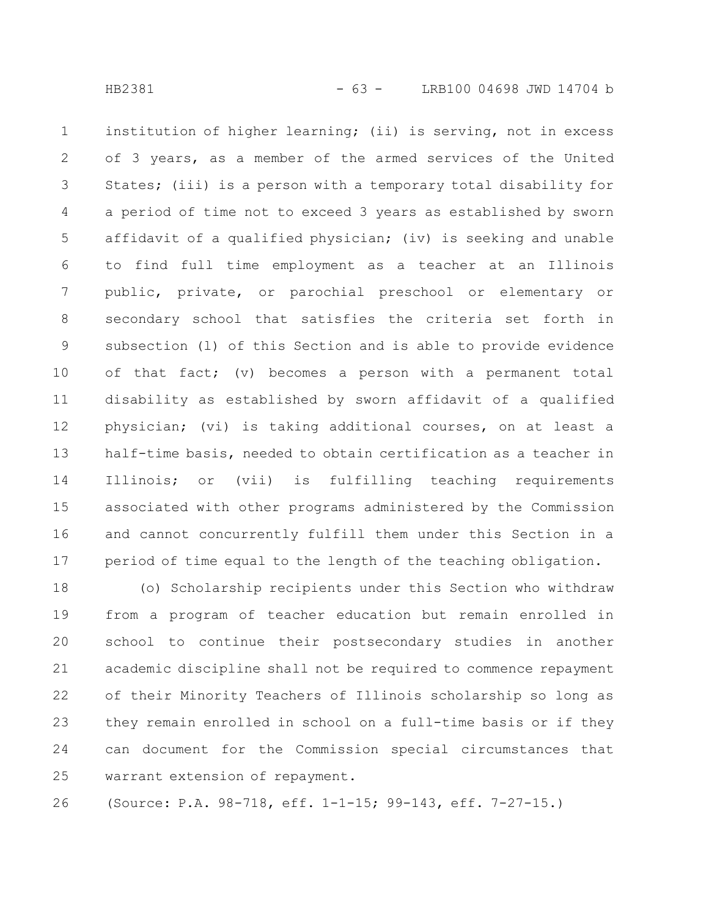institution of higher learning; (ii) is serving, not in excess of 3 years, as a member of the armed services of the United States; (iii) is a person with a temporary total disability for a period of time not to exceed 3 years as established by sworn affidavit of a qualified physician; (iv) is seeking and unable to find full time employment as a teacher at an Illinois public, private, or parochial preschool or elementary or secondary school that satisfies the criteria set forth in subsection (l) of this Section and is able to provide evidence of that fact; (v) becomes a person with a permanent total disability as established by sworn affidavit of a qualified physician; (vi) is taking additional courses, on at least a half-time basis, needed to obtain certification as a teacher in Illinois; or (vii) is fulfilling teaching requirements associated with other programs administered by the Commission and cannot concurrently fulfill them under this Section in a period of time equal to the length of the teaching obligation. 1 2 3 4 5 6 7 8 9 10 11 12 13 14 15 16 17

(o) Scholarship recipients under this Section who withdraw from a program of teacher education but remain enrolled in school to continue their postsecondary studies in another academic discipline shall not be required to commence repayment of their Minority Teachers of Illinois scholarship so long as they remain enrolled in school on a full-time basis or if they can document for the Commission special circumstances that warrant extension of repayment. 18 19 20 21 22 23 24 25

(Source: P.A. 98-718, eff. 1-1-15; 99-143, eff. 7-27-15.) 26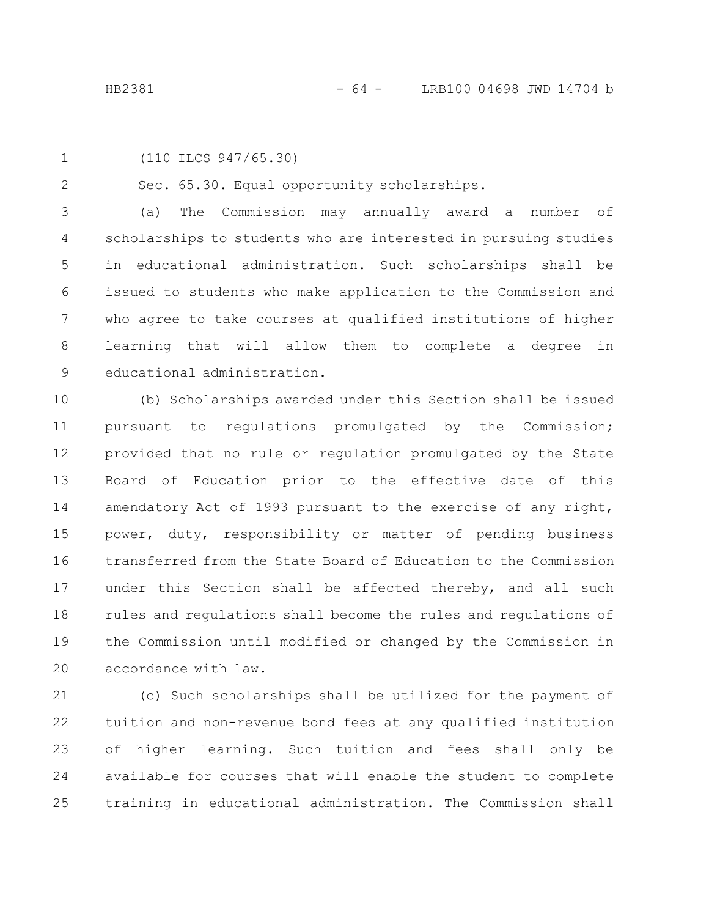1

2

(110 ILCS 947/65.30)

Sec. 65.30. Equal opportunity scholarships.

(a) The Commission may annually award a number of scholarships to students who are interested in pursuing studies in educational administration. Such scholarships shall be issued to students who make application to the Commission and who agree to take courses at qualified institutions of higher learning that will allow them to complete a degree in educational administration. 3 4 5 6 7 8 9

(b) Scholarships awarded under this Section shall be issued pursuant to regulations promulgated by the Commission; provided that no rule or regulation promulgated by the State Board of Education prior to the effective date of this amendatory Act of 1993 pursuant to the exercise of any right, power, duty, responsibility or matter of pending business transferred from the State Board of Education to the Commission under this Section shall be affected thereby, and all such rules and regulations shall become the rules and regulations of the Commission until modified or changed by the Commission in accordance with law. 10 11 12 13 14 15 16 17 18 19 20

(c) Such scholarships shall be utilized for the payment of tuition and non-revenue bond fees at any qualified institution of higher learning. Such tuition and fees shall only be available for courses that will enable the student to complete training in educational administration. The Commission shall 21 22 23 24 25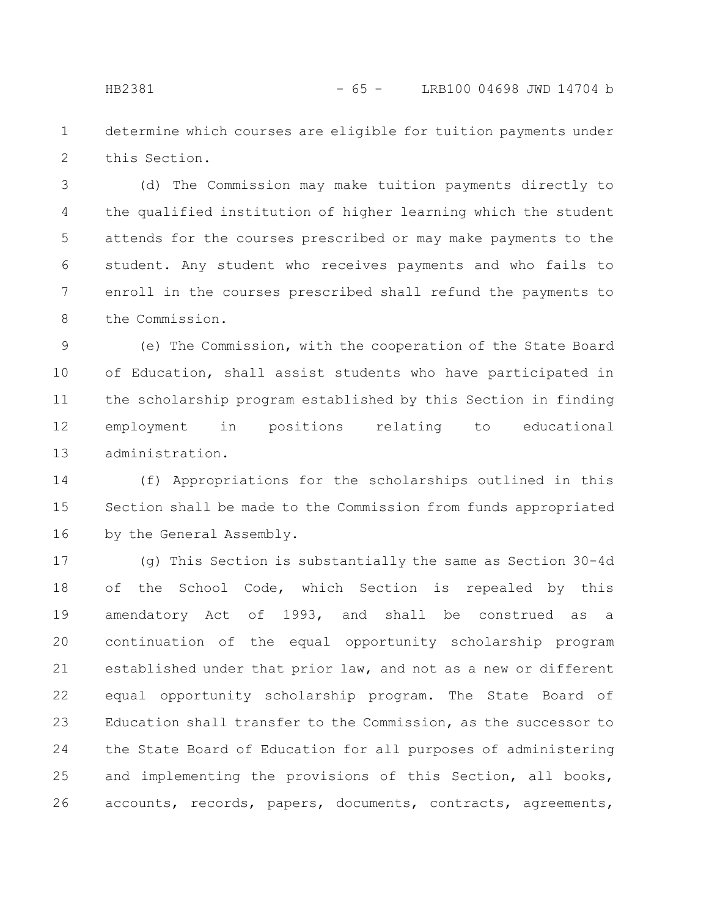determine which courses are eligible for tuition payments under this Section. 1 2

(d) The Commission may make tuition payments directly to the qualified institution of higher learning which the student attends for the courses prescribed or may make payments to the student. Any student who receives payments and who fails to enroll in the courses prescribed shall refund the payments to the Commission. 3 4 5 6 7 8

(e) The Commission, with the cooperation of the State Board of Education, shall assist students who have participated in the scholarship program established by this Section in finding employment in positions relating to educational administration. 9 10 11 12 13

(f) Appropriations for the scholarships outlined in this Section shall be made to the Commission from funds appropriated by the General Assembly. 14 15 16

(g) This Section is substantially the same as Section 30-4d of the School Code, which Section is repealed by this amendatory Act of 1993, and shall be construed as a continuation of the equal opportunity scholarship program established under that prior law, and not as a new or different equal opportunity scholarship program. The State Board of Education shall transfer to the Commission, as the successor to the State Board of Education for all purposes of administering and implementing the provisions of this Section, all books, accounts, records, papers, documents, contracts, agreements, 17 18 19 20 21 22 23 24 25 26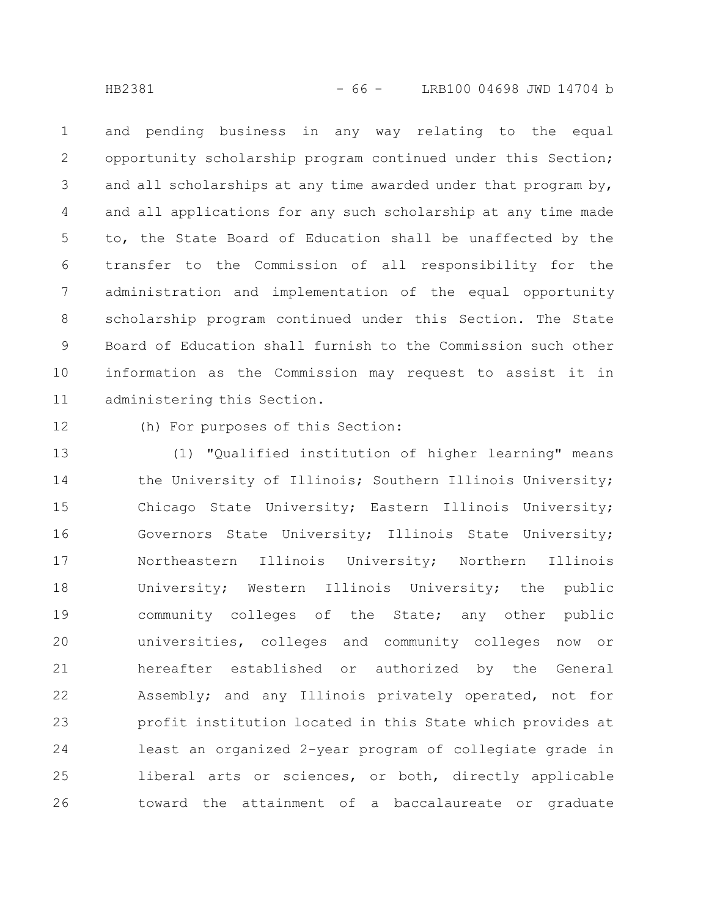and pending business in any way relating to the equal opportunity scholarship program continued under this Section; and all scholarships at any time awarded under that program by, and all applications for any such scholarship at any time made to, the State Board of Education shall be unaffected by the transfer to the Commission of all responsibility for the administration and implementation of the equal opportunity scholarship program continued under this Section. The State Board of Education shall furnish to the Commission such other information as the Commission may request to assist it in administering this Section. 1 2 3 4 5 6 7 8 9 10 11

12

(h) For purposes of this Section:

(1) "Qualified institution of higher learning" means the University of Illinois; Southern Illinois University; Chicago State University; Eastern Illinois University; Governors State University; Illinois State University; Northeastern Illinois University; Northern Illinois University; Western Illinois University; the public community colleges of the State; any other public universities, colleges and community colleges now or hereafter established or authorized by the General Assembly; and any Illinois privately operated, not for profit institution located in this State which provides at least an organized 2-year program of collegiate grade in liberal arts or sciences, or both, directly applicable toward the attainment of a baccalaureate or graduate 13 14 15 16 17 18 19 20 21 22 23 24 25 26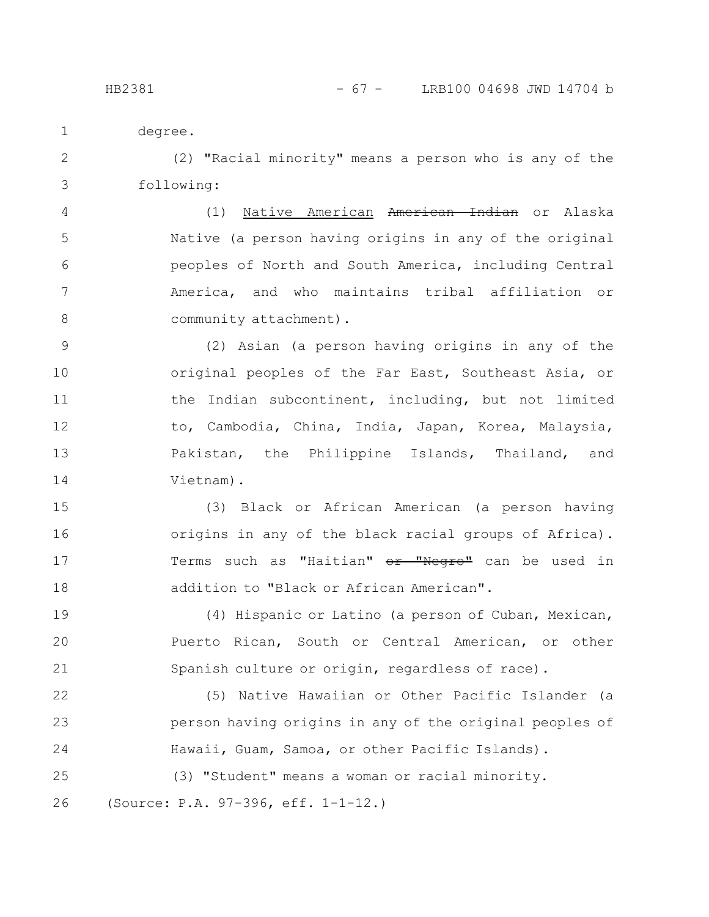HB2381 - 67 - LRB100 04698 JWD 14704 b

degree. 1

(2) "Racial minority" means a person who is any of the following: 2 3

(1) Native American American Indian or Alaska Native (a person having origins in any of the original peoples of North and South America, including Central America, and who maintains tribal affiliation or community attachment). 4 5 6 7 8

(2) Asian (a person having origins in any of the original peoples of the Far East, Southeast Asia, or the Indian subcontinent, including, but not limited to, Cambodia, China, India, Japan, Korea, Malaysia, Pakistan, the Philippine Islands, Thailand, and Vietnam). 9 10 11 12 13 14

(3) Black or African American (a person having origins in any of the black racial groups of Africa). Terms such as "Haitian" or "Negro" can be used in addition to "Black or African American". 15 16 17 18

(4) Hispanic or Latino (a person of Cuban, Mexican, Puerto Rican, South or Central American, or other Spanish culture or origin, regardless of race). 19 20 21

(5) Native Hawaiian or Other Pacific Islander (a person having origins in any of the original peoples of Hawaii, Guam, Samoa, or other Pacific Islands). 22 23 24

(3) "Student" means a woman or racial minority. (Source: P.A. 97-396, eff. 1-1-12.) 25 26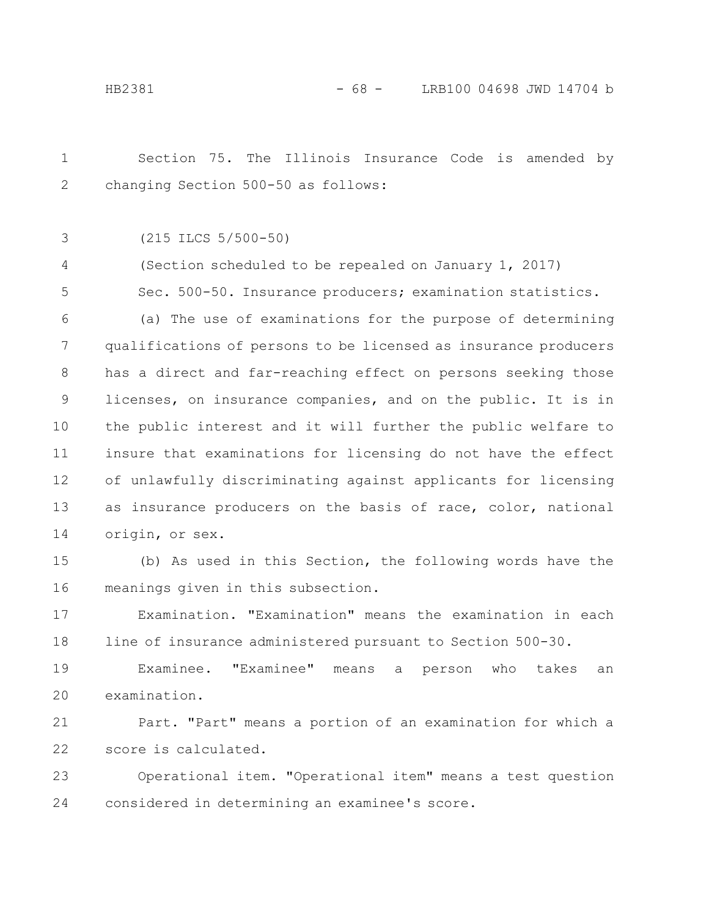Section 75. The Illinois Insurance Code is amended by changing Section 500-50 as follows: 1 2

(215 ILCS 5/500-50) 3

(Section scheduled to be repealed on January 1, 2017) 4

Sec. 500-50. Insurance producers; examination statistics. 5

(a) The use of examinations for the purpose of determining qualifications of persons to be licensed as insurance producers has a direct and far-reaching effect on persons seeking those licenses, on insurance companies, and on the public. It is in the public interest and it will further the public welfare to insure that examinations for licensing do not have the effect of unlawfully discriminating against applicants for licensing as insurance producers on the basis of race, color, national origin, or sex. 6 7 8 9 10 11 12 13 14

(b) As used in this Section, the following words have the meanings given in this subsection. 15 16

Examination. "Examination" means the examination in each line of insurance administered pursuant to Section 500-30. 17 18

Examinee. "Examinee" means a person who takes an examination. 19 20

Part. "Part" means a portion of an examination for which a score is calculated. 21 22

Operational item. "Operational item" means a test question considered in determining an examinee's score. 23 24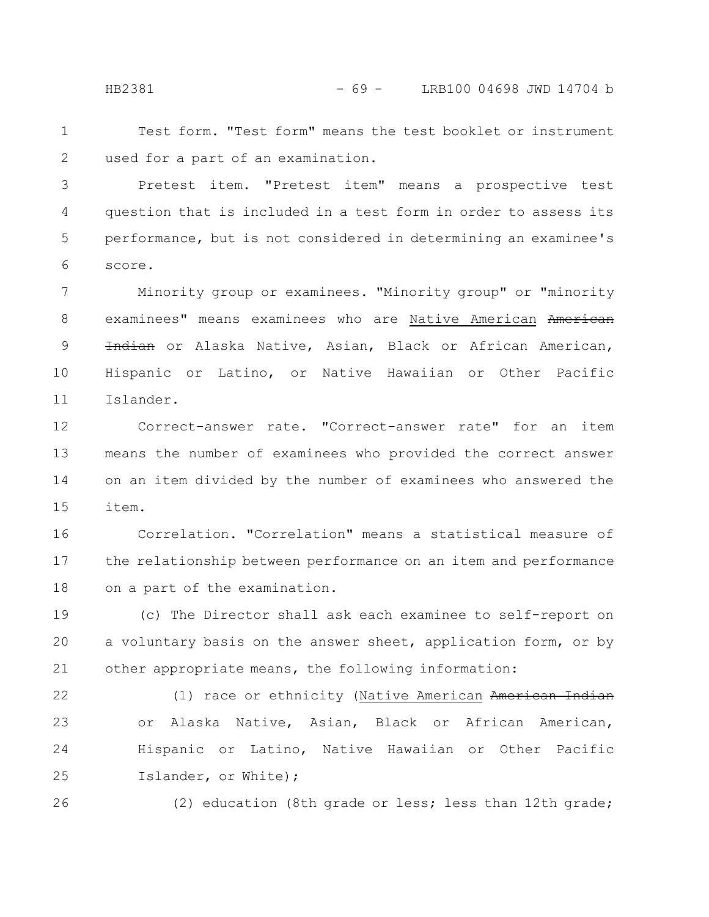HB2381 - 69 - LRB100 04698 JWD 14704 b

Test form. "Test form" means the test booklet or instrument used for a part of an examination. 1 2

Pretest item. "Pretest item" means a prospective test question that is included in a test form in order to assess its performance, but is not considered in determining an examinee's score. 3 4 5 6

Minority group or examinees. "Minority group" or "minority examinees" means examinees who are Native American American Indian or Alaska Native, Asian, Black or African American, Hispanic or Latino, or Native Hawaiian or Other Pacific Islander. 7 8 9 10 11

Correct-answer rate. "Correct-answer rate" for an item means the number of examinees who provided the correct answer on an item divided by the number of examinees who answered the item. 12 13 14 15

Correlation. "Correlation" means a statistical measure of the relationship between performance on an item and performance on a part of the examination. 16 17 18

(c) The Director shall ask each examinee to self-report on a voluntary basis on the answer sheet, application form, or by other appropriate means, the following information: 19 20 21

(1) race or ethnicity (Native American American Indian or Alaska Native, Asian, Black or African American, Hispanic or Latino, Native Hawaiian or Other Pacific Islander, or White); 22 23 24 25

26

(2) education (8th grade or less; less than 12th grade;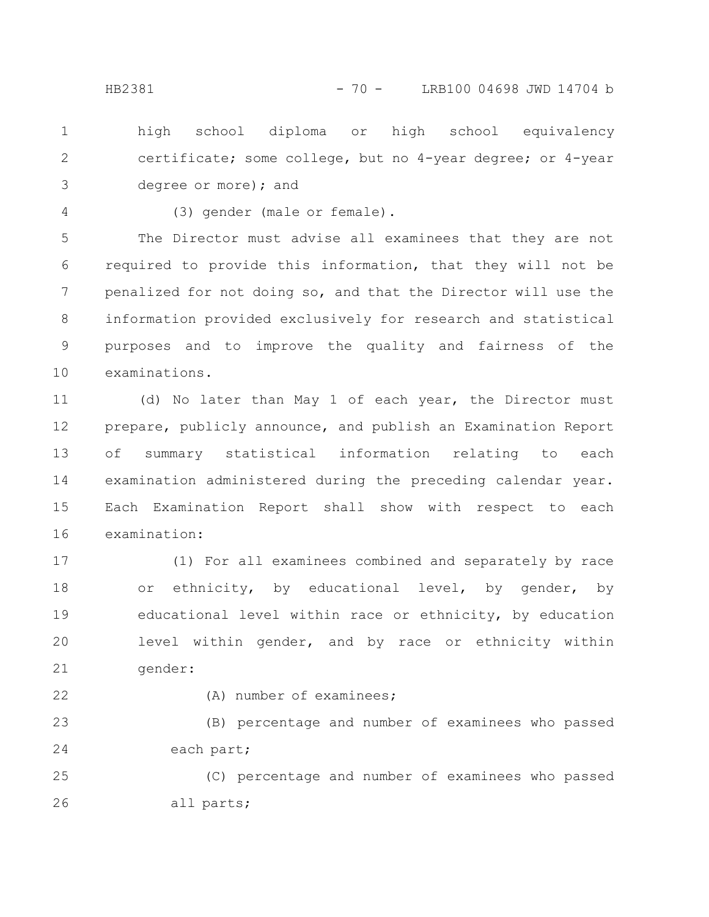high school diploma or high school equivalency certificate; some college, but no 4-year degree; or 4-year degree or more); and 1 2 3

4

(3) gender (male or female).

The Director must advise all examinees that they are not required to provide this information, that they will not be penalized for not doing so, and that the Director will use the information provided exclusively for research and statistical purposes and to improve the quality and fairness of the examinations. 5 6 7 8 9 10

(d) No later than May 1 of each year, the Director must prepare, publicly announce, and publish an Examination Report of summary statistical information relating to each examination administered during the preceding calendar year. Each Examination Report shall show with respect to each examination: 11 12 13 14 15 16

(1) For all examinees combined and separately by race or ethnicity, by educational level, by gender, by educational level within race or ethnicity, by education level within gender, and by race or ethnicity within gender: 17 18 19 20 21

22

(A) number of examinees;

(B) percentage and number of examinees who passed each part; 23 24

(C) percentage and number of examinees who passed all parts; 25 26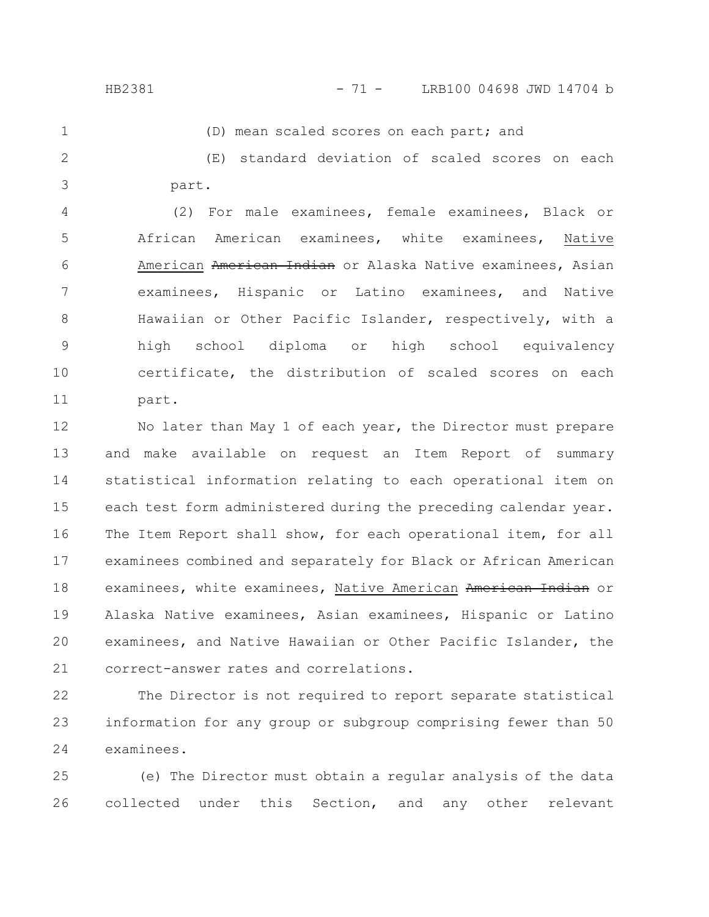## HB2381 - 71 - LRB100 04698 JWD 14704 b

1

(D) mean scaled scores on each part; and

(E) standard deviation of scaled scores on each part. 2 3

(2) For male examinees, female examinees, Black or African American examinees, white examinees, Native American American Indian or Alaska Native examinees, Asian examinees, Hispanic or Latino examinees, and Native Hawaiian or Other Pacific Islander, respectively, with a high school diploma or high school equivalency certificate, the distribution of scaled scores on each part. 4 5 6 7 8 9 10 11

No later than May 1 of each year, the Director must prepare and make available on request an Item Report of summary statistical information relating to each operational item on each test form administered during the preceding calendar year. The Item Report shall show, for each operational item, for all examinees combined and separately for Black or African American examinees, white examinees, Native American American Indian or Alaska Native examinees, Asian examinees, Hispanic or Latino examinees, and Native Hawaiian or Other Pacific Islander, the correct-answer rates and correlations. 12 13 14 15 16 17 18 19 20 21

The Director is not required to report separate statistical information for any group or subgroup comprising fewer than 50 examinees. 22 23 24

(e) The Director must obtain a regular analysis of the data collected under this Section, and any other relevant 25 26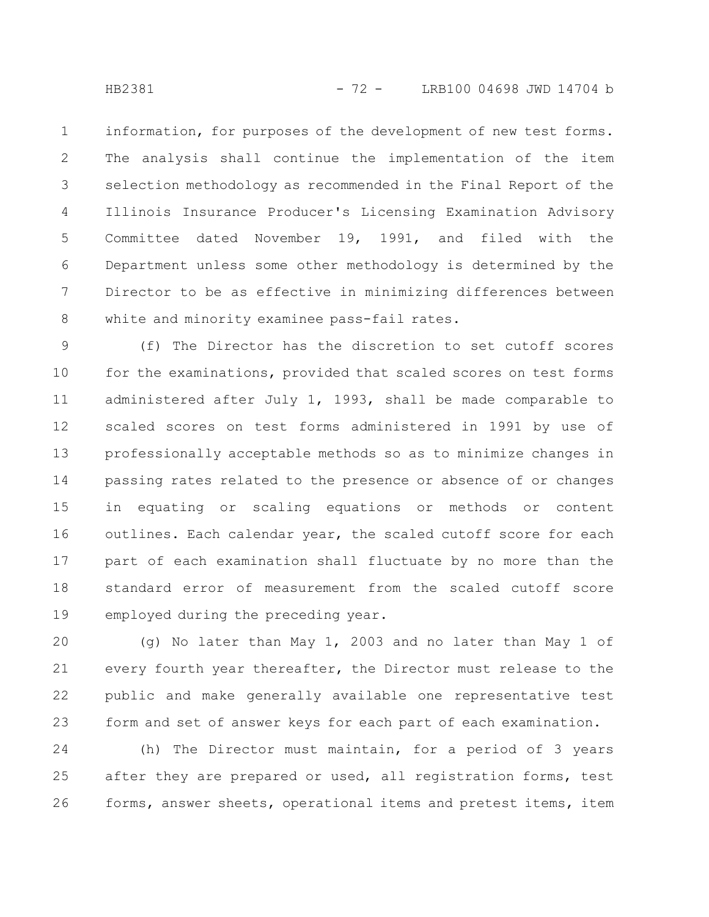information, for purposes of the development of new test forms. The analysis shall continue the implementation of the item selection methodology as recommended in the Final Report of the Illinois Insurance Producer's Licensing Examination Advisory Committee dated November 19, 1991, and filed with the Department unless some other methodology is determined by the Director to be as effective in minimizing differences between white and minority examinee pass-fail rates. 1 2 3 4 5 6 7 8

(f) The Director has the discretion to set cutoff scores for the examinations, provided that scaled scores on test forms administered after July 1, 1993, shall be made comparable to scaled scores on test forms administered in 1991 by use of professionally acceptable methods so as to minimize changes in passing rates related to the presence or absence of or changes in equating or scaling equations or methods or content outlines. Each calendar year, the scaled cutoff score for each part of each examination shall fluctuate by no more than the standard error of measurement from the scaled cutoff score employed during the preceding year. 9 10 11 12 13 14 15 16 17 18 19

(g) No later than May 1, 2003 and no later than May 1 of every fourth year thereafter, the Director must release to the public and make generally available one representative test form and set of answer keys for each part of each examination. 20 21 22 23

(h) The Director must maintain, for a period of 3 years after they are prepared or used, all registration forms, test forms, answer sheets, operational items and pretest items, item 24 25 26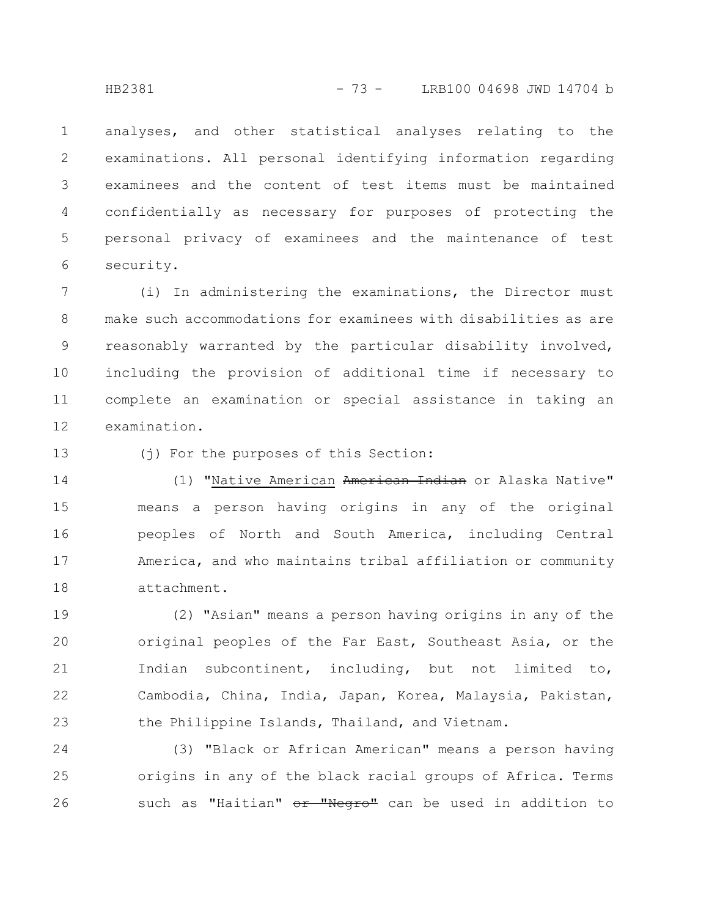analyses, and other statistical analyses relating to the examinations. All personal identifying information regarding examinees and the content of test items must be maintained confidentially as necessary for purposes of protecting the personal privacy of examinees and the maintenance of test security. 1 2 3 4 5 6

(i) In administering the examinations, the Director must make such accommodations for examinees with disabilities as are reasonably warranted by the particular disability involved, including the provision of additional time if necessary to complete an examination or special assistance in taking an examination. 7 8 9 10 11 12

(j) For the purposes of this Section: 13

(1) "Native American American Indian or Alaska Native" means a person having origins in any of the original peoples of North and South America, including Central America, and who maintains tribal affiliation or community attachment. 14 15 16 17 18

(2) "Asian" means a person having origins in any of the original peoples of the Far East, Southeast Asia, or the Indian subcontinent, including, but not limited to, Cambodia, China, India, Japan, Korea, Malaysia, Pakistan, the Philippine Islands, Thailand, and Vietnam. 19 20 21 22 23

(3) "Black or African American" means a person having origins in any of the black racial groups of Africa. Terms such as "Haitian" or "Negro" can be used in addition to 24 25 26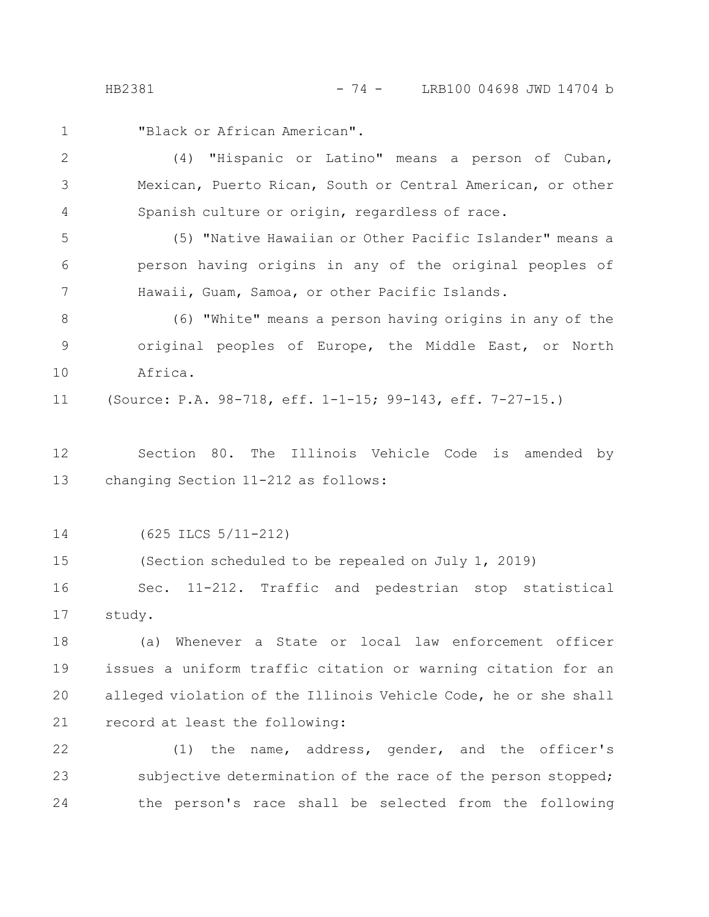"Black or African American". 1

(4) "Hispanic or Latino" means a person of Cuban, Mexican, Puerto Rican, South or Central American, or other Spanish culture or origin, regardless of race. 2 3 4

(5) "Native Hawaiian or Other Pacific Islander" means a person having origins in any of the original peoples of Hawaii, Guam, Samoa, or other Pacific Islands. 5 6 7

(6) "White" means a person having origins in any of the original peoples of Europe, the Middle East, or North Africa. 8 9 10

(Source: P.A. 98-718, eff. 1-1-15; 99-143, eff. 7-27-15.) 11

Section 80. The Illinois Vehicle Code is amended by changing Section 11-212 as follows: 12 13

(625 ILCS 5/11-212) 14

(Section scheduled to be repealed on July 1, 2019) 15

Sec. 11-212. Traffic and pedestrian stop statistical study. 16 17

(a) Whenever a State or local law enforcement officer issues a uniform traffic citation or warning citation for an alleged violation of the Illinois Vehicle Code, he or she shall record at least the following: 18 19 20 21

(1) the name, address, gender, and the officer's subjective determination of the race of the person stopped; the person's race shall be selected from the following 22 23 24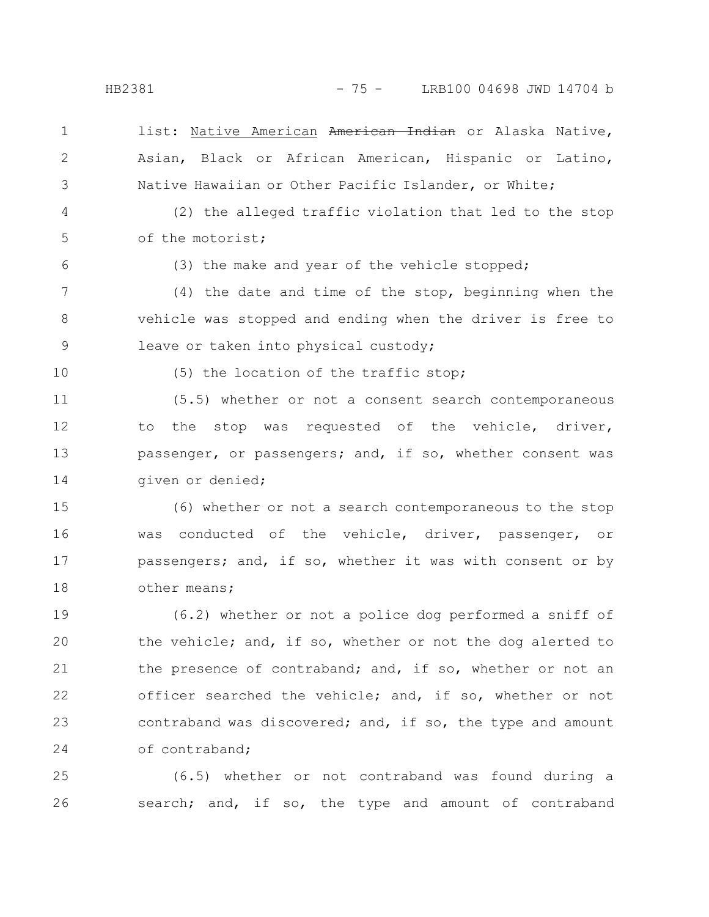- list: Native American American Indian or Alaska Native, Asian, Black or African American, Hispanic or Latino, Native Hawaiian or Other Pacific Islander, or White; 1 2 3
- (2) the alleged traffic violation that led to the stop of the motorist; 4 5
- 6

(3) the make and year of the vehicle stopped;

(4) the date and time of the stop, beginning when the vehicle was stopped and ending when the driver is free to leave or taken into physical custody; 7 8 9

10

(5) the location of the traffic stop;

(5.5) whether or not a consent search contemporaneous to the stop was requested of the vehicle, driver, passenger, or passengers; and, if so, whether consent was given or denied; 11 12 13 14

(6) whether or not a search contemporaneous to the stop was conducted of the vehicle, driver, passenger, or passengers; and, if so, whether it was with consent or by other means; 15 16 17 18

(6.2) whether or not a police dog performed a sniff of the vehicle; and, if so, whether or not the dog alerted to the presence of contraband; and, if so, whether or not an officer searched the vehicle; and, if so, whether or not contraband was discovered; and, if so, the type and amount of contraband; 19 20 21 22 23 24

(6.5) whether or not contraband was found during a search; and, if so, the type and amount of contraband 25 26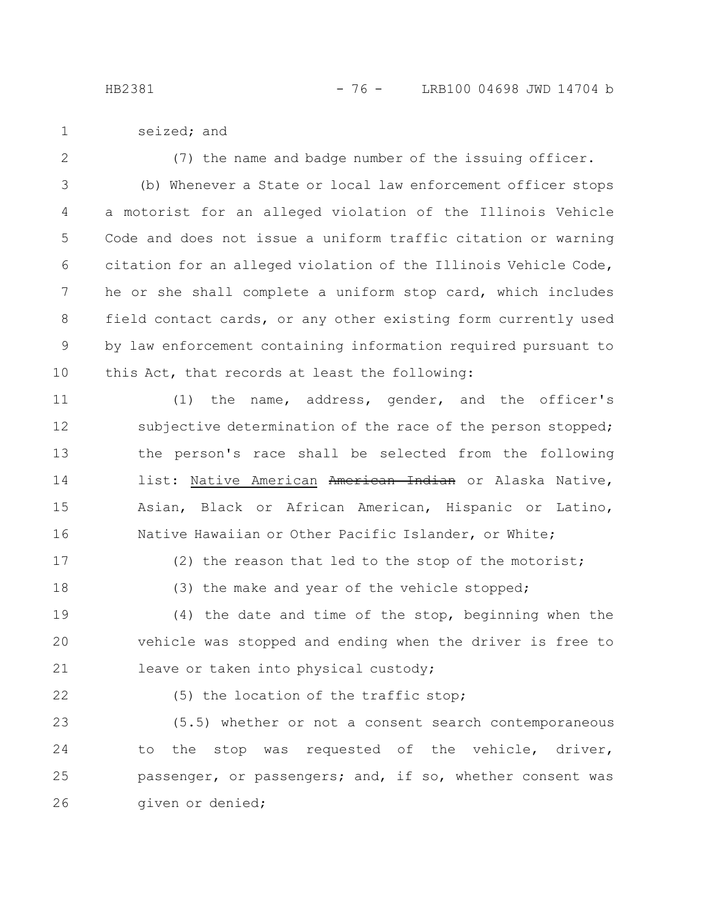- seized; and 1
- 2

(7) the name and badge number of the issuing officer.

(b) Whenever a State or local law enforcement officer stops a motorist for an alleged violation of the Illinois Vehicle Code and does not issue a uniform traffic citation or warning citation for an alleged violation of the Illinois Vehicle Code, he or she shall complete a uniform stop card, which includes field contact cards, or any other existing form currently used by law enforcement containing information required pursuant to this Act, that records at least the following: 3 4 5 6 7 8 9 10

(1) the name, address, gender, and the officer's subjective determination of the race of the person stopped; the person's race shall be selected from the following list: Native American American Indian or Alaska Native, Asian, Black or African American, Hispanic or Latino, Native Hawaiian or Other Pacific Islander, or White; 11 12 13 14 15 16

17

18

(2) the reason that led to the stop of the motorist; (3) the make and year of the vehicle stopped;

(4) the date and time of the stop, beginning when the vehicle was stopped and ending when the driver is free to leave or taken into physical custody; 19 20 21

22

(5) the location of the traffic stop;

(5.5) whether or not a consent search contemporaneous to the stop was requested of the vehicle, driver, passenger, or passengers; and, if so, whether consent was given or denied; 23 24 25 26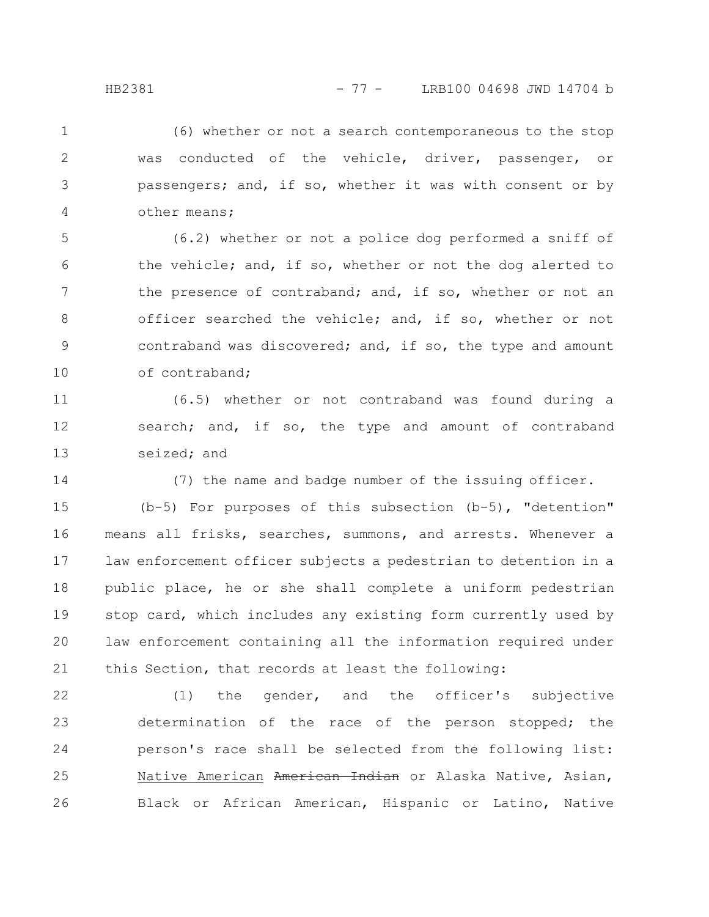(6) whether or not a search contemporaneous to the stop was conducted of the vehicle, driver, passenger, or passengers; and, if so, whether it was with consent or by other means; 1 2 3 4

(6.2) whether or not a police dog performed a sniff of the vehicle; and, if so, whether or not the dog alerted to the presence of contraband; and, if so, whether or not an officer searched the vehicle; and, if so, whether or not contraband was discovered; and, if so, the type and amount of contraband; 5 6 7 8 9 10

(6.5) whether or not contraband was found during a search; and, if so, the type and amount of contraband seized; and 11 12 13

14

(7) the name and badge number of the issuing officer.

(b-5) For purposes of this subsection (b-5), "detention" means all frisks, searches, summons, and arrests. Whenever a law enforcement officer subjects a pedestrian to detention in a public place, he or she shall complete a uniform pedestrian stop card, which includes any existing form currently used by law enforcement containing all the information required under this Section, that records at least the following: 15 16 17 18 19 20 21

(1) the gender, and the officer's subjective determination of the race of the person stopped; the person's race shall be selected from the following list: Native American American Indian or Alaska Native, Asian, Black or African American, Hispanic or Latino, Native 22 23 24 25 26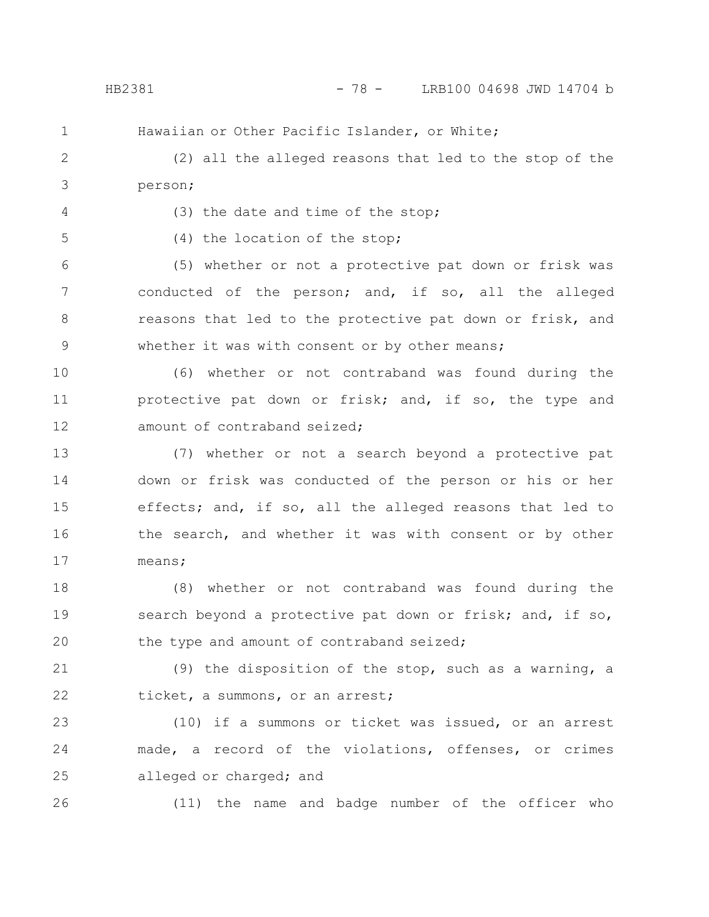HB2381 - 78 - LRB100 04698 JWD 14704 b

1

Hawaiian or Other Pacific Islander, or White;

(2) all the alleged reasons that led to the stop of the person; 2 3

4

(3) the date and time of the stop;

5

(4) the location of the stop;

(5) whether or not a protective pat down or frisk was conducted of the person; and, if so, all the alleged reasons that led to the protective pat down or frisk, and whether it was with consent or by other means; 6 7 8 9

(6) whether or not contraband was found during the protective pat down or frisk; and, if so, the type and amount of contraband seized; 10 11 12

(7) whether or not a search beyond a protective pat down or frisk was conducted of the person or his or her effects; and, if so, all the alleged reasons that led to the search, and whether it was with consent or by other means; 13 14 15 16 17

(8) whether or not contraband was found during the search beyond a protective pat down or frisk; and, if so, the type and amount of contraband seized; 18 19 20

(9) the disposition of the stop, such as a warning, a ticket, a summons, or an arrest; 21 22

(10) if a summons or ticket was issued, or an arrest made, a record of the violations, offenses, or crimes alleged or charged; and 23 24 25

26

(11) the name and badge number of the officer who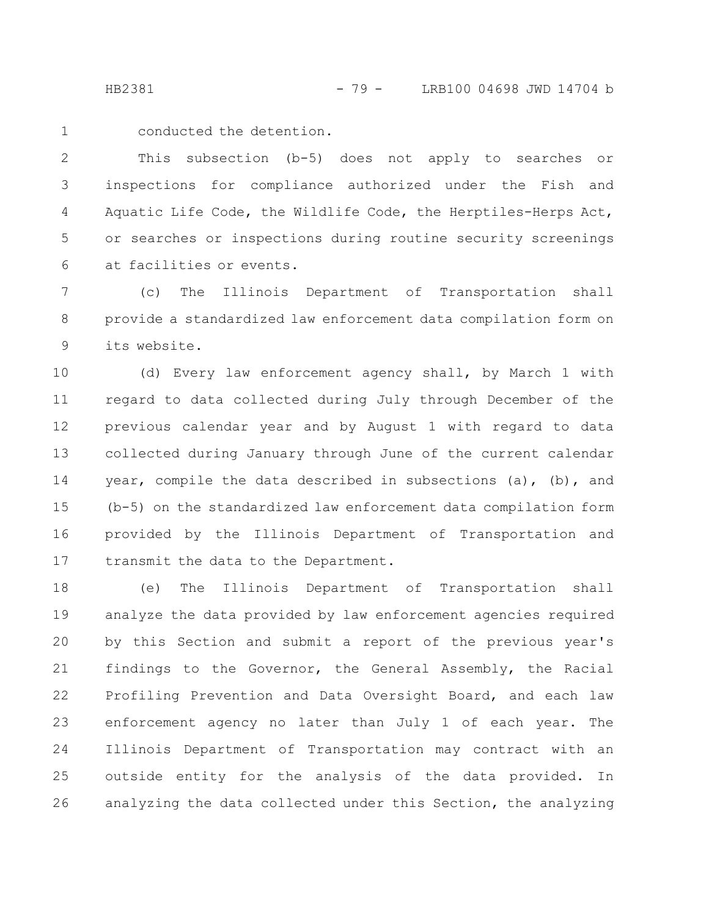HB2381 - 79 - LRB100 04698 JWD 14704 b

conducted the detention. 1

This subsection (b-5) does not apply to searches or inspections for compliance authorized under the Fish and Aquatic Life Code, the Wildlife Code, the Herptiles-Herps Act, or searches or inspections during routine security screenings at facilities or events. 2 3 4 5 6

(c) The Illinois Department of Transportation shall provide a standardized law enforcement data compilation form on its website. 7 8 9

(d) Every law enforcement agency shall, by March 1 with regard to data collected during July through December of the previous calendar year and by August 1 with regard to data collected during January through June of the current calendar year, compile the data described in subsections (a), (b), and (b-5) on the standardized law enforcement data compilation form provided by the Illinois Department of Transportation and transmit the data to the Department. 10 11 12 13 14 15 16 17

(e) The Illinois Department of Transportation shall analyze the data provided by law enforcement agencies required by this Section and submit a report of the previous year's findings to the Governor, the General Assembly, the Racial Profiling Prevention and Data Oversight Board, and each law enforcement agency no later than July 1 of each year. The Illinois Department of Transportation may contract with an outside entity for the analysis of the data provided. In analyzing the data collected under this Section, the analyzing 18 19 20 21 22 23 24 25 26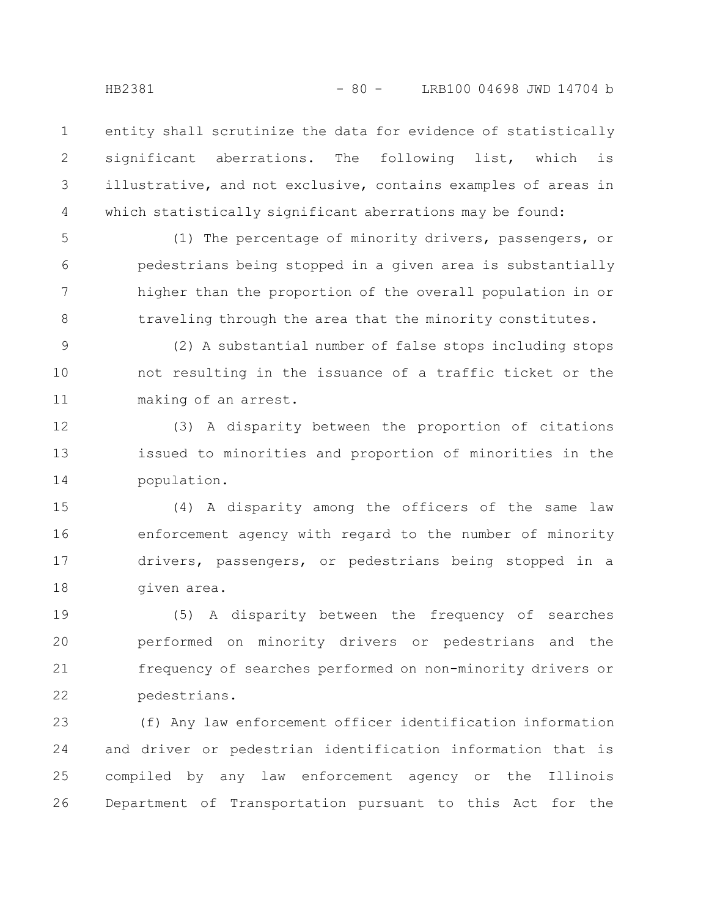entity shall scrutinize the data for evidence of statistically significant aberrations. The following list, which is illustrative, and not exclusive, contains examples of areas in which statistically significant aberrations may be found: 1 2 3 4

(1) The percentage of minority drivers, passengers, or pedestrians being stopped in a given area is substantially higher than the proportion of the overall population in or traveling through the area that the minority constitutes. 5 6 7 8

(2) A substantial number of false stops including stops not resulting in the issuance of a traffic ticket or the making of an arrest. 9 10 11

(3) A disparity between the proportion of citations issued to minorities and proportion of minorities in the population. 12 13 14

(4) A disparity among the officers of the same law enforcement agency with regard to the number of minority drivers, passengers, or pedestrians being stopped in a given area. 15 16 17 18

(5) A disparity between the frequency of searches performed on minority drivers or pedestrians and the frequency of searches performed on non-minority drivers or pedestrians. 19 20 21 22

(f) Any law enforcement officer identification information and driver or pedestrian identification information that is compiled by any law enforcement agency or the Illinois Department of Transportation pursuant to this Act for the 23 24 25 26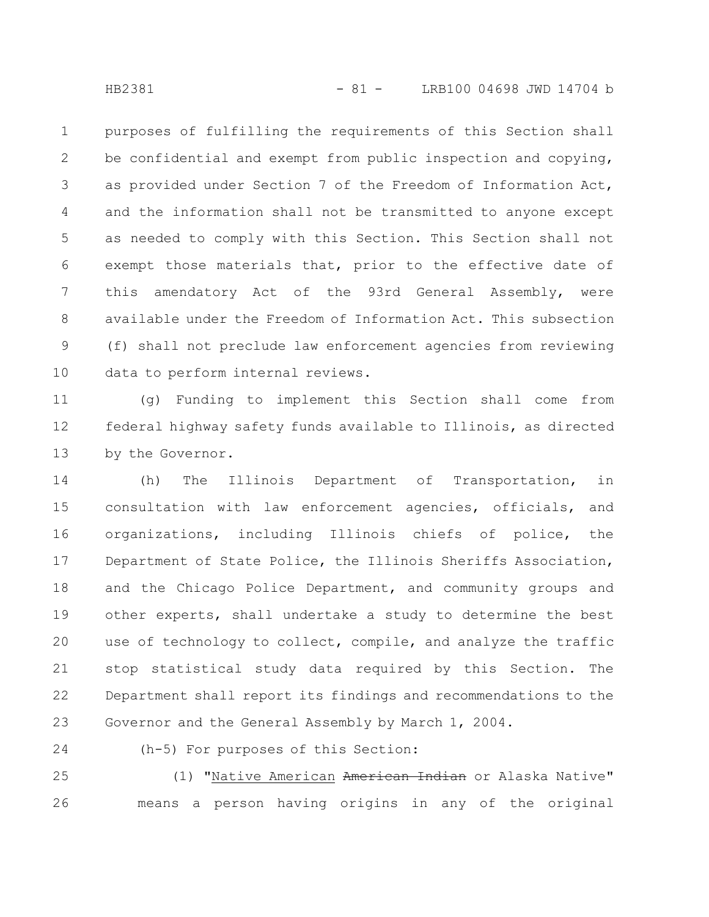purposes of fulfilling the requirements of this Section shall be confidential and exempt from public inspection and copying, as provided under Section 7 of the Freedom of Information Act, and the information shall not be transmitted to anyone except as needed to comply with this Section. This Section shall not exempt those materials that, prior to the effective date of this amendatory Act of the 93rd General Assembly, were available under the Freedom of Information Act. This subsection (f) shall not preclude law enforcement agencies from reviewing data to perform internal reviews. 1 2 3 4 5 6 7 8 9 10

(g) Funding to implement this Section shall come from federal highway safety funds available to Illinois, as directed by the Governor. 11 12 13

(h) The Illinois Department of Transportation, in consultation with law enforcement agencies, officials, and organizations, including Illinois chiefs of police, the Department of State Police, the Illinois Sheriffs Association, and the Chicago Police Department, and community groups and other experts, shall undertake a study to determine the best use of technology to collect, compile, and analyze the traffic stop statistical study data required by this Section. The Department shall report its findings and recommendations to the Governor and the General Assembly by March 1, 2004. 14 15 16 17 18 19 20 21 22 23

24

(h-5) For purposes of this Section:

(1) "Native American American Indian or Alaska Native" means a person having origins in any of the original 25 26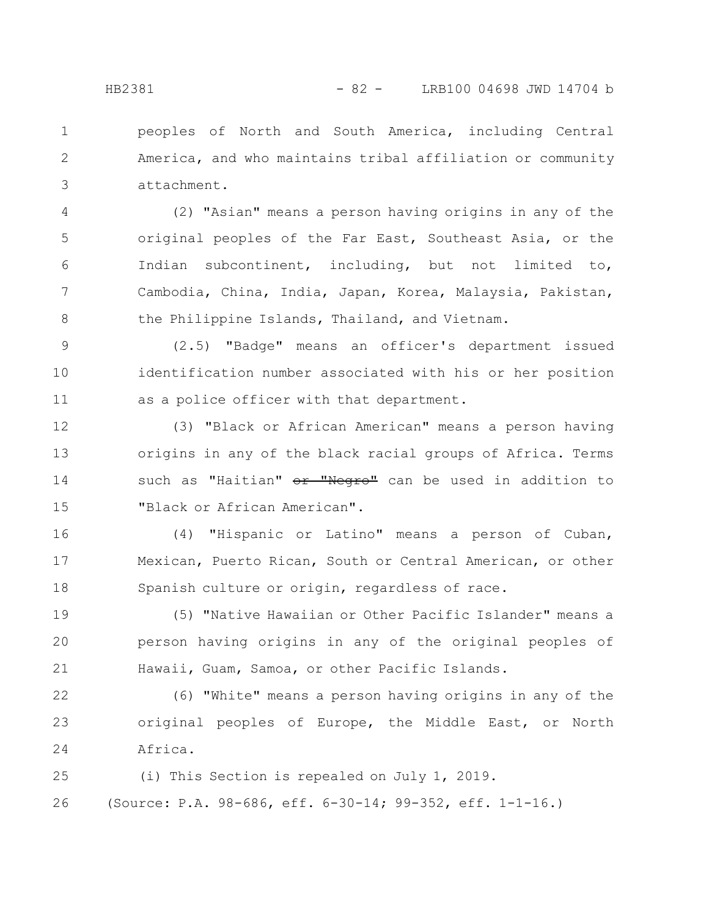peoples of North and South America, including Central America, and who maintains tribal affiliation or community attachment. 1 2 3

(2) "Asian" means a person having origins in any of the original peoples of the Far East, Southeast Asia, or the Indian subcontinent, including, but not limited to, Cambodia, China, India, Japan, Korea, Malaysia, Pakistan, the Philippine Islands, Thailand, and Vietnam. 4 5 6 7 8

(2.5) "Badge" means an officer's department issued identification number associated with his or her position as a police officer with that department. 9 10 11

(3) "Black or African American" means a person having origins in any of the black racial groups of Africa. Terms such as "Haitian" or "Negro" can be used in addition to "Black or African American". 12 13 14 15

(4) "Hispanic or Latino" means a person of Cuban, Mexican, Puerto Rican, South or Central American, or other Spanish culture or origin, regardless of race. 16 17 18

(5) "Native Hawaiian or Other Pacific Islander" means a person having origins in any of the original peoples of Hawaii, Guam, Samoa, or other Pacific Islands. 19 20 21

(6) "White" means a person having origins in any of the original peoples of Europe, the Middle East, or North Africa. 22 23 24

(i) This Section is repealed on July 1, 2019. (Source: P.A. 98-686, eff. 6-30-14; 99-352, eff. 1-1-16.) 25 26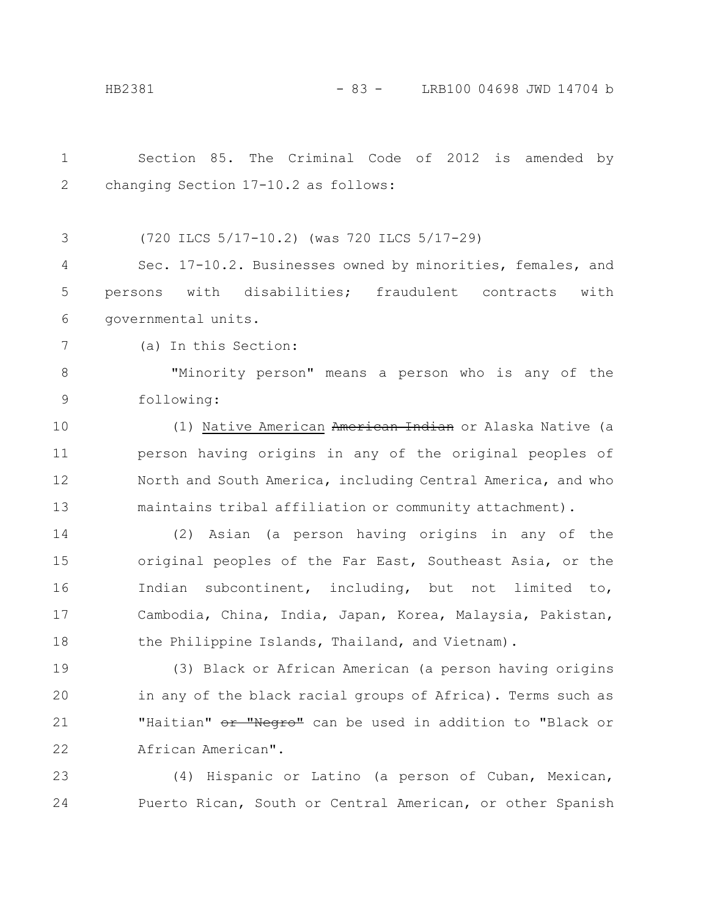| $\mathbf 1$  | Section 85. The Criminal Code of 2012 is amended by                  |
|--------------|----------------------------------------------------------------------|
| $\mathbf{2}$ | changing Section 17-10.2 as follows:                                 |
|              |                                                                      |
| 3            | (720 ILCS 5/17-10.2) (was 720 ILCS 5/17-29)                          |
| 4            | Sec. 17-10.2. Businesses owned by minorities, females, and           |
| 5            | persons with disabilities; fraudulent contracts<br>with              |
| 6            | governmental units.                                                  |
| 7            | (a) In this Section:                                                 |
| $8\,$        | "Minority person" means a person who is any of the                   |
| $\mathsf 9$  | following:                                                           |
| 10           | (1) Native American American Indian or Alaska Native (a              |
| 11           | person having origins in any of the original peoples of              |
| 12           | North and South America, including Central America, and who          |
| 13           | maintains tribal affiliation or community attachment).               |
| 14           | Asian (a person having origins in any of the<br>(2)                  |
| 15           | original peoples of the Far East, Southeast Asia, or the             |
| 16           | Indian subcontinent, including, but not limited to,                  |
| 17           | Cambodia, China, India, Japan, Korea, Malaysia, Pakistan,            |
| 18           | the Philippine Islands, Thailand, and Vietnam).                      |
| 19           | (3) Black or African American (a person having origins               |
| 20           | in any of the black racial groups of Africa). Terms such as          |
| 21           | "Haitian" <del>or "Negro"</del> can be used in addition to "Black or |
| 22           | African American".                                                   |
| 23           | (4) Hispanic or Latino (a person of Cuban, Mexican,                  |
| 24           | Puerto Rican, South or Central American, or other Spanish            |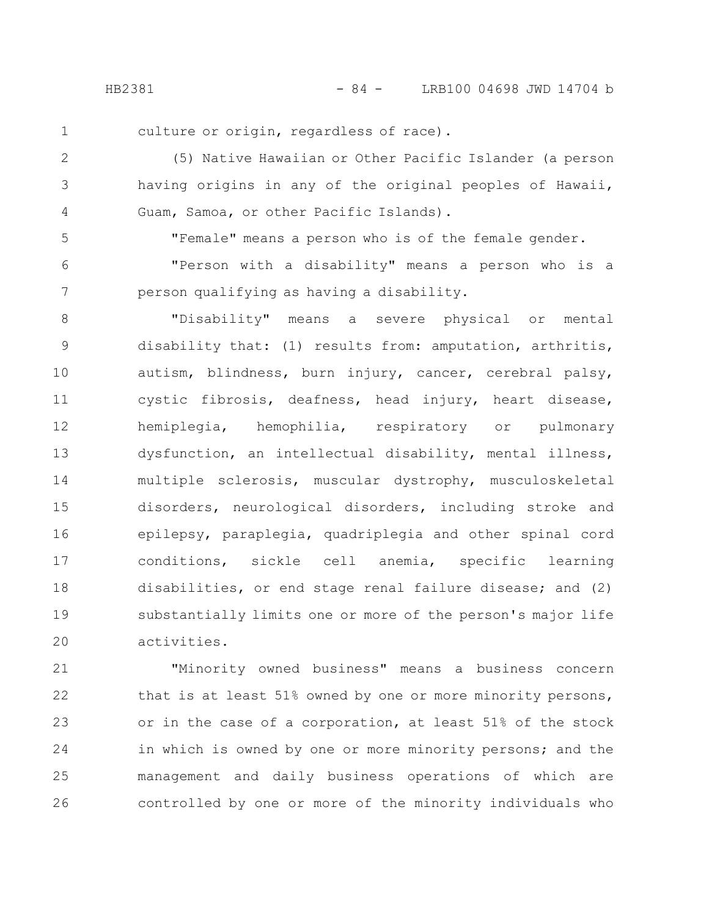1

culture or origin, regardless of race).

(5) Native Hawaiian or Other Pacific Islander (a person having origins in any of the original peoples of Hawaii, Guam, Samoa, or other Pacific Islands). 2 3 4

5 6

7

"Female" means a person who is of the female gender.

"Person with a disability" means a person who is a person qualifying as having a disability.

"Disability" means a severe physical or mental disability that: (1) results from: amputation, arthritis, autism, blindness, burn injury, cancer, cerebral palsy, cystic fibrosis, deafness, head injury, heart disease, hemiplegia, hemophilia, respiratory or pulmonary dysfunction, an intellectual disability, mental illness, multiple sclerosis, muscular dystrophy, musculoskeletal disorders, neurological disorders, including stroke and epilepsy, paraplegia, quadriplegia and other spinal cord conditions, sickle cell anemia, specific learning disabilities, or end stage renal failure disease; and (2) substantially limits one or more of the person's major life activities. 8 9 10 11 12 13 14 15 16 17 18 19 20

"Minority owned business" means a business concern that is at least 51% owned by one or more minority persons, or in the case of a corporation, at least 51% of the stock in which is owned by one or more minority persons; and the management and daily business operations of which are controlled by one or more of the minority individuals who 21 22 23 24 25 26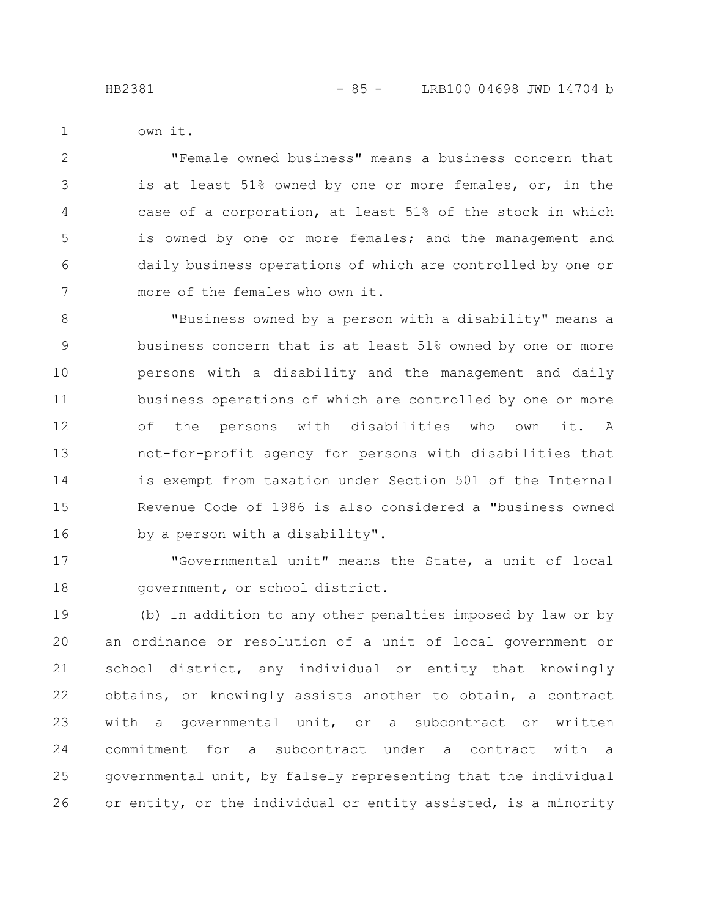- 
- own it.

1

"Female owned business" means a business concern that is at least 51% owned by one or more females, or, in the case of a corporation, at least 51% of the stock in which is owned by one or more females; and the management and daily business operations of which are controlled by one or more of the females who own it. 2 3 4 5 6 7

"Business owned by a person with a disability" means a business concern that is at least 51% owned by one or more persons with a disability and the management and daily business operations of which are controlled by one or more of the persons with disabilities who own it. A not-for-profit agency for persons with disabilities that is exempt from taxation under Section 501 of the Internal Revenue Code of 1986 is also considered a "business owned by a person with a disability". 8 9 10 11 12 13 14 15 16

"Governmental unit" means the State, a unit of local government, or school district. 17 18

(b) In addition to any other penalties imposed by law or by an ordinance or resolution of a unit of local government or school district, any individual or entity that knowingly obtains, or knowingly assists another to obtain, a contract with a governmental unit, or a subcontract or written commitment for a subcontract under a contract with a governmental unit, by falsely representing that the individual or entity, or the individual or entity assisted, is a minority 19 20 21 22 23 24 25 26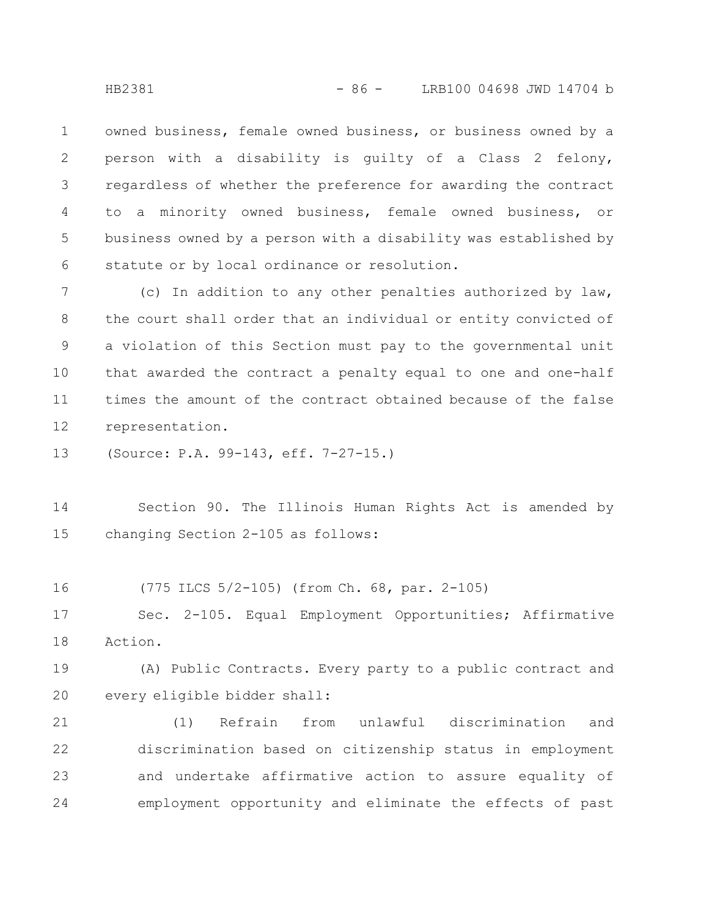owned business, female owned business, or business owned by a person with a disability is guilty of a Class 2 felony, regardless of whether the preference for awarding the contract to a minority owned business, female owned business, or business owned by a person with a disability was established by statute or by local ordinance or resolution. 1 2 3 4 5 6

(c) In addition to any other penalties authorized by law, the court shall order that an individual or entity convicted of a violation of this Section must pay to the governmental unit that awarded the contract a penalty equal to one and one-half times the amount of the contract obtained because of the false representation. 7 8 9 10 11 12

(Source: P.A. 99-143, eff. 7-27-15.) 13

Section 90. The Illinois Human Rights Act is amended by changing Section 2-105 as follows: 14 15

(775 ILCS 5/2-105) (from Ch. 68, par. 2-105) 16

Sec. 2-105. Equal Employment Opportunities; Affirmative Action. 17 18

(A) Public Contracts. Every party to a public contract and every eligible bidder shall: 19 20

(1) Refrain from unlawful discrimination and discrimination based on citizenship status in employment and undertake affirmative action to assure equality of employment opportunity and eliminate the effects of past 21 22 23 24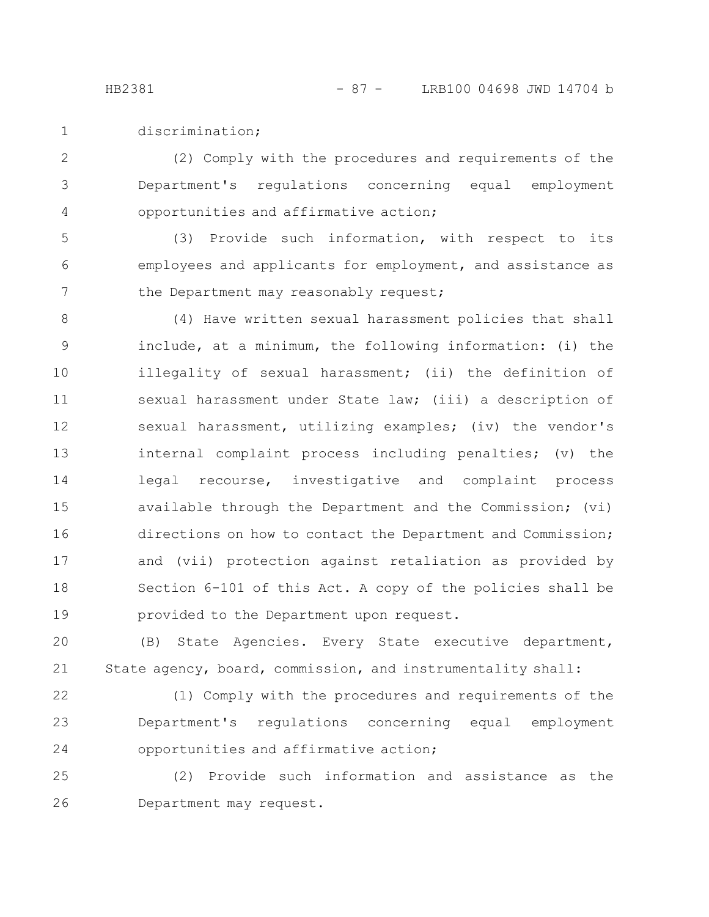discrimination; 1

(2) Comply with the procedures and requirements of the Department's regulations concerning equal employment opportunities and affirmative action; 2 3 4

(3) Provide such information, with respect to its employees and applicants for employment, and assistance as the Department may reasonably request; 5 6 7

(4) Have written sexual harassment policies that shall include, at a minimum, the following information: (i) the illegality of sexual harassment; (ii) the definition of sexual harassment under State law; (iii) a description of sexual harassment, utilizing examples; (iv) the vendor's internal complaint process including penalties; (v) the legal recourse, investigative and complaint process available through the Department and the Commission; (vi) directions on how to contact the Department and Commission; and (vii) protection against retaliation as provided by Section 6-101 of this Act. A copy of the policies shall be provided to the Department upon request. 8 9 10 11 12 13 14 15 16 17 18 19

(B) State Agencies. Every State executive department, State agency, board, commission, and instrumentality shall: 20 21

(1) Comply with the procedures and requirements of the Department's regulations concerning equal employment opportunities and affirmative action; 22 23 24

(2) Provide such information and assistance as the Department may request. 25 26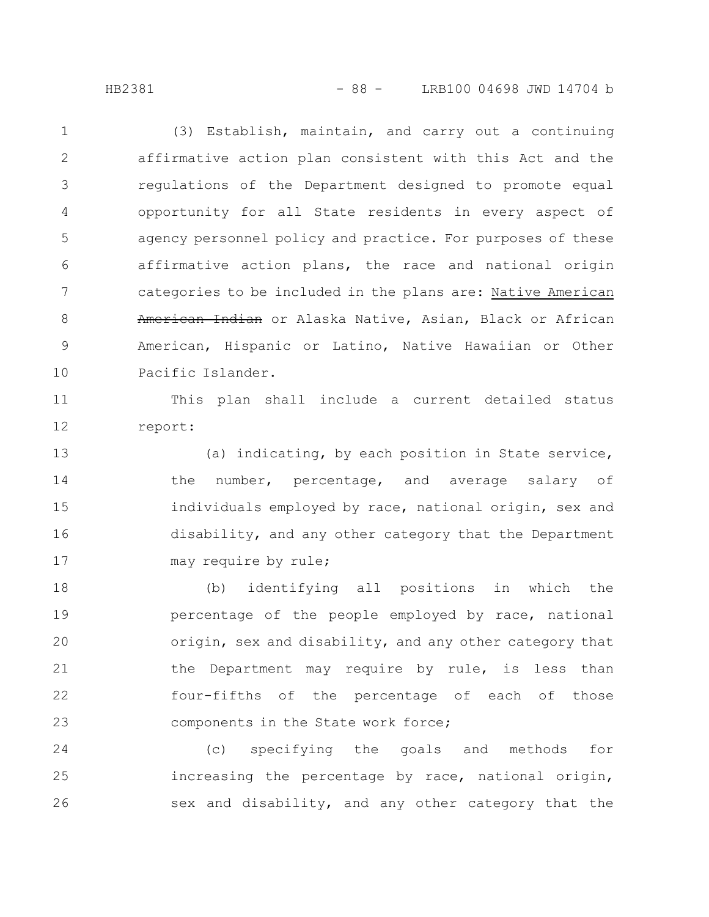HB2381 - 88 - LRB100 04698 JWD 14704 b

(3) Establish, maintain, and carry out a continuing affirmative action plan consistent with this Act and the regulations of the Department designed to promote equal opportunity for all State residents in every aspect of agency personnel policy and practice. For purposes of these affirmative action plans, the race and national origin categories to be included in the plans are: Native American American Indian or Alaska Native, Asian, Black or African American, Hispanic or Latino, Native Hawaiian or Other Pacific Islander. 1 2 3 4 5 6 7 8 9 10

This plan shall include a current detailed status report: 11 12

(a) indicating, by each position in State service, the number, percentage, and average salary of individuals employed by race, national origin, sex and disability, and any other category that the Department may require by rule; 13 14 15 16 17

(b) identifying all positions in which the percentage of the people employed by race, national origin, sex and disability, and any other category that the Department may require by rule, is less than four-fifths of the percentage of each of those components in the State work force; 18 19 20 21 22 23

(c) specifying the goals and methods for increasing the percentage by race, national origin, sex and disability, and any other category that the 24 25 26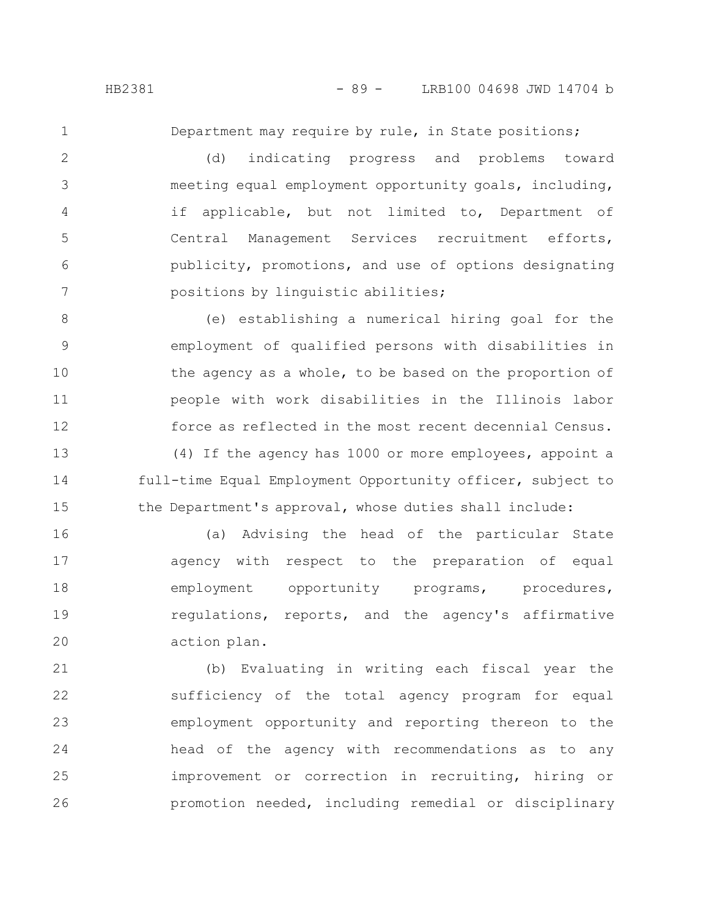1

15

Department may require by rule, in State positions;

(d) indicating progress and problems toward meeting equal employment opportunity goals, including, if applicable, but not limited to, Department of Central Management Services recruitment efforts, publicity, promotions, and use of options designating positions by linguistic abilities; 2 3 4 5 6 7

(e) establishing a numerical hiring goal for the employment of qualified persons with disabilities in the agency as a whole, to be based on the proportion of people with work disabilities in the Illinois labor force as reflected in the most recent decennial Census. (4) If the agency has 1000 or more employees, appoint a full-time Equal Employment Opportunity officer, subject to 8 9 10 11 12 13 14

(a) Advising the head of the particular State agency with respect to the preparation of equal employment opportunity programs, procedures, regulations, reports, and the agency's affirmative action plan. 16 17 18 19 20

the Department's approval, whose duties shall include:

(b) Evaluating in writing each fiscal year the sufficiency of the total agency program for equal employment opportunity and reporting thereon to the head of the agency with recommendations as to any improvement or correction in recruiting, hiring or promotion needed, including remedial or disciplinary 21 22 23 24 25 26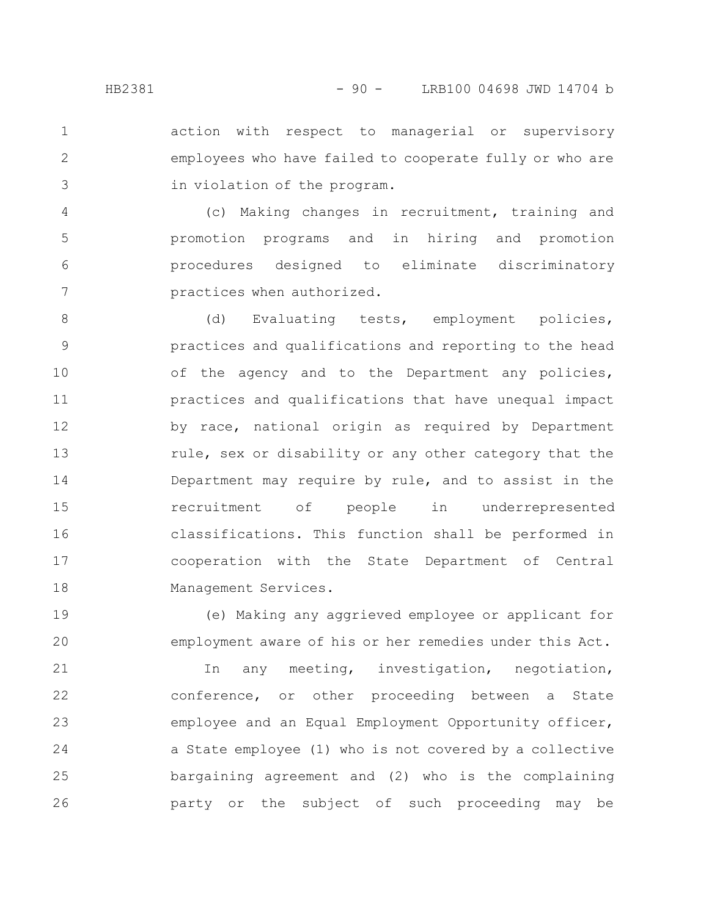action with respect to managerial or supervisory employees who have failed to cooperate fully or who are in violation of the program. 1 2 3

(c) Making changes in recruitment, training and promotion programs and in hiring and promotion procedures designed to eliminate discriminatory practices when authorized. 4 5 6 7

(d) Evaluating tests, employment policies, practices and qualifications and reporting to the head of the agency and to the Department any policies, practices and qualifications that have unequal impact by race, national origin as required by Department rule, sex or disability or any other category that the Department may require by rule, and to assist in the recruitment of people in underrepresented classifications. This function shall be performed in cooperation with the State Department of Central Management Services. 8 9 10 11 12 13 14 15 16 17 18

(e) Making any aggrieved employee or applicant for employment aware of his or her remedies under this Act. 19 20

In any meeting, investigation, negotiation, conference, or other proceeding between a State employee and an Equal Employment Opportunity officer, a State employee (1) who is not covered by a collective bargaining agreement and (2) who is the complaining party or the subject of such proceeding may be 21 22 23 24 25 26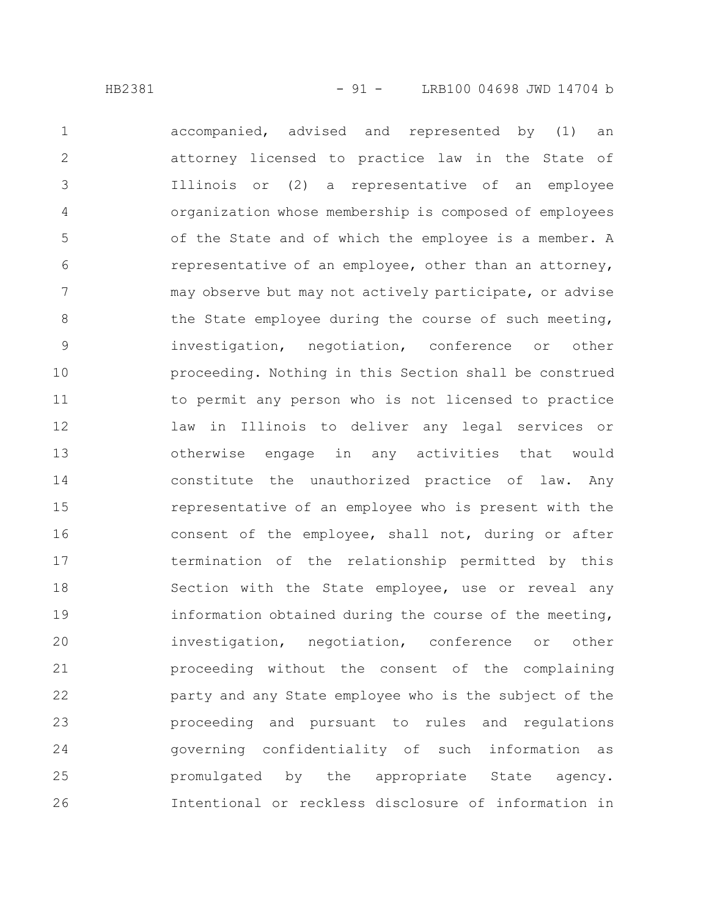accompanied, advised and represented by (1) an attorney licensed to practice law in the State of Illinois or (2) a representative of an employee organization whose membership is composed of employees of the State and of which the employee is a member. A representative of an employee, other than an attorney, may observe but may not actively participate, or advise the State employee during the course of such meeting, investigation, negotiation, conference or other proceeding. Nothing in this Section shall be construed to permit any person who is not licensed to practice law in Illinois to deliver any legal services or otherwise engage in any activities that would constitute the unauthorized practice of law. Any representative of an employee who is present with the consent of the employee, shall not, during or after termination of the relationship permitted by this Section with the State employee, use or reveal any information obtained during the course of the meeting, investigation, negotiation, conference or other proceeding without the consent of the complaining party and any State employee who is the subject of the proceeding and pursuant to rules and regulations governing confidentiality of such information as promulgated by the appropriate State agency. Intentional or reckless disclosure of information in 1 2 3 4 5 6 7 8 9 10 11 12 13 14 15 16 17 18 19 20 21 22 23 24 25 26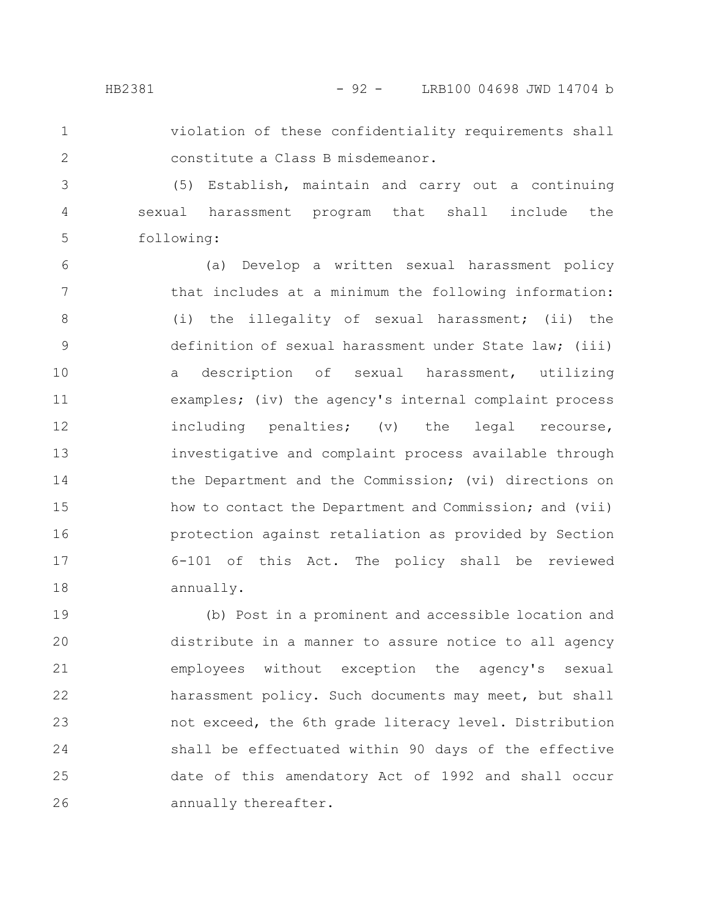## HB2381 - 92 - LRB100 04698 JWD 14704 b

1 2 violation of these confidentiality requirements shall constitute a Class B misdemeanor.

(5) Establish, maintain and carry out a continuing sexual harassment program that shall include the following: 3 4 5

(a) Develop a written sexual harassment policy that includes at a minimum the following information: (i) the illegality of sexual harassment; (ii) the definition of sexual harassment under State law; (iii) a description of sexual harassment, utilizing examples; (iv) the agency's internal complaint process including penalties; (v) the legal recourse, investigative and complaint process available through the Department and the Commission; (vi) directions on how to contact the Department and Commission; and (vii) protection against retaliation as provided by Section 6-101 of this Act. The policy shall be reviewed annually. 6 7 8 9 10 11 12 13 14 15 16 17 18

(b) Post in a prominent and accessible location and distribute in a manner to assure notice to all agency employees without exception the agency's sexual harassment policy. Such documents may meet, but shall not exceed, the 6th grade literacy level. Distribution shall be effectuated within 90 days of the effective date of this amendatory Act of 1992 and shall occur annually thereafter. 19 20 21 22 23 24 25 26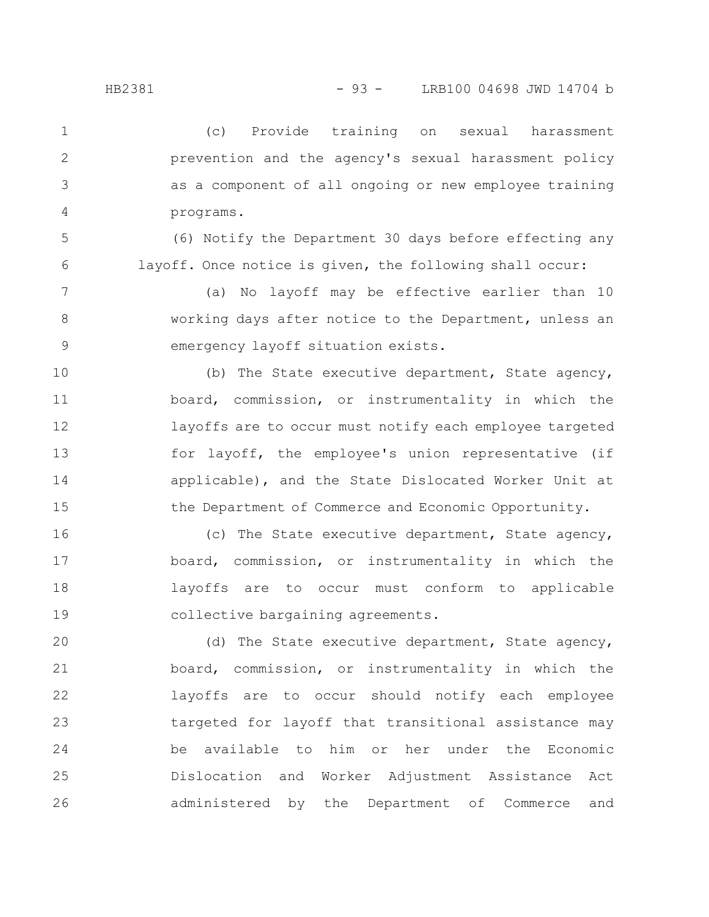(c) Provide training on sexual harassment prevention and the agency's sexual harassment policy as a component of all ongoing or new employee training programs. 1 2 3 4

(6) Notify the Department 30 days before effecting any layoff. Once notice is given, the following shall occur: 5 6

(a) No layoff may be effective earlier than 10 working days after notice to the Department, unless an emergency layoff situation exists. 7 8 9

(b) The State executive department, State agency, board, commission, or instrumentality in which the layoffs are to occur must notify each employee targeted for layoff, the employee's union representative (if applicable), and the State Dislocated Worker Unit at the Department of Commerce and Economic Opportunity. 10 11 12 13 14 15

(c) The State executive department, State agency, board, commission, or instrumentality in which the layoffs are to occur must conform to applicable collective bargaining agreements. 16 17 18 19

(d) The State executive department, State agency, board, commission, or instrumentality in which the layoffs are to occur should notify each employee targeted for layoff that transitional assistance may be available to him or her under the Economic Dislocation and Worker Adjustment Assistance Act administered by the Department of Commerce and 20 21 22 23 24 25 26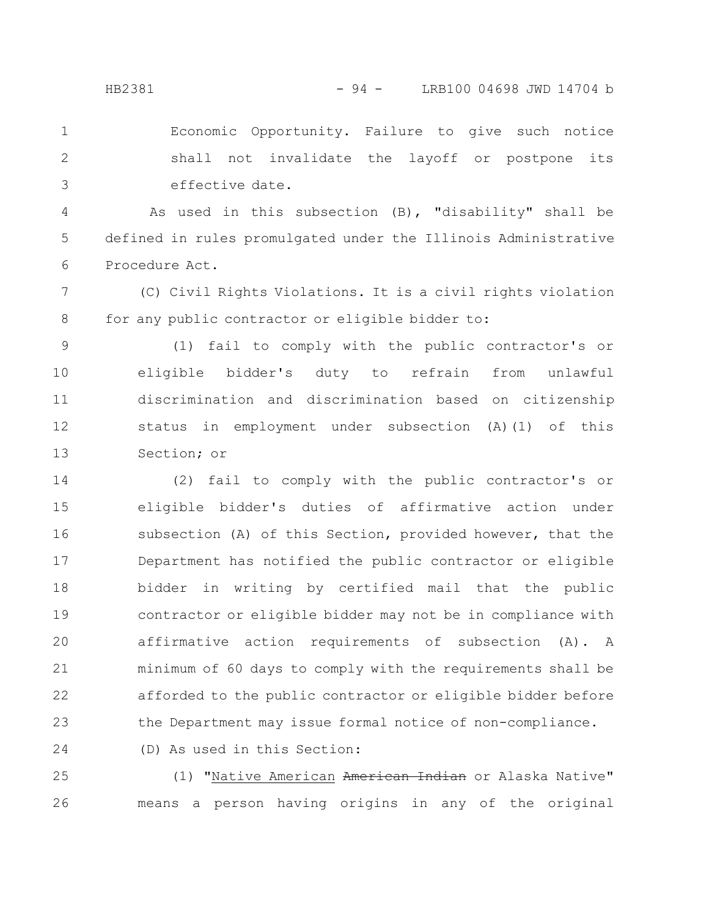Economic Opportunity. Failure to give such notice shall not invalidate the layoff or postpone its effective date. 1 2 3

As used in this subsection (B), "disability" shall be defined in rules promulgated under the Illinois Administrative Procedure Act. 4 5 6

(C) Civil Rights Violations. It is a civil rights violation for any public contractor or eligible bidder to: 7 8

(1) fail to comply with the public contractor's or eligible bidder's duty to refrain from unlawful discrimination and discrimination based on citizenship status in employment under subsection (A)(1) of this Section; or 9 10 11 12 13

(2) fail to comply with the public contractor's or eligible bidder's duties of affirmative action under subsection (A) of this Section, provided however, that the Department has notified the public contractor or eligible bidder in writing by certified mail that the public contractor or eligible bidder may not be in compliance with affirmative action requirements of subsection (A). A minimum of 60 days to comply with the requirements shall be afforded to the public contractor or eligible bidder before the Department may issue formal notice of non-compliance. (D) As used in this Section: 14 15 16 17 18 19 20 21 22 23 24

(1) "Native American American Indian or Alaska Native" means a person having origins in any of the original 25 26